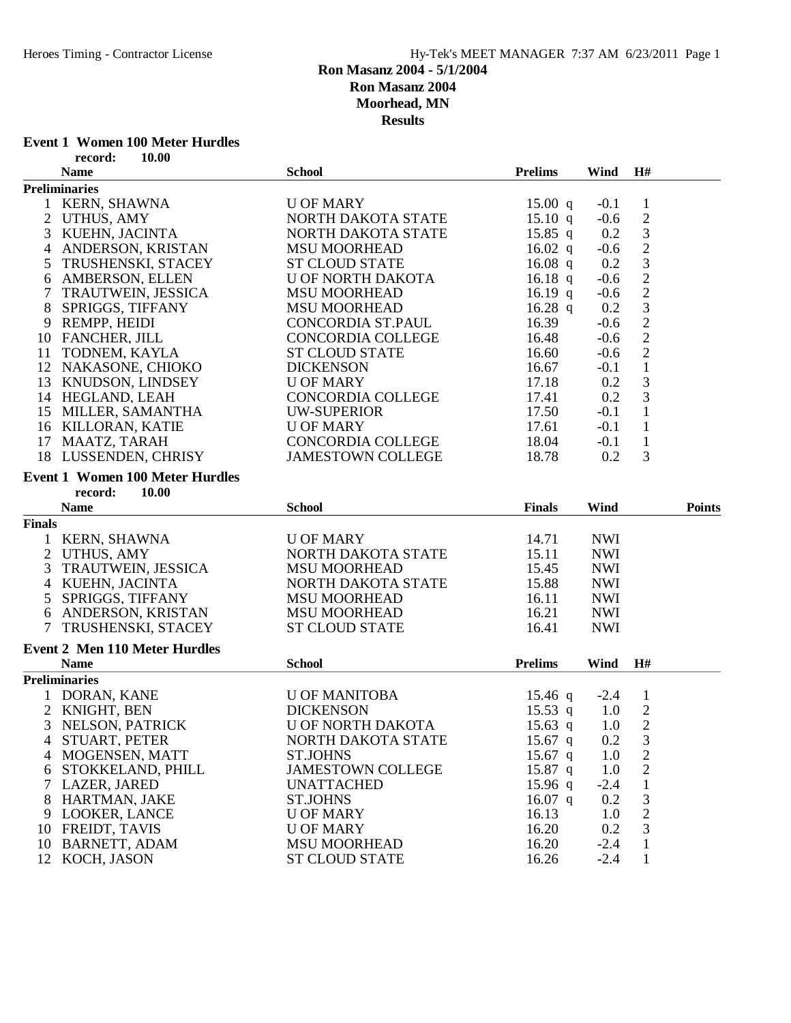#### **Event 1 Women 100 Meter Hurdles**<br>record: 10.00 **record: 10.00**

|                | recoru.<br>10.UV                       |                          |                   |            |                                            |               |
|----------------|----------------------------------------|--------------------------|-------------------|------------|--------------------------------------------|---------------|
|                | <b>Name</b>                            | <b>School</b>            | <b>Prelims</b>    | Wind       | H#                                         |               |
|                | <b>Preliminaries</b>                   |                          |                   |            |                                            |               |
|                | 1 KERN, SHAWNA                         | <b>U OF MARY</b>         | $15.00 \text{ q}$ | $-0.1$     | $\mathbf{1}$                               |               |
|                | 2 UTHUS, AMY                           | NORTH DAKOTA STATE       | 15.10 q           | $-0.6$     | $\sqrt{2}$                                 |               |
| 3              | KUEHN, JACINTA                         | NORTH DAKOTA STATE       | 15.85 q           | 0.2        | $\ensuremath{\mathfrak{Z}}$                |               |
| 4              | ANDERSON, KRISTAN                      | <b>MSU MOORHEAD</b>      | 16.02 $q$         | $-0.6$     | $\sqrt{2}$                                 |               |
| 5              | TRUSHENSKI, STACEY                     | <b>ST CLOUD STATE</b>    | 16.08 $q$         | 0.2        | $\overline{3}$                             |               |
| 6              | AMBERSON, ELLEN                        | <b>U OF NORTH DAKOTA</b> | 16.18 q           | $-0.6$     | $\sqrt{2}$                                 |               |
|                | TRAUTWEIN, JESSICA                     | <b>MSU MOORHEAD</b>      | 16.19 q           | $-0.6$     | $\sqrt{2}$                                 |               |
| 8              | SPRIGGS, TIFFANY                       | <b>MSU MOORHEAD</b>      | 16.28 $q$         | 0.2        |                                            |               |
| 9              | REMPP, HEIDI                           | CONCORDIA ST.PAUL        | 16.39             | $-0.6$     | $\begin{array}{c} 3 \\ 2 \\ 2 \end{array}$ |               |
|                | 10 FANCHER, JILL                       | <b>CONCORDIA COLLEGE</b> | 16.48             | $-0.6$     |                                            |               |
|                | 11 TODNEM, KAYLA                       | <b>ST CLOUD STATE</b>    | 16.60             | $-0.6$     | $\overline{c}$                             |               |
|                | 12 NAKASONE, CHIOKO                    | <b>DICKENSON</b>         | 16.67             | $-0.1$     | $\mathbf 1$                                |               |
|                | 13 KNUDSON, LINDSEY                    | <b>U OF MARY</b>         | 17.18             | 0.2        | $\mathfrak{Z}$                             |               |
|                | 14 HEGLAND, LEAH                       | CONCORDIA COLLEGE        | 17.41             | 0.2        | $\mathfrak{Z}$                             |               |
|                | 15 MILLER, SAMANTHA                    | <b>UW-SUPERIOR</b>       | 17.50             | $-0.1$     | $\mathbf{1}$                               |               |
|                | 16 KILLORAN, KATIE                     | <b>U OF MARY</b>         | 17.61             | $-0.1$     | $\mathbf{1}$                               |               |
|                | 17 MAATZ, TARAH                        | CONCORDIA COLLEGE        | 18.04             | $-0.1$     | $\mathbf{1}$                               |               |
|                | 18 LUSSENDEN, CHRISY                   | <b>JAMESTOWN COLLEGE</b> | 18.78             | 0.2        | 3                                          |               |
|                |                                        |                          |                   |            |                                            |               |
|                | <b>Event 1 Women 100 Meter Hurdles</b> |                          |                   |            |                                            |               |
|                | record:<br>10.00                       |                          |                   |            |                                            |               |
|                | <b>Name</b>                            | <b>School</b>            | <b>Finals</b>     | Wind       |                                            | <b>Points</b> |
| <b>Finals</b>  |                                        |                          |                   |            |                                            |               |
|                | 1 KERN, SHAWNA                         | <b>U OF MARY</b>         | 14.71             | <b>NWI</b> |                                            |               |
| $\overline{2}$ | UTHUS, AMY                             | NORTH DAKOTA STATE       | 15.11             | <b>NWI</b> |                                            |               |
| 3              | TRAUTWEIN, JESSICA                     | <b>MSU MOORHEAD</b>      | 15.45             | <b>NWI</b> |                                            |               |
|                | 4 KUEHN, JACINTA                       | NORTH DAKOTA STATE       | 15.88             | <b>NWI</b> |                                            |               |
| 5              | SPRIGGS, TIFFANY                       | <b>MSU MOORHEAD</b>      | 16.11             | <b>NWI</b> |                                            |               |
|                | 6 ANDERSON, KRISTAN                    | <b>MSU MOORHEAD</b>      | 16.21             | <b>NWI</b> |                                            |               |
|                | 7 TRUSHENSKI, STACEY                   | <b>ST CLOUD STATE</b>    | 16.41             | <b>NWI</b> |                                            |               |
|                |                                        |                          |                   |            |                                            |               |
|                | <b>Event 2 Men 110 Meter Hurdles</b>   |                          |                   |            |                                            |               |
|                | <b>Name</b>                            | <b>School</b>            | <b>Prelims</b>    | Wind       | H#                                         |               |
|                | <b>Preliminaries</b>                   |                          |                   |            |                                            |               |
|                | 1 DORAN, KANE                          | <b>U OF MANITOBA</b>     | $15.46$ q         | $-2.4$     | $\mathbf{1}$                               |               |
| 2              | KNIGHT, BEN                            | <b>DICKENSON</b>         | $15.53$ q         | 1.0        | $\overline{2}$                             |               |
| 3              | NELSON, PATRICK                        | <b>U OF NORTH DAKOTA</b> | 15.63 q           | 1.0        | $\overline{2}$                             |               |
|                | 4 STUART, PETER                        | NORTH DAKOTA STATE       | $15.67$ q         | 0.2        | $\mathfrak 3$                              |               |
| 4              | MOGENSEN, MATT                         | <b>ST.JOHNS</b>          | $15.67$ q         | 1.0        | $\mathbf{2}$                               |               |
| 6              | STOKKELAND, PHILL                      | <b>JAMESTOWN COLLEGE</b> | $15.87$ q         | 1.0        | $\overline{c}$                             |               |
|                | 7 LAZER, JARED                         | <b>UNATTACHED</b>        | 15.96 $q$         | $-2.4$     | $\mathbf{1}$                               |               |
|                | 8 HARTMAN, JAKE                        | <b>ST.JOHNS</b>          | 16.07 $q$         | 0.2        | 3                                          |               |
|                | 9 LOOKER, LANCE                        | <b>U OF MARY</b>         | 16.13             | 1.0        | $\mathbf{2}$                               |               |
|                | 10 FREIDT, TAVIS                       | <b>U OF MARY</b>         | 16.20             | 0.2        | 3                                          |               |
|                | 10 BARNETT, ADAM                       | <b>MSU MOORHEAD</b>      | 16.20             | $-2.4$     | 1                                          |               |
|                | 12 KOCH, JASON                         | <b>ST CLOUD STATE</b>    | 16.26             | $-2.4$     | 1                                          |               |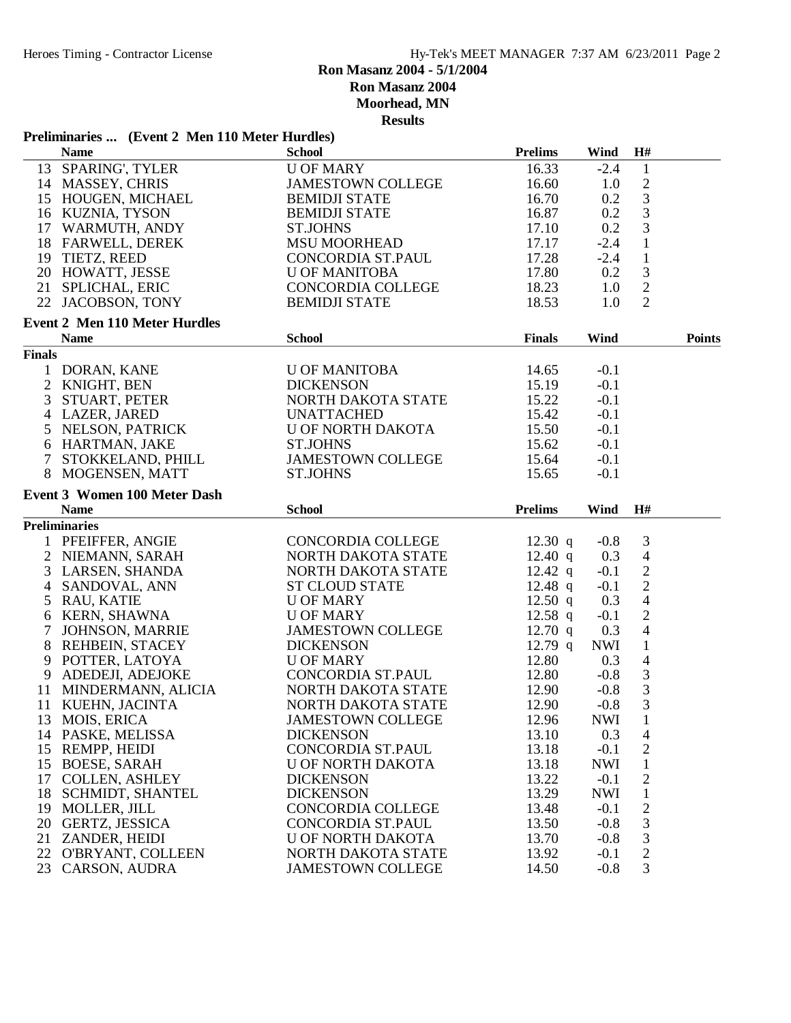# **Ron Masanz 2004 - 5/1/2004**

**Ron Masanz 2004**

**Moorhead, MN**

|                | Preliminaries  (Event 2 Men 110 Meter Hurdles) |                                                |                   |                  |                             |               |
|----------------|------------------------------------------------|------------------------------------------------|-------------------|------------------|-----------------------------|---------------|
|                | <b>Name</b>                                    | <b>School</b>                                  | <b>Prelims</b>    | Wind             | H#                          |               |
|                | 13 SPARING', TYLER                             | <b>U OF MARY</b>                               | 16.33             | $-2.4$           | $\mathbf{1}$                |               |
|                | 14 MASSEY, CHRIS                               | <b>JAMESTOWN COLLEGE</b>                       | 16.60             | 1.0              | $\sqrt{2}$                  |               |
|                | 15 HOUGEN, MICHAEL                             | <b>BEMIDJI STATE</b>                           | 16.70             | 0.2              | $\mathfrak{Z}$              |               |
|                | 16 KUZNIA, TYSON                               | <b>BEMIDJI STATE</b>                           | 16.87             | 0.2              | 3                           |               |
|                | 17 WARMUTH, ANDY                               | <b>ST.JOHNS</b>                                | 17.10             | 0.2              | 3                           |               |
|                | 18 FARWELL, DEREK                              | <b>MSU MOORHEAD</b>                            | 17.17             | $-2.4$           | $\mathbf{1}$                |               |
|                | 19 TIETZ, REED                                 | CONCORDIA ST.PAUL                              | 17.28             | $-2.4$           | $\mathbf{1}$                |               |
|                | 20 HOWATT, JESSE                               | <b>U OF MANITOBA</b>                           | 17.80             | 0.2              | $\ensuremath{\mathfrak{Z}}$ |               |
|                | 21 SPLICHAL, ERIC                              | <b>CONCORDIA COLLEGE</b>                       | 18.23             | 1.0              | $\sqrt{2}$                  |               |
|                | 22 JACOBSON, TONY                              | <b>BEMIDJI STATE</b>                           | 18.53             | 1.0              | $\overline{2}$              |               |
|                | <b>Event 2 Men 110 Meter Hurdles</b>           |                                                |                   |                  |                             |               |
|                | <b>Name</b>                                    | <b>School</b>                                  | <b>Finals</b>     | Wind             |                             | <b>Points</b> |
| <b>Finals</b>  |                                                |                                                |                   |                  |                             |               |
|                | 1 DORAN, KANE                                  | <b>U OF MANITOBA</b>                           | 14.65             | $-0.1$           |                             |               |
| $\overline{2}$ | KNIGHT, BEN                                    | <b>DICKENSON</b>                               | 15.19             | $-0.1$           |                             |               |
| 3              | STUART, PETER                                  | NORTH DAKOTA STATE                             | 15.22             | $-0.1$           |                             |               |
|                | 4 LAZER, JARED                                 | <b>UNATTACHED</b>                              | 15.42             | $-0.1$           |                             |               |
|                | 5 NELSON, PATRICK                              | U OF NORTH DAKOTA                              | 15.50             | $-0.1$           |                             |               |
|                | 6 HARTMAN, JAKE                                | <b>ST.JOHNS</b>                                | 15.62             | $-0.1$           |                             |               |
| $\tau$         | STOKKELAND, PHILL                              | <b>JAMESTOWN COLLEGE</b>                       | 15.64             | $-0.1$           |                             |               |
|                |                                                |                                                |                   |                  |                             |               |
|                | 8 MOGENSEN, MATT                               | <b>ST.JOHNS</b>                                | 15.65             | $-0.1$           |                             |               |
|                | <b>Event 3 Women 100 Meter Dash</b>            |                                                |                   |                  |                             |               |
|                | <b>Name</b>                                    | <b>School</b>                                  | <b>Prelims</b>    | Wind             | H#                          |               |
|                | <b>Preliminaries</b>                           |                                                |                   |                  |                             |               |
| $\mathbf{1}$   | PFEIFFER, ANGIE                                | CONCORDIA COLLEGE                              | 12.30 q           | $-0.8$           | 3                           |               |
|                | 2 NIEMANN, SARAH                               | NORTH DAKOTA STATE                             | 12.40 $q$         | 0.3              | $\overline{4}$              |               |
| 3              | LARSEN, SHANDA                                 | NORTH DAKOTA STATE                             | $12.42 \text{ q}$ | $-0.1$           | $\sqrt{2}$                  |               |
| 4              | SANDOVAL, ANN                                  | <b>ST CLOUD STATE</b>                          | 12.48 $q$         | $-0.1$           |                             |               |
|                | 5 RAU, KATIE                                   | <b>U OF MARY</b>                               |                   |                  |                             |               |
|                |                                                |                                                | $12.50$ q         | 0.3              | $\frac{2}{4}$               |               |
|                | 6 KERN, SHAWNA                                 | <b>U OF MARY</b>                               | 12.58 $q$         | $-0.1$           | $\sqrt{2}$                  |               |
| $\overline{7}$ | JOHNSON, MARRIE                                | <b>JAMESTOWN COLLEGE</b>                       | $12.70$ q         | 0.3              | $\overline{4}$              |               |
|                | 8 REHBEIN, STACEY                              | <b>DICKENSON</b>                               | $12.79$ q         | <b>NWI</b>       | $\mathbf{1}$                |               |
| 9              |                                                | <b>U OF MARY</b>                               |                   | 0.3              |                             |               |
|                | POTTER, LATOYA                                 |                                                | 12.80             |                  | $\overline{4}$              |               |
| 9              | ADEDEJI, ADEJOKE                               | CONCORDIA ST.PAUL                              | 12.80             | $-0.8$           |                             |               |
|                | 11 MINDERMANN, ALICIA                          | NORTH DAKOTA STATE                             | 12.90             | $-0.8$           | $\frac{3}{3}$<br>3          |               |
|                | 11 KUEHN, JACINTA                              | NORTH DAKOTA STATE                             | 12.90             | $-0.8$           |                             |               |
|                | 13 MOIS, ERICA                                 | <b>JAMESTOWN COLLEGE</b>                       | 12.96             | <b>NWI</b>       | $\mathbf{1}$                |               |
|                | 14 PASKE, MELISSA                              | <b>DICKENSON</b>                               | 13.10             | 0.3              | $\overline{4}$              |               |
|                | 15 REMPP, HEIDI                                | CONCORDIA ST.PAUL                              | 13.18             | $-0.1$           | $\overline{c}$              |               |
|                | 15 BOESE, SARAH                                | U OF NORTH DAKOTA                              | 13.18             | <b>NWI</b>       | $\mathbf{1}$                |               |
|                | 17 COLLEN, ASHLEY                              | <b>DICKENSON</b>                               | 13.22             | $-0.1$           | $\mathbf{2}$                |               |
|                | 18 SCHMIDT, SHANTEL                            | <b>DICKENSON</b>                               | 13.29             | NWI              | $\mathbf{1}$                |               |
|                | 19 MOLLER, JILL                                | <b>CONCORDIA COLLEGE</b>                       | 13.48             | $-0.1$           | $\mathbf{2}$                |               |
|                | 20 GERTZ, JESSICA                              | CONCORDIA ST.PAUL                              | 13.50             | $-0.8$           | $\mathfrak{Z}$              |               |
|                | 21 ZANDER, HEIDI                               | <b>U OF NORTH DAKOTA</b>                       | 13.70             | $-0.8$           | 3                           |               |
|                | 22 O'BRYANT, COLLEEN<br>23 CARSON, AUDRA       | NORTH DAKOTA STATE<br><b>JAMESTOWN COLLEGE</b> | 13.92<br>14.50    | $-0.1$<br>$-0.8$ | $\mathbf{2}$<br>3           |               |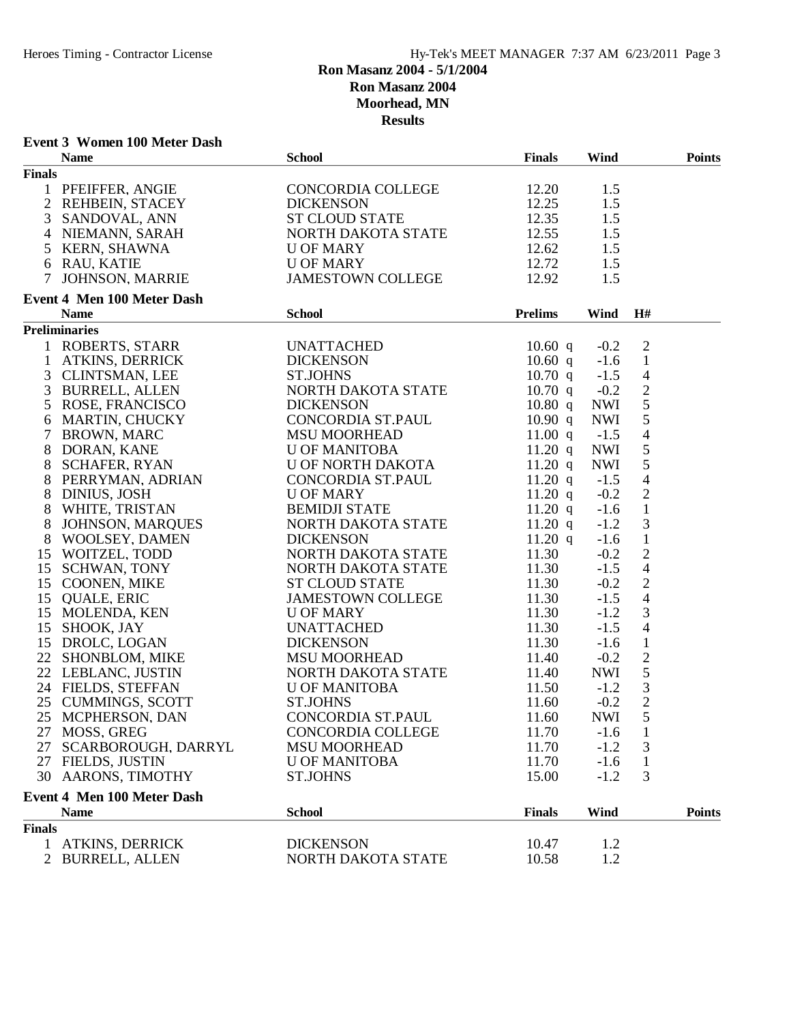# **Event 3 Women 100 Meter Dash**

|                | <b>Name</b>                                                                                                                                                                                                     | <b>School</b>                                                                                               | <b>Finals</b>  | Wind       |                                            | <b>Points</b> |
|----------------|-----------------------------------------------------------------------------------------------------------------------------------------------------------------------------------------------------------------|-------------------------------------------------------------------------------------------------------------|----------------|------------|--------------------------------------------|---------------|
| <b>Finals</b>  |                                                                                                                                                                                                                 |                                                                                                             |                |            |                                            |               |
|                | 1 PFEIFFER, ANGIE<br>2 REHBEIN, STACEY                                                                                                                                                                          | CONCORDIA COLLEGE                                                                                           | 12.20          | 1.5        |                                            |               |
|                |                                                                                                                                                                                                                 |                                                                                                             | 12.25          | 1.5        |                                            |               |
|                | $3$ SANDOVAL, ANN                                                                                                                                                                                               | DICKENSON<br>ST CLOUD STATE<br>NORTH DAKOTA STATE                                                           | 12.35          | 1.5        |                                            |               |
|                | 4 NIEMANN, SARAH                                                                                                                                                                                                |                                                                                                             | 12.55          | 1.5        |                                            |               |
|                |                                                                                                                                                                                                                 | <b>U OF MARY</b>                                                                                            | 12.62          | 1.5        |                                            |               |
|                |                                                                                                                                                                                                                 | <b>U OF MARY</b>                                                                                            | 12.72          | 1.5        |                                            |               |
|                | 5 KERN, SHAWNA<br>6 RAU, KATIE<br>7 JOHNSON, MARRIE                                                                                                                                                             | JAMESTOWN COLLEGE                                                                                           | 12.92          | 1.5        |                                            |               |
|                |                                                                                                                                                                                                                 |                                                                                                             |                |            |                                            |               |
|                | Event 4 Men 100 Meter Dash                                                                                                                                                                                      |                                                                                                             |                |            |                                            |               |
|                | <b>Name</b>                                                                                                                                                                                                     | <b>School</b>                                                                                               | <b>Prelims</b> | Wind       | H#                                         |               |
|                | <b>Preliminaries</b>                                                                                                                                                                                            |                                                                                                             |                |            |                                            |               |
|                | 1 ROBERTS, STARR<br>1 ATKINS, DERRICK<br>3 CLINTSMAN, LEE<br>3 BURRELL, ALLEN<br>5 ROSE, FRANCISCO                                                                                                              | UNATTACHED                                                                                                  | $10.60$ q      | $-0.2$     | $\overline{2}$                             |               |
|                |                                                                                                                                                                                                                 | <b>DICKENSON</b>                                                                                            | $10.60$ q      | $-1.6$     | $\mathbf{1}$                               |               |
|                |                                                                                                                                                                                                                 | <b>ST.JOHNS</b>                                                                                             | $10.70$ q      | $-1.5$     | $\overline{4}$                             |               |
|                |                                                                                                                                                                                                                 | NORTH DAKOTA STATE<br>DICKENSON                                                                             | $10.70$ q      | $-0.2$     | $\sqrt{2}$                                 |               |
|                |                                                                                                                                                                                                                 |                                                                                                             | 10.80 q        | <b>NWI</b> | $\sqrt{5}$                                 |               |
|                | 6 MARTIN, CHUCKY<br>7 BROWN, MARC                                                                                                                                                                               | CONCORDIA ST.PAUL<br>MSU MOORHEAD                                                                           | 10.90 q        | <b>NWI</b> | $\sqrt{5}$                                 |               |
|                |                                                                                                                                                                                                                 |                                                                                                             | 11.00 $q$      | $-1.5$     | $\overline{4}$                             |               |
| 8              | DORAN, KANE                                                                                                                                                                                                     |                                                                                                             | 11.20 q        | <b>NWI</b> | $\sqrt{5}$                                 |               |
| 8              |                                                                                                                                                                                                                 | U OF MANITOBA<br>U OF NORTH DAKOTA                                                                          | 11.20 q        | <b>NWI</b> | 5                                          |               |
| 8              | SCHAFER, RYAN<br>PERRYMAN, ADRIAN<br>DINIUS, JOSH                                                                                                                                                               | CONCORDIA ST.PAUL                                                                                           | $11.20$ q      | $-1.5$     | $\overline{4}$                             |               |
| 8              |                                                                                                                                                                                                                 | <b>U OF MARY</b>                                                                                            | 11.20 q        | $-0.2$     |                                            |               |
|                | 8 DINIOS, JOSH<br>8 WHITE, TRISTAN<br>8 JOHNSON, MARQUES<br>8 WOOLSEY, DAMEN<br>15 WOITZEL, TODD<br>15 SCHWAN, TONY<br>15 COONEN, MIKE<br>15 QUALE, ERIC<br>15 MOLENDA, KEN<br>15 SHOOK, JAY<br>15 DDOI C LOGAN | BEMIDJI STATE<br>NORTH DAKOTA STATE                                                                         | 11.20 q        | $-1.6$     | $\begin{smallmatrix}2\\1\end{smallmatrix}$ |               |
|                |                                                                                                                                                                                                                 |                                                                                                             | 11.20 $q$      | $-1.2$     | $\mathfrak{Z}$                             |               |
|                |                                                                                                                                                                                                                 |                                                                                                             | 11.20 $q$      | $-1.6$     | $\mathbf{1}$                               |               |
|                |                                                                                                                                                                                                                 | DICKENSON<br>NORTH DAKOTA STATE<br>NORTH DAKOTA STATE                                                       | 11.30          | $-0.2$     | $\sqrt{2}$                                 |               |
|                |                                                                                                                                                                                                                 |                                                                                                             | 11.30          | $-1.5$     | $\overline{4}$                             |               |
|                |                                                                                                                                                                                                                 | <b>ST CLOUD STATE</b>                                                                                       | 11.30          | $-0.2$     |                                            |               |
|                |                                                                                                                                                                                                                 |                                                                                                             |                |            | $\frac{2}{4}$                              |               |
|                |                                                                                                                                                                                                                 | JAMESTOWN COLLEGE<br>U OF MARY<br>UNATTACHED<br>DICKENSON<br>MSU MOORHEAD                                   | 11.30          | $-1.5$     |                                            |               |
|                |                                                                                                                                                                                                                 |                                                                                                             | 11.30          | $-1.2$     | $\mathfrak{Z}$                             |               |
|                |                                                                                                                                                                                                                 |                                                                                                             | 11.30          | $-1.5$     | $\overline{4}$                             |               |
|                | 15 DROLC, LOGAN                                                                                                                                                                                                 |                                                                                                             | 11.30          | $-1.6$     | $\mathbf{1}$                               |               |
|                | 22 SHONBLOM, MIKE<br>22 LEBLANC, JUSTIN                                                                                                                                                                         |                                                                                                             | 11.40          | $-0.2$     | $\sqrt{2}$                                 |               |
|                |                                                                                                                                                                                                                 | NORTH DAKOTA STATE                                                                                          | 11.40          | NWI        | $\sqrt{5}$                                 |               |
|                | 24 FIELDS, STEFFAN                                                                                                                                                                                              | <b>U OF MANITOBA</b>                                                                                        | 11.50          | $-1.2$     | $\mathfrak{Z}$                             |               |
|                | 24 FIELDS, STERETS<br>25 CUMMINGS, SCOTT<br>25 MCPHERSON, DAN                                                                                                                                                   | <b>ST.JOHNS</b><br>ST.JOHNS 11.60 -0.2 2<br>CONCORDIA ST.PAUL 11.60 NWI 5<br>CONCORDIA COLLEGE 11.70 -1.6 1 | 11.60          | $-0.2$     | $\frac{2}{5}$                              |               |
|                |                                                                                                                                                                                                                 |                                                                                                             |                |            |                                            |               |
|                | 27 MOSS, GREG                                                                                                                                                                                                   |                                                                                                             |                |            |                                            |               |
|                | 27 SCARBOROUGH, DARRYL                                                                                                                                                                                          | <b>MSU MOORHEAD</b>                                                                                         | 11.70          | $-1.2$     | 3                                          |               |
|                | 27 FIELDS, JUSTIN                                                                                                                                                                                               | <b>U OF MANITOBA</b>                                                                                        | 11.70          | $-1.6$     | $\mathbf{1}$                               |               |
|                | 30 AARONS, TIMOTHY                                                                                                                                                                                              | <b>ST.JOHNS</b>                                                                                             | 15.00          | $-1.2$     | 3                                          |               |
|                | <b>Event 4 Men 100 Meter Dash</b>                                                                                                                                                                               |                                                                                                             |                |            |                                            |               |
|                | <b>Name</b>                                                                                                                                                                                                     | <b>School</b>                                                                                               | <b>Finals</b>  | Wind       |                                            | <b>Points</b> |
| <b>Finals</b>  |                                                                                                                                                                                                                 |                                                                                                             |                |            |                                            |               |
| $\mathbf{1}$   | <b>ATKINS, DERRICK</b>                                                                                                                                                                                          | <b>DICKENSON</b>                                                                                            | 10.47          | 1.2        |                                            |               |
| $\overline{2}$ | <b>BURRELL, ALLEN</b>                                                                                                                                                                                           | NORTH DAKOTA STATE                                                                                          | 10.58          | 1.2        |                                            |               |
|                |                                                                                                                                                                                                                 |                                                                                                             |                |            |                                            |               |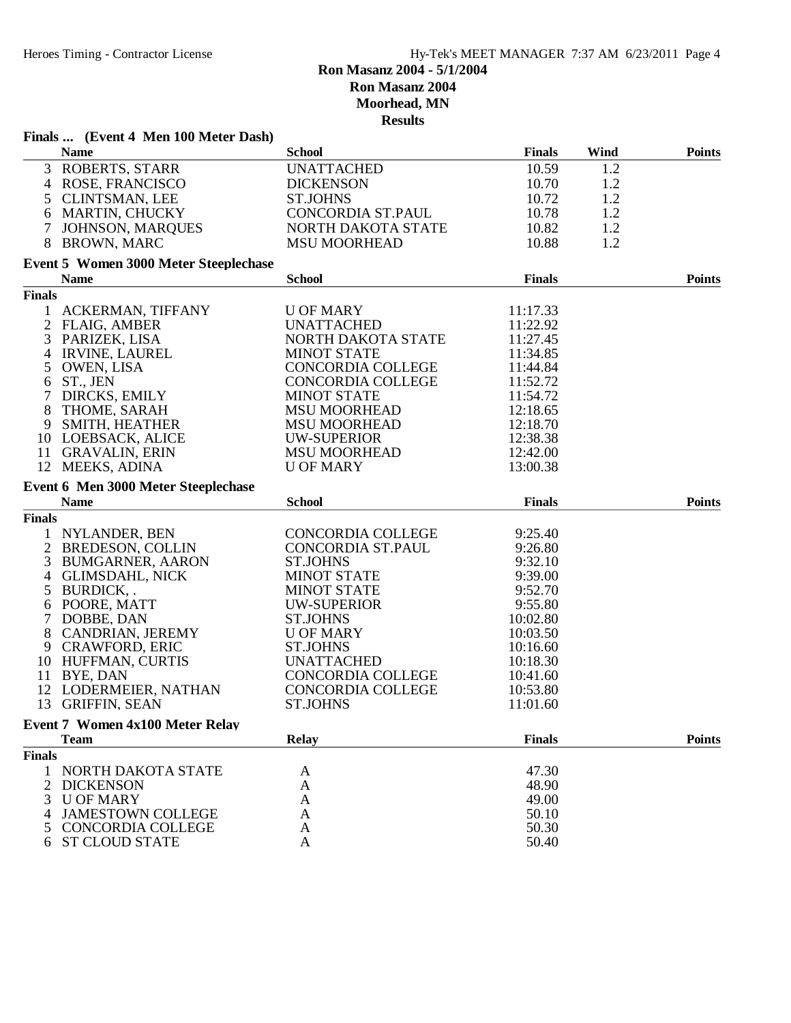|                    | Finals  (Event 4 Men 100 Meter Dash)                  |                          |                |      |               |
|--------------------|-------------------------------------------------------|--------------------------|----------------|------|---------------|
|                    | <b>Name</b>                                           | <b>School</b>            | <b>Finals</b>  | Wind | <b>Points</b> |
|                    | 3 ROBERTS, STARR                                      | <b>UNATTACHED</b>        | 10.59          | 1.2  |               |
|                    | 4 ROSE, FRANCISCO                                     | <b>DICKENSON</b>         | 10.70          | 1.2  |               |
|                    | 5 CLINTSMAN, LEE                                      | <b>ST.JOHNS</b>          | 10.72          | 1.2  |               |
| 6                  | <b>MARTIN, CHUCKY</b>                                 | <b>CONCORDIA ST.PAUL</b> | 10.78          | 1.2  |               |
| $\tau$             | <b>JOHNSON, MARQUES</b>                               | NORTH DAKOTA STATE       | 10.82          | 1.2  |               |
| 8                  | <b>BROWN, MARC</b>                                    | <b>MSU MOORHEAD</b>      | 10.88          | 1.2  |               |
|                    | Event 5 Women 3000 Meter Steeplechase                 |                          |                |      |               |
|                    | <b>Name</b>                                           | <b>School</b>            | <b>Finals</b>  |      | <b>Points</b> |
| <b>Finals</b>      |                                                       |                          |                |      |               |
|                    | 1 ACKERMAN, TIFFANY                                   | <b>U OF MARY</b>         | 11:17.33       |      |               |
|                    | 2 FLAIG, AMBER                                        | <b>UNATTACHED</b>        | 11:22.92       |      |               |
| 3                  | PARIZEK, LISA                                         | NORTH DAKOTA STATE       | 11:27.45       |      |               |
| 4                  | <b>IRVINE, LAUREL</b>                                 | <b>MINOT STATE</b>       | 11:34.85       |      |               |
| 5                  | OWEN, LISA                                            | <b>CONCORDIA COLLEGE</b> | 11:44.84       |      |               |
| 6                  | ST., JEN                                              | <b>CONCORDIA COLLEGE</b> | 11:52.72       |      |               |
| $\tau$             | DIRCKS, EMILY                                         | <b>MINOT STATE</b>       | 11:54.72       |      |               |
| 8                  | THOME, SARAH                                          | <b>MSU MOORHEAD</b>      | 12:18.65       |      |               |
| 9                  | SMITH, HEATHER                                        | <b>MSU MOORHEAD</b>      | 12:18.70       |      |               |
|                    | 10 LOEBSACK, ALICE                                    | <b>UW-SUPERIOR</b>       | 12:38.38       |      |               |
|                    | 11 GRAVALIN, ERIN                                     | <b>MSU MOORHEAD</b>      | 12:42.00       |      |               |
|                    | 12 MEEKS, ADINA                                       | <b>U OF MARY</b>         | 13:00.38       |      |               |
|                    | Event 6 Men 3000 Meter Steeplechase                   |                          |                |      |               |
|                    | <b>Name</b>                                           | <b>School</b>            | <b>Finals</b>  |      | <b>Points</b> |
| <b>Finals</b>      |                                                       |                          |                |      |               |
| 1                  | NYLANDER, BEN                                         | CONCORDIA COLLEGE        | 9:25.40        |      |               |
|                    | 2 BREDESON, COLLIN                                    | CONCORDIA ST.PAUL        | 9:26.80        |      |               |
| 3                  | <b>BUMGARNER, AARON</b>                               | <b>ST.JOHNS</b>          | 9:32.10        |      |               |
| 4                  | <b>GLIMSDAHL, NICK</b>                                | <b>MINOT STATE</b>       | 9:39.00        |      |               |
| 5                  | BURDICK,.                                             | <b>MINOT STATE</b>       | 9:52.70        |      |               |
| 6                  | POORE, MATT                                           | <b>UW-SUPERIOR</b>       | 9:55.80        |      |               |
| 7                  | DOBBE, DAN                                            | <b>ST.JOHNS</b>          | 10:02.80       |      |               |
| 8                  | CANDRIAN, JEREMY                                      | <b>U OF MARY</b>         | 10:03.50       |      |               |
| 9                  | <b>CRAWFORD, ERIC</b>                                 | <b>ST.JOHNS</b>          | 10:16.60       |      |               |
|                    | 10 HUFFMAN, CURTIS                                    | <b>UNATTACHED</b>        | 10:18.30       |      |               |
| 11                 | BYE, DAN                                              | <b>CONCORDIA COLLEGE</b> | 10:41.60       |      |               |
|                    | 12 LODERMEIER, NATHAN                                 | CONCORDIA COLLEGE        | 10:53.80       |      |               |
| 13                 | <b>GRIFFIN, SEAN</b>                                  | <b>ST.JOHNS</b>          | 11:01.60       |      |               |
|                    |                                                       |                          |                |      |               |
|                    | <b>Event 7 Women 4x100 Meter Relay</b><br><b>Team</b> | <b>Relay</b>             | <b>Finals</b>  |      | <b>Points</b> |
| <b>Finals</b>      |                                                       |                          |                |      |               |
| 1                  | NORTH DAKOTA STATE                                    | A                        | 47.30          |      |               |
| 2                  | <b>DICKENSON</b>                                      |                          | 48.90          |      |               |
| 3                  | <b>U OF MARY</b>                                      | A<br>A                   | 49.00          |      |               |
|                    |                                                       |                          |                |      |               |
|                    |                                                       |                          |                |      |               |
| 4                  | <b>JAMESTOWN COLLEGE</b>                              | A                        | 50.10          |      |               |
| $\mathcal{L}$<br>6 | <b>CONCORDIA COLLEGE</b><br><b>ST CLOUD STATE</b>     | A<br>A                   | 50.30<br>50.40 |      |               |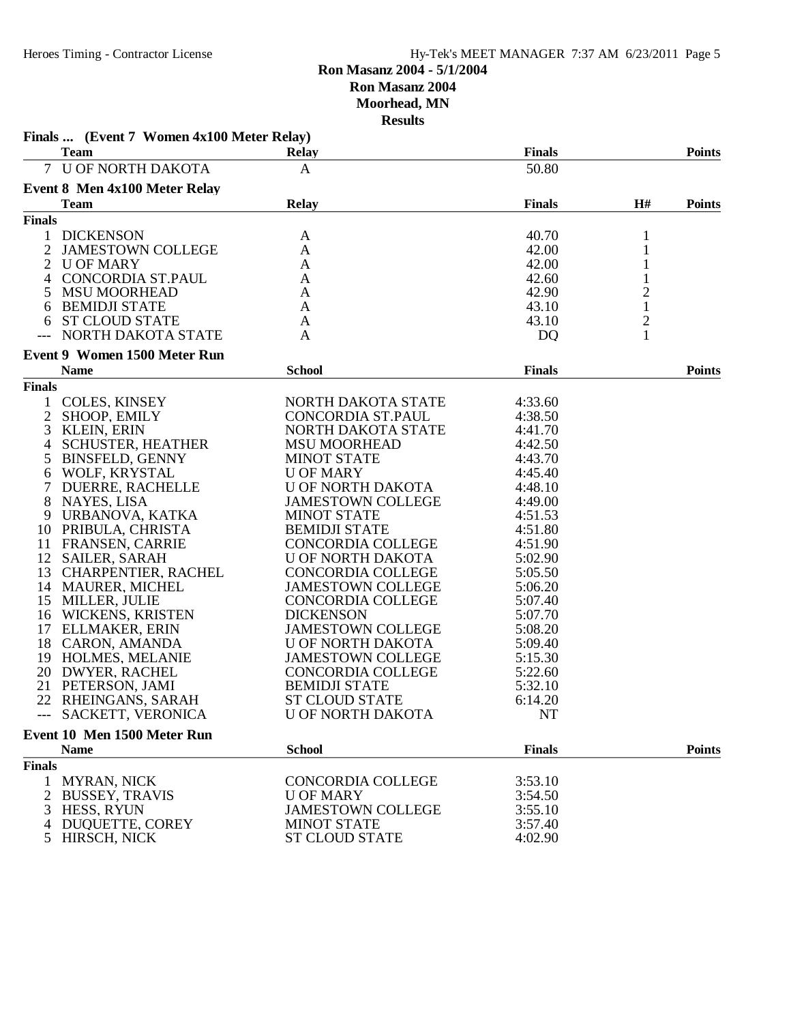| Finals  (Event 7 Women 4x100 Meter Relay)<br><b>Team</b>   | <b>Relay</b>             | <b>Finals</b> |               | <b>Points</b> |
|------------------------------------------------------------|--------------------------|---------------|---------------|---------------|
| 7 U OF NORTH DAKOTA                                        | A                        | 50.80         |               |               |
| <b>Event 8 Men 4x100 Meter Relay</b>                       |                          |               |               |               |
| Team                                                       | <b>Relay</b>             | <b>Finals</b> | H#            | <b>Points</b> |
| <b>Finals</b>                                              |                          |               |               |               |
| <b>DICKENSON</b>                                           |                          | 40.70         |               |               |
| $\mathbf{1}$<br>$\overline{c}$<br><b>JAMESTOWN COLLEGE</b> | A<br>A                   | 42.00         | 1             |               |
| <b>U OF MARY</b><br>2                                      | A                        | 42.00         | 1             |               |
| CONCORDIA ST.PAUL<br>4                                     | A                        | 42.60         | $\mathbf{1}$  |               |
| 5<br><b>MSU MOORHEAD</b>                                   | $\mathbf{A}$             | 42.90         |               |               |
| <b>BEMIDJI STATE</b><br>6                                  | A                        | 43.10         | $\frac{2}{1}$ |               |
| <b>ST CLOUD STATE</b><br>6                                 | A                        | 43.10         | $\mathbf{2}$  |               |
| NORTH DAKOTA STATE                                         | A                        | DQ            | 1             |               |
|                                                            |                          |               |               |               |
| <b>Event 9 Women 1500 Meter Run</b><br><b>Name</b>         | <b>School</b>            | <b>Finals</b> |               | <b>Points</b> |
| <b>Finals</b>                                              |                          |               |               |               |
| 1                                                          | NORTH DAKOTA STATE       | 4:33.60       |               |               |
| <b>COLES, KINSEY</b><br>$\overline{2}$<br>SHOOP, EMILY     | CONCORDIA ST.PAUL        | 4:38.50       |               |               |
| KLEIN, ERIN<br>3                                           | NORTH DAKOTA STATE       | 4:41.70       |               |               |
| <b>SCHUSTER, HEATHER</b><br>4                              | <b>MSU MOORHEAD</b>      | 4:42.50       |               |               |
| <b>BINSFELD, GENNY</b><br>5                                | <b>MINOT STATE</b>       | 4:43.70       |               |               |
| WOLF, KRYSTAL                                              | <b>U OF MARY</b>         | 4:45.40       |               |               |
| 6<br>7<br><b>DUERRE, RACHELLE</b>                          | U OF NORTH DAKOTA        | 4:48.10       |               |               |
| 8<br>NAYES, LISA                                           | <b>JAMESTOWN COLLEGE</b> | 4:49.00       |               |               |
| 9<br>URBANOVA, KATKA                                       | <b>MINOT STATE</b>       | 4:51.53       |               |               |
| PRIBULA, CHRISTA<br>10                                     | <b>BEMIDJI STATE</b>     | 4:51.80       |               |               |
| 11<br><b>FRANSEN, CARRIE</b>                               | <b>CONCORDIA COLLEGE</b> | 4:51.90       |               |               |
| 12<br>SAILER, SARAH                                        | U OF NORTH DAKOTA        | 5:02.90       |               |               |
| 13<br><b>CHARPENTIER, RACHEL</b>                           | <b>CONCORDIA COLLEGE</b> | 5:05.50       |               |               |
| 14 MAURER, MICHEL                                          | <b>JAMESTOWN COLLEGE</b> | 5:06.20       |               |               |
| 15 MILLER, JULIE                                           | <b>CONCORDIA COLLEGE</b> | 5:07.40       |               |               |
| 16 WICKENS, KRISTEN                                        | <b>DICKENSON</b>         | 5:07.70       |               |               |
| 17 ELLMAKER, ERIN                                          | <b>JAMESTOWN COLLEGE</b> | 5:08.20       |               |               |
| 18 CARON, AMANDA                                           | U OF NORTH DAKOTA        | 5:09.40       |               |               |
| 19 HOLMES, MELANIE                                         | <b>JAMESTOWN COLLEGE</b> | 5:15.30       |               |               |
| 20 DWYER, RACHEL                                           | CONCORDIA COLLEGE        | 5:22.60       |               |               |
| 21 PETERSON, JAMI                                          | <b>BEMIDJI STATE</b>     | 5:32.10       |               |               |
| 22 RHEINGANS, SARAH                                        | <b>ST CLOUD STATE</b>    | 6:14.20       |               |               |
| --- SACKETT, VERONICA                                      | <b>U OF NORTH DAKOTA</b> | NT            |               |               |
| Event 10 Men 1500 Meter Run                                |                          |               |               |               |
| <b>Name</b>                                                | <b>School</b>            | <b>Finals</b> |               | <b>Points</b> |
| <b>Finals</b>                                              |                          |               |               |               |
| <b>MYRAN, NICK</b><br>1                                    | <b>CONCORDIA COLLEGE</b> | 3:53.10       |               |               |
| $\overline{2}$<br><b>BUSSEY, TRAVIS</b>                    | <b>U OF MARY</b>         | 3:54.50       |               |               |
| HESS, RYUN<br>3                                            | <b>JAMESTOWN COLLEGE</b> | 3:55.10       |               |               |
| DUQUETTE, COREY<br>4                                       | <b>MINOT STATE</b>       | 3:57.40       |               |               |
| HIRSCH, NICK<br>5                                          | <b>ST CLOUD STATE</b>    | 4:02.90       |               |               |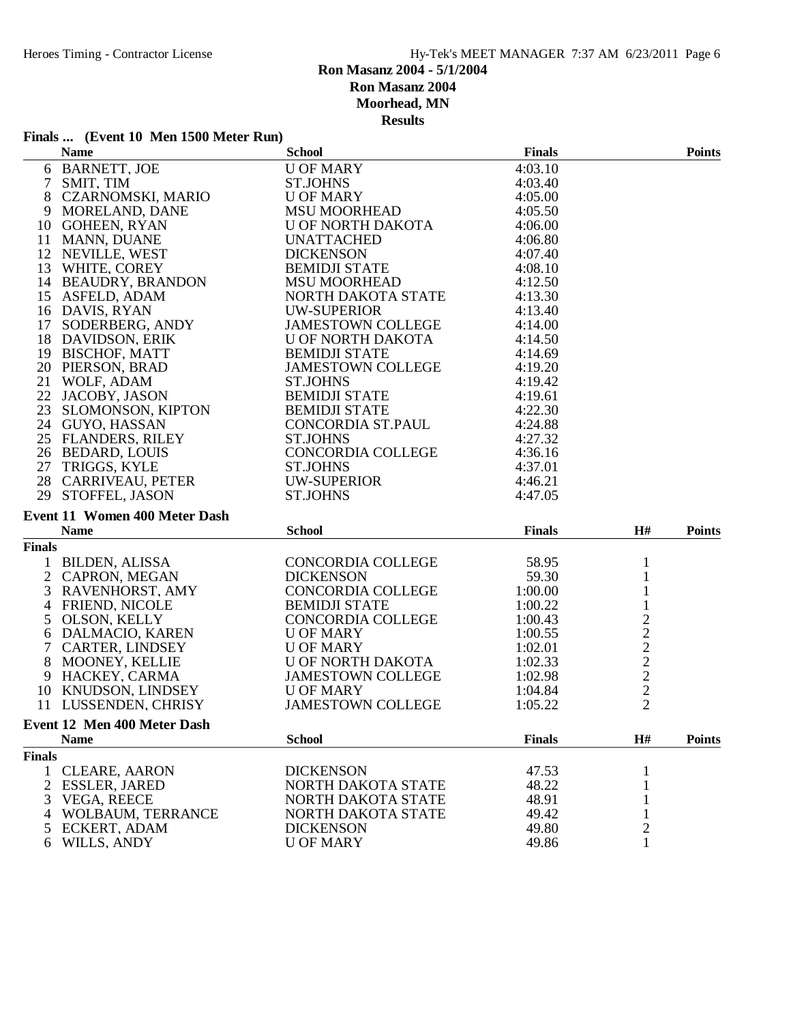# **Finals ...** (Event 10 Men 1500 Meter Run)

|                | <b>Name</b>                                 | <b>School</b>            | <b>Finals</b> |                | <b>Points</b> |
|----------------|---------------------------------------------|--------------------------|---------------|----------------|---------------|
|                | 6 BARNETT, JOE                              | <b>U OF MARY</b>         | 4:03.10       |                |               |
| 7 <sup>7</sup> | SMIT, TIM                                   | <b>ST.JOHNS</b>          | 4:03.40       |                |               |
|                | 8 CZARNOMSKI, MARIO                         | <b>U OF MARY</b>         | 4:05.00       |                |               |
| 9              | MORELAND, DANE                              | <b>MSU MOORHEAD</b>      | 4:05.50       |                |               |
|                | 10 GOHEEN, RYAN                             | U OF NORTH DAKOTA        | 4:06.00       |                |               |
|                | 11 MANN, DUANE                              | <b>UNATTACHED</b>        | 4:06.80       |                |               |
|                | 12 NEVILLE, WEST                            | <b>DICKENSON</b>         | 4:07.40       |                |               |
|                | 13 WHITE, COREY                             | <b>BEMIDJI STATE</b>     | 4:08.10       |                |               |
|                | 14 BEAUDRY, BRANDON                         | <b>MSU MOORHEAD</b>      | 4:12.50       |                |               |
|                | 15 ASFELD, ADAM                             | NORTH DAKOTA STATE       | 4:13.30       |                |               |
|                | 16 DAVIS, RYAN                              | <b>UW-SUPERIOR</b>       | 4:13.40       |                |               |
|                | 17 SODERBERG, ANDY                          | JAMESTOWN COLLEGE        | 4:14.00       |                |               |
|                | 18 DAVIDSON, ERIK                           | U OF NORTH DAKOTA        | 4:14.50       |                |               |
|                | 19 BISCHOF, MATT                            | <b>BEMIDJI STATE</b>     | 4:14.69       |                |               |
|                | 20 PIERSON, BRAD                            | JAMESTOWN COLLEGE        | 4:19.20       |                |               |
|                | 21 WOLF, ADAM                               | <b>ST.JOHNS</b>          | 4:19.42       |                |               |
|                | 22 JACOBY, JASON                            | <b>BEMIDJI STATE</b>     | 4:19.61       |                |               |
|                | 23 SLOMONSON, KIPTON                        | <b>BEMIDJI STATE</b>     | 4:22.30       |                |               |
|                | 24 GUYO, HASSAN                             | CONCORDIA ST.PAUL        | 4:24.88       |                |               |
|                | 25 FLANDERS, RILEY                          | <b>ST.JOHNS</b>          | 4:27.32       |                |               |
|                | 26 BEDARD, LOUIS                            | CONCORDIA COLLEGE        | 4:36.16       |                |               |
|                | 27 TRIGGS, KYLE                             | <b>ST.JOHNS</b>          | 4:37.01       |                |               |
|                | 28 CARRIVEAU, PETER                         | <b>UW-SUPERIOR</b>       | 4:46.21       |                |               |
|                | 29 STOFFEL, JASON                           | <b>ST.JOHNS</b>          | 4:47.05       |                |               |
|                | <b>Event 11 Women 400 Meter Dash</b>        |                          |               |                |               |
|                |                                             | <b>School</b>            | <b>Finals</b> | H#             |               |
|                | <b>Name</b>                                 |                          |               |                | <b>Points</b> |
| <b>Finals</b>  |                                             |                          |               |                |               |
|                | 1 BILDEN, ALISSA                            | CONCORDIA COLLEGE        | 58.95         | $\mathbf{1}$   |               |
|                | 2 CAPRON, MEGAN                             | <b>DICKENSON</b>         | 59.30         | $\mathbf{1}$   |               |
|                | 3 RAVENHORST, AMY                           | CONCORDIA COLLEGE        | 1:00.00       | $\mathbf{1}$   |               |
|                | 4 FRIEND, NICOLE                            | <b>BEMIDJI STATE</b>     | 1:00.22       | $\,1$          |               |
|                | 5 OLSON, KELLY                              | CONCORDIA COLLEGE        | 1:00.43       |                |               |
|                | 6 DALMACIO, KAREN                           | <b>U OF MARY</b>         | 1:00.55       |                |               |
|                | 7 CARTER, LINDSEY                           | <b>U OF MARY</b>         | 1:02.01       |                |               |
|                | 8 MOONEY, KELLIE                            | U OF NORTH DAKOTA        | 1:02.33       | 2222222        |               |
|                | 9 HACKEY, CARMA                             | JAMESTOWN COLLEGE        | 1:02.98       |                |               |
|                | 10 KNUDSON, LINDSEY<br>11 LUSSENDEN, CHRISY | <b>U OF MARY</b>         | 1:04.84       |                |               |
|                |                                             | <b>JAMESTOWN COLLEGE</b> | 1:05.22       |                |               |
|                | Event 12 Men 400 Meter Dash                 |                          |               |                |               |
|                | <b>Name</b>                                 | <b>School</b>            | <b>Finals</b> | H#             | <b>Points</b> |
| <b>Finals</b>  |                                             |                          |               |                |               |
| 1              | <b>CLEARE, AARON</b>                        | <b>DICKENSON</b>         | 47.53         |                |               |
| 2              | <b>ESSLER, JARED</b>                        | NORTH DAKOTA STATE       | 48.22         |                |               |
| 3              | VEGA, REECE                                 | NORTH DAKOTA STATE       | 48.91         |                |               |
| 4              | WOLBAUM, TERRANCE                           | NORTH DAKOTA STATE       | 49.42         |                |               |
| 5              | <b>ECKERT, ADAM</b>                         | <b>DICKENSON</b>         | 49.80         | $\overline{c}$ |               |
| 6              | WILLS, ANDY                                 | <b>U OF MARY</b>         | 49.86         | 1              |               |
|                |                                             |                          |               |                |               |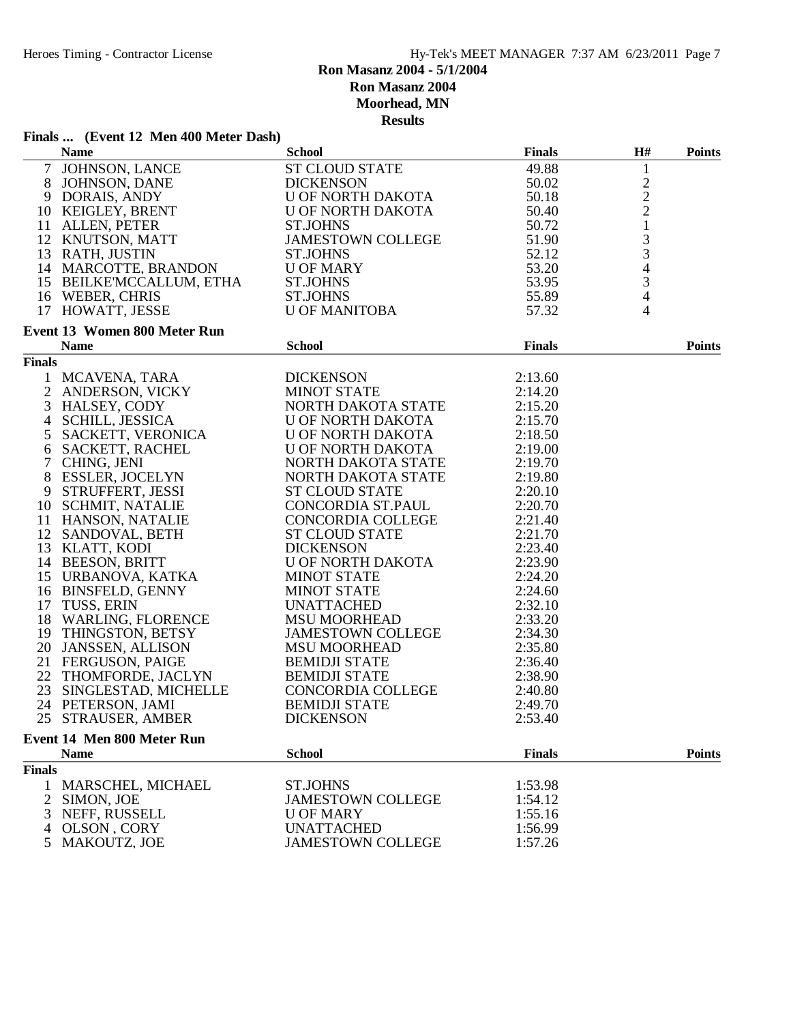# **Ron Masanz 2004 - 5/1/2004 Ron Masanz 2004**

**Moorhead, MN**

|      | Finals  (Event 12 Men 400 Meter Dash) |               |
|------|---------------------------------------|---------------|
| Nome |                                       | <b>School</b> |

|               | Finals  (EVERT 12 IVIER 400 MEET Dasn)<br><b>Name</b>                         | <b>School</b>                                                  | <b>Finals</b> | H#                                         | <b>Points</b> |
|---------------|-------------------------------------------------------------------------------|----------------------------------------------------------------|---------------|--------------------------------------------|---------------|
|               | 7 JOHNSON, LANCE<br>8 JOHNSON, DANE                                           | <b>ST CLOUD STATE</b>                                          | 49.88         | $\mathbf{1}$                               |               |
|               |                                                                               | <b>DICKENSON</b>                                               | 50.02         |                                            |               |
|               | 9 DORAIS, ANDY                                                                | U OF NORTH DAKOTA                                              | 50.18         | $\begin{array}{c} 2 \\ 2 \\ 2 \end{array}$ |               |
|               | 10 KEIGLEY, BRENT                                                             | U OF NORTH DAKOTA                                              | 50.40         |                                            |               |
|               | 11 ALLEN, PETER                                                               | <b>ST.JOHNS</b>                                                | 50.72         | $\,1\,$                                    |               |
|               | 12 KNUTSON, MATT                                                              | <b>JAMESTOWN COLLEGE</b>                                       | 51.90         |                                            |               |
|               | 13 RATH, JUSTIN                                                               |                                                                | 52.12         | $\frac{3}{3}$                              |               |
|               | 14 MARCOTTE, BRANDON                                                          |                                                                | 53.20         | $\overline{\mathcal{A}}$                   |               |
|               | 15 BEILKE'MCCALLUM, ETHA                                                      |                                                                | 53.95         | $\mathfrak{Z}$                             |               |
|               |                                                                               |                                                                | 55.89         | $\overline{4}$                             |               |
|               | 16 WEBER, CHRIS                                                               |                                                                |               |                                            |               |
|               | 17 HOWATT, JESSE                                                              | ST.JOHNS<br>U OF MARY<br>ST.JOHNS<br>ST.JOHNS<br>U OF MANITOBA | 57.32         | 4                                          |               |
|               | <b>Event 13 Women 800 Meter Run</b>                                           |                                                                |               |                                            |               |
|               | <b>Name</b>                                                                   | <b>School</b>                                                  | <b>Finals</b> |                                            | <b>Points</b> |
| <b>Finals</b> |                                                                               |                                                                |               |                                            |               |
|               | 1 MCAVENA, TARA                                                               | <b>DICKENSON</b>                                               | 2:13.60       |                                            |               |
|               | 2 ANDERSON, VICKY<br>3 HALSEY. CODY                                           | <b>MINOT STATE</b>                                             | 2:14.20       |                                            |               |
|               | 3 HALSEY, CODY                                                                | NORTH DAKOTA STATE                                             | 2:15.20       |                                            |               |
| 4             |                                                                               | U OF NORTH DAKOTA                                              | 2:15.70       |                                            |               |
| 5             |                                                                               | U OF NORTH DAKOTA                                              | 2:18.50       |                                            |               |
|               | SCHILL, JESSICA<br>SACKETT, VERONICA<br>^^^''''T' RACHEL<br>6 SACKETT, RACHEL | U OF NORTH DAKOTA<br>NORTH DAKOTA STATE                        | 2:19.00       |                                            |               |
|               | 7 CHING, JENI                                                                 |                                                                | 2:19.70       |                                            |               |
|               | 8 ESSLER, JOCELYN                                                             | NORTH DAKOTA STATE                                             | 2:19.80       |                                            |               |
|               | 9 STRUFFERT, JESSI                                                            | <b>ST CLOUD STATE</b>                                          | 2:20.10       |                                            |               |
|               | 10 SCHMIT, NATALIE                                                            | CONCORDIA ST.PAUL                                              | 2:20.70       |                                            |               |
|               | 11 HANSON, NATALIE                                                            | CONCORDIA COLLEGE                                              | 2:21.40       |                                            |               |
|               | 12 SANDOVAL, BETH                                                             | <b>ST CLOUD STATE</b>                                          | 2:21.70       |                                            |               |
|               | 13 KLATT, KODI                                                                | <b>DICKENSON</b>                                               | 2:23.40       |                                            |               |
|               | 14 BEESON, BRITT                                                              |                                                                | 2:23.90       |                                            |               |
|               | 15 URBANOVA, KATKA                                                            | U OF NORTH DAKOTA<br>MINOT STATE                               | 2:24.20       |                                            |               |
|               | 16 BINSFELD, GENNY                                                            | <b>MINOT STATE</b>                                             | 2:24.60       |                                            |               |
|               | 17 TUSS, ERIN                                                                 | <b>UNATTACHED</b>                                              | 2:32.10       |                                            |               |
|               |                                                                               |                                                                | 2:33.20       |                                            |               |
|               | 18 WARLING, FLORENCE                                                          | <b>MSU MOORHEAD</b>                                            |               |                                            |               |
|               | 19 THINGSTON, BETSY                                                           | JAMESTOWN COLLEGE<br>MSU MOORHEAD                              | 2:34.30       |                                            |               |
|               | 20 JANSSEN, ALLISON                                                           |                                                                | 2:35.80       |                                            |               |
|               | 21 FERGUSON, PAIGE                                                            | <b>BEMIDJI STATE</b>                                           | 2:36.40       |                                            |               |
|               | 22 THOMFORDE, JACLYN                                                          | <b>BEMIDJI STATE</b>                                           | 2:38.90       |                                            |               |
|               | 23 SINGLESTAD, MICHELLE                                                       | CONCORDIA COLLEGE                                              | 2:40.80       |                                            |               |
|               | 24 PETERSON, JAMI                                                             | <b>BEMIDJI STATE</b>                                           | 2:49.70       |                                            |               |
|               | 25 STRAUSER, AMBER                                                            | <b>DICKENSON</b>                                               | 2:53.40       |                                            |               |
|               | <b>Event 14 Men 800 Meter Run</b>                                             |                                                                |               |                                            |               |
|               | <b>Name</b>                                                                   | <b>School</b>                                                  | <b>Finals</b> |                                            | <b>Points</b> |
| <b>Finals</b> |                                                                               |                                                                |               |                                            |               |
| 1             | MARSCHEL, MICHAEL                                                             | <b>ST.JOHNS</b>                                                | 1:53.98       |                                            |               |
| 2             | SIMON, JOE                                                                    | <b>JAMESTOWN COLLEGE</b>                                       | 1:54.12       |                                            |               |
| 3             | NEFF, RUSSELL                                                                 | <b>U OF MARY</b>                                               | 1:55.16       |                                            |               |
| 4             | OLSON, CORY                                                                   | <b>UNATTACHED</b>                                              | 1:56.99       |                                            |               |
| 5             | MAKOUTZ, JOE                                                                  | <b>JAMESTOWN COLLEGE</b>                                       | 1:57.26       |                                            |               |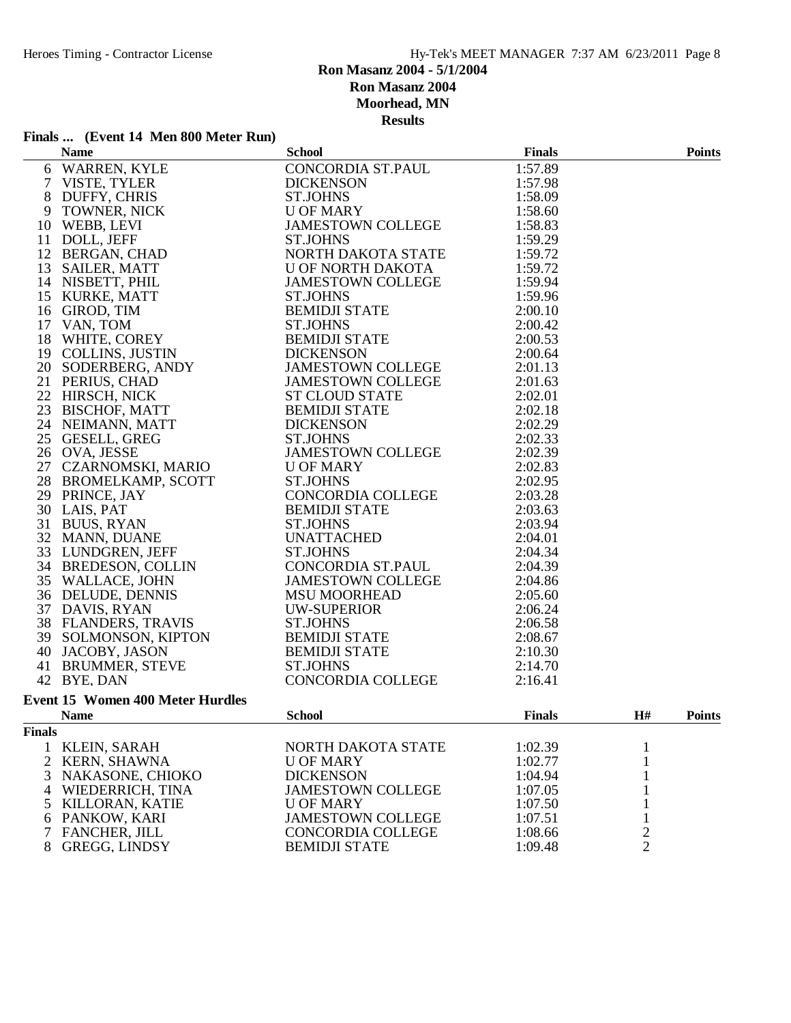#### **Finals ... (Event 14 Men 800 Meter Run)**

|                |                                                                                                                                                                                                                                                            | <b>School</b>                                                                                                                                                                                                                                                                     | <b>Finals</b> |                                  | <b>Points</b> |
|----------------|------------------------------------------------------------------------------------------------------------------------------------------------------------------------------------------------------------------------------------------------------------|-----------------------------------------------------------------------------------------------------------------------------------------------------------------------------------------------------------------------------------------------------------------------------------|---------------|----------------------------------|---------------|
|                | Name<br>6 WARREN, KYLE<br>7 VISTE, TYLER<br>8 DUFFY, CHRIS<br>9 TOWNER, NICK<br>10 WEBB, LEVI<br>11 DOLL, JEFF<br>12 BERGAN, CHAD<br>13 SAILER, MATT<br>14 NISBETT, PHIL<br>15 KURKE, MATT<br>16 GIROD, TIM<br>17 VAN, TOM<br>18 WHITE, COREY<br>19 COLLIN | CONCORDIA ST.PAUL                                                                                                                                                                                                                                                                 | 1:57.89       |                                  |               |
|                |                                                                                                                                                                                                                                                            | <b>DICKENSON</b>                                                                                                                                                                                                                                                                  | 1:57.98       |                                  |               |
|                |                                                                                                                                                                                                                                                            | <b>ST.JOHNS</b>                                                                                                                                                                                                                                                                   | 1:58.09       |                                  |               |
|                |                                                                                                                                                                                                                                                            | <b>U OF MARY</b>                                                                                                                                                                                                                                                                  | 1:58.60       |                                  |               |
|                |                                                                                                                                                                                                                                                            | JAMESTOWN COLLEGE                                                                                                                                                                                                                                                                 | 1:58.83       |                                  |               |
|                |                                                                                                                                                                                                                                                            | <b>ST.JOHNS</b>                                                                                                                                                                                                                                                                   | 1:59.29       |                                  |               |
|                |                                                                                                                                                                                                                                                            |                                                                                                                                                                                                                                                                                   | 1:59.72       |                                  |               |
|                |                                                                                                                                                                                                                                                            | NORTH DAKOTA STATE<br>U OF NORTH DAKOTA                                                                                                                                                                                                                                           | 1:59.72       |                                  |               |
|                |                                                                                                                                                                                                                                                            |                                                                                                                                                                                                                                                                                   | 1:59.94       |                                  |               |
|                |                                                                                                                                                                                                                                                            | U OF NONTH LAND AT JAMESTOWN COLLEGE<br>ST JOHNS                                                                                                                                                                                                                                  | 1:59.96       |                                  |               |
|                |                                                                                                                                                                                                                                                            |                                                                                                                                                                                                                                                                                   | 2:00.10       |                                  |               |
|                |                                                                                                                                                                                                                                                            |                                                                                                                                                                                                                                                                                   | 2:00.42       |                                  |               |
|                |                                                                                                                                                                                                                                                            |                                                                                                                                                                                                                                                                                   | 2:00.53       |                                  |               |
|                |                                                                                                                                                                                                                                                            | BEMIDJI STATE<br>ST.JOHNS<br>BEMIDJI STATE<br>DICKENSON                                                                                                                                                                                                                           | 2:00.64       |                                  |               |
|                |                                                                                                                                                                                                                                                            | JAMESTOWN COLLEGE                                                                                                                                                                                                                                                                 | 2:01.13       |                                  |               |
|                |                                                                                                                                                                                                                                                            |                                                                                                                                                                                                                                                                                   | 2:01.63       |                                  |               |
|                |                                                                                                                                                                                                                                                            | JAMESTOWN COLLEGE<br>ST CLOUD STATE<br>BEMIDJI STATE<br>DICKENSON<br>ST.JOHNS                                                                                                                                                                                                     | 2:02.01       |                                  |               |
|                |                                                                                                                                                                                                                                                            |                                                                                                                                                                                                                                                                                   | 2:02.18       |                                  |               |
|                |                                                                                                                                                                                                                                                            |                                                                                                                                                                                                                                                                                   | 2:02.29       |                                  |               |
|                |                                                                                                                                                                                                                                                            |                                                                                                                                                                                                                                                                                   | 2:02.33       |                                  |               |
|                |                                                                                                                                                                                                                                                            |                                                                                                                                                                                                                                                                                   | 2:02.39       |                                  |               |
|                |                                                                                                                                                                                                                                                            |                                                                                                                                                                                                                                                                                   |               |                                  |               |
|                |                                                                                                                                                                                                                                                            |                                                                                                                                                                                                                                                                                   | 2:02.83       |                                  |               |
|                |                                                                                                                                                                                                                                                            |                                                                                                                                                                                                                                                                                   | 2:02.95       |                                  |               |
|                | 27 CZARNOMSKI, MARIO<br>28 BROMELKAMP, SCOTT<br>29 PRINCE, JAY<br>30 LAIS, PAT<br>31 BUUS, RYAN<br>32 MANN, DUANE<br>33 LUNDGREN, JEFF<br>34 BREDESON, COLLIN<br>35 WALLACE, JOHN<br>36 DELUDE, DENNIS<br>37 DAVIS, RYAN                                   | ST.JOHNS<br>JAMESTOWN COLLEGE<br>U OF MARY<br>ST.JOHNS<br>CONCORDIA COLLEGE<br>BEMIDJI STATE<br>ST.JOHNS<br>UNATTACHED<br>ST.JOHNS<br>CONCORDIA ST.PAUL<br>JAMESTOWN COLLEGE<br>MSU MOORHEAD<br>UW-SUPERIOR<br>ST.JOHNS<br>BEMIDJI STATE<br>BEMIDJI STATE<br>BEMIDJI STATE<br>BEM | 2:03.28       |                                  |               |
|                |                                                                                                                                                                                                                                                            |                                                                                                                                                                                                                                                                                   | 2:03.63       |                                  |               |
|                |                                                                                                                                                                                                                                                            |                                                                                                                                                                                                                                                                                   | 2:03.94       |                                  |               |
|                |                                                                                                                                                                                                                                                            |                                                                                                                                                                                                                                                                                   | 2:04.01       |                                  |               |
|                |                                                                                                                                                                                                                                                            |                                                                                                                                                                                                                                                                                   | 2:04.34       |                                  |               |
|                |                                                                                                                                                                                                                                                            |                                                                                                                                                                                                                                                                                   | 2:04.39       |                                  |               |
|                |                                                                                                                                                                                                                                                            |                                                                                                                                                                                                                                                                                   | 2:04.86       |                                  |               |
|                |                                                                                                                                                                                                                                                            |                                                                                                                                                                                                                                                                                   | 2:05.60       |                                  |               |
|                |                                                                                                                                                                                                                                                            |                                                                                                                                                                                                                                                                                   | 2:06.24       |                                  |               |
|                |                                                                                                                                                                                                                                                            |                                                                                                                                                                                                                                                                                   | 2:06.58       |                                  |               |
|                | 37 EANDERS, TRAVIS<br>39 SOLMONSON, KIPTON<br>40 JACOBY, JASON                                                                                                                                                                                             |                                                                                                                                                                                                                                                                                   | 2:08.67       |                                  |               |
|                |                                                                                                                                                                                                                                                            |                                                                                                                                                                                                                                                                                   | 2:10.30       |                                  |               |
|                | 40 JACOB 1, MESSENE                                                                                                                                                                                                                                        |                                                                                                                                                                                                                                                                                   | 2:14.70       |                                  |               |
|                | 42 BYE, DAN                                                                                                                                                                                                                                                | CONCORDIA COLLEGE                                                                                                                                                                                                                                                                 | 2:16.41       |                                  |               |
|                | <b>Event 15 Women 400 Meter Hurdles</b>                                                                                                                                                                                                                    |                                                                                                                                                                                                                                                                                   |               |                                  |               |
|                | <b>Name</b>                                                                                                                                                                                                                                                | <b>School</b>                                                                                                                                                                                                                                                                     | <b>Finals</b> | H#                               | <b>Points</b> |
| <b>Finals</b>  |                                                                                                                                                                                                                                                            |                                                                                                                                                                                                                                                                                   |               |                                  |               |
| 1              | KLEIN, SARAH                                                                                                                                                                                                                                               | NORTH DAKOTA STATE                                                                                                                                                                                                                                                                | 1:02.39       | 1                                |               |
| $\overline{2}$ | KERN, SHAWNA                                                                                                                                                                                                                                               | U OF MARY                                                                                                                                                                                                                                                                         | 1:02.77       | 1                                |               |
| 3              | NAKASONE, CHIOKO                                                                                                                                                                                                                                           | <b>DICKENSON</b>                                                                                                                                                                                                                                                                  | 1:04.94       | 1                                |               |
| 4              | WIEDERRICH, TINA                                                                                                                                                                                                                                           | <b>JAMESTOWN COLLEGE</b>                                                                                                                                                                                                                                                          | 1:07.05       | 1                                |               |
| 5              | KILLORAN, KATIE                                                                                                                                                                                                                                            | <b>U OF MARY</b>                                                                                                                                                                                                                                                                  | 1:07.50       | 1                                |               |
|                | 6 PANKOW, KARI                                                                                                                                                                                                                                             | <b>JAMESTOWN COLLEGE</b>                                                                                                                                                                                                                                                          | 1:07.51       |                                  |               |
|                | <b>FANCHER, JILL</b>                                                                                                                                                                                                                                       |                                                                                                                                                                                                                                                                                   | 1:08.66       |                                  |               |
| 7              |                                                                                                                                                                                                                                                            | <b>CONCORDIA COLLEGE</b>                                                                                                                                                                                                                                                          | 1:09.48       | $\overline{c}$<br>$\overline{2}$ |               |
| 8              | GREGG, LINDSY                                                                                                                                                                                                                                              | <b>BEMIDJI STATE</b>                                                                                                                                                                                                                                                              |               |                                  |               |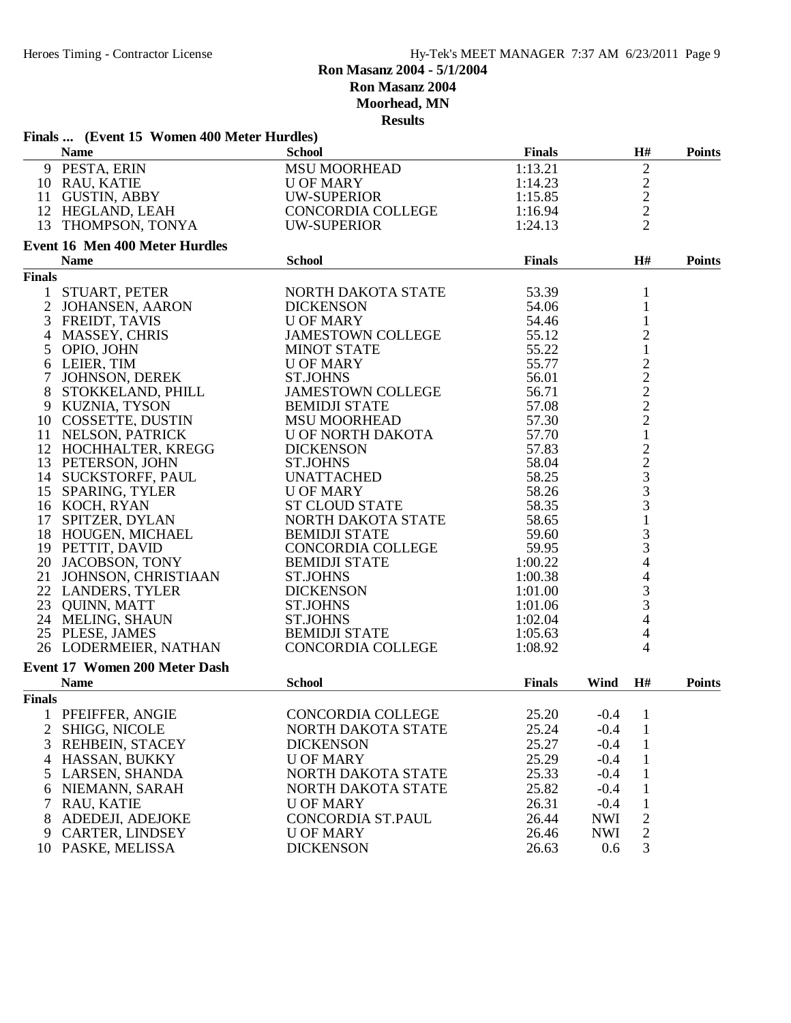# **Ron Masanz 2004 - 5/1/2004 Ron Masanz 2004**

**Moorhead, MN**

|                | Finals  (Event 15 Women 400 Meter Hurdles) | results                  |               |            |                                                   |               |
|----------------|--------------------------------------------|--------------------------|---------------|------------|---------------------------------------------------|---------------|
|                | <b>Name</b>                                | <b>School</b>            | <b>Finals</b> |            | H#                                                | <b>Points</b> |
|                | 9 PESTA, ERIN                              | <b>MSU MOORHEAD</b>      | 1:13.21       |            | $\overline{c}$                                    |               |
|                | 10 RAU, KATIE                              | U OF MARY                | 1:14.23       |            |                                                   |               |
|                | 11 GUSTIN, ABBY                            | <b>UW-SUPERIOR</b>       | 1:15.85       |            |                                                   |               |
|                | 12 HEGLAND, LEAH                           | CONCORDIA COLLEGE        | 1:16.94       |            | $\frac{2}{2}$                                     |               |
|                |                                            |                          |               |            | $\overline{2}$                                    |               |
|                | 13 THOMPSON, TONYA                         | <b>UW-SUPERIOR</b>       | 1:24.13       |            |                                                   |               |
|                | <b>Event 16 Men 400 Meter Hurdles</b>      | <b>School</b>            |               |            |                                                   |               |
|                | <b>Name</b>                                |                          | <b>Finals</b> |            | H#                                                | <b>Points</b> |
| <b>Finals</b>  |                                            |                          |               |            |                                                   |               |
| $\mathbf{1}$   | STUART, PETER                              | NORTH DAKOTA STATE       | 53.39         |            | $\mathbf{1}$                                      |               |
| $\overline{2}$ | <b>JOHANSEN, AARON</b>                     | <b>DICKENSON</b>         | 54.06         |            | $\mathbf{1}$                                      |               |
| 3              | FREIDT, TAVIS                              | <b>U OF MARY</b>         | 54.46         |            | $\mathbf{1}$                                      |               |
| 4              | <b>MASSEY, CHRIS</b>                       | <b>JAMESTOWN COLLEGE</b> | 55.12         |            | $\overline{c}$                                    |               |
| 5              | OPIO, JOHN                                 | <b>MINOT STATE</b>       | 55.22         |            | $\mathbf{1}$                                      |               |
| 6              | LEIER, TIM                                 | <b>U OF MARY</b>         | 55.77         |            | $\frac{2}{2}$<br>$\frac{2}{2}$                    |               |
| 7              | JOHNSON, DEREK                             | <b>ST.JOHNS</b>          | 56.01         |            |                                                   |               |
| 8              | STOKKELAND, PHILL                          | <b>JAMESTOWN COLLEGE</b> | 56.71         |            |                                                   |               |
| 9              | KUZNIA, TYSON                              | <b>BEMIDJI STATE</b>     | 57.08         |            |                                                   |               |
|                | 10 COSSETTE, DUSTIN                        | <b>MSU MOORHEAD</b>      | 57.30         |            |                                                   |               |
|                | 11 NELSON, PATRICK                         | <b>U OF NORTH DAKOTA</b> | 57.70         |            | $\mathbf{1}$                                      |               |
|                | 12 HOCHHALTER, KREGG                       | <b>DICKENSON</b>         | 57.83         |            |                                                   |               |
|                | 13 PETERSON, JOHN                          | <b>ST.JOHNS</b>          | 58.04         |            |                                                   |               |
|                | 14 SUCKSTORFF, PAUL                        | <b>UNATTACHED</b>        | 58.25         |            | $\begin{array}{c}\n2 \\ 2 \\ 3 \\ 3\n\end{array}$ |               |
|                | 15 SPARING, TYLER                          | <b>U OF MARY</b>         | 58.26         |            |                                                   |               |
|                | 16 KOCH, RYAN                              | <b>ST CLOUD STATE</b>    | 58.35         |            |                                                   |               |
| 17             | SPITZER, DYLAN                             | NORTH DAKOTA STATE       | 58.65         |            | $\mathbf{1}$                                      |               |
|                | 18 HOUGEN, MICHAEL                         | <b>BEMIDJI STATE</b>     | 59.60         |            | 3                                                 |               |
|                | 19 PETTIT, DAVID                           | <b>CONCORDIA COLLEGE</b> | 59.95         |            | 3                                                 |               |
|                | 20 JACOBSON, TONY                          | <b>BEMIDJI STATE</b>     | 1:00.22       |            | $\overline{\mathcal{L}}$                          |               |
|                |                                            | <b>ST.JOHNS</b>          | 1:00.38       |            |                                                   |               |
|                | 21 JOHNSON, CHRISTIAAN                     |                          |               |            | $\overline{\mathcal{L}}$                          |               |
|                | 22 LANDERS, TYLER                          | <b>DICKENSON</b>         | 1:01.00       |            | $\frac{3}{3}$                                     |               |
|                | 23 QUINN, MATT                             | <b>ST.JOHNS</b>          | 1:01.06       |            |                                                   |               |
|                | 24 MELING, SHAUN                           | <b>ST.JOHNS</b>          | 1:02.04       |            | $\overline{4}$                                    |               |
|                | 25 PLESE, JAMES                            | <b>BEMIDJI STATE</b>     | 1:05.63       |            | 4                                                 |               |
|                | 26 LODERMEIER, NATHAN                      | CONCORDIA COLLEGE        | 1:08.92       |            | 4                                                 |               |
|                | Event 17 Women 200 Meter Dash              |                          |               |            |                                                   |               |
|                | <b>Name</b>                                | <b>School</b>            | <b>Finals</b> | Wind       | H#                                                | <b>Points</b> |
| <b>Finals</b>  |                                            |                          |               |            |                                                   |               |
|                | 1 PFEIFFER, ANGIE                          | <b>CONCORDIA COLLEGE</b> | 25.20         | $-0.4$     | 1                                                 |               |
|                | 2 SHIGG, NICOLE                            | NORTH DAKOTA STATE       | 25.24         | $-0.4$     | $\mathbf{1}$                                      |               |
| 3              | <b>REHBEIN, STACEY</b>                     | <b>DICKENSON</b>         | 25.27         | $-0.4$     | $\mathbf{1}$                                      |               |
| 4              | HASSAN, BUKKY                              | <b>U OF MARY</b>         | 25.29         | $-0.4$     | $\mathbf{1}$                                      |               |
| 5              | LARSEN, SHANDA                             | NORTH DAKOTA STATE       | 25.33         | $-0.4$     | $\mathbf{1}$                                      |               |
| 6              | NIEMANN, SARAH                             | NORTH DAKOTA STATE       | 25.82         | $-0.4$     | $\mathbf{1}$                                      |               |
|                |                                            |                          |               |            |                                                   |               |
| 7              | RAU, KATIE                                 | <b>U OF MARY</b>         | 26.31         | $-0.4$     | $\mathbf{1}$                                      |               |
| 8              | ADEDEJI, ADEJOKE                           | CONCORDIA ST.PAUL        | 26.44         | <b>NWI</b> | $\overline{2}$                                    |               |
|                | 9 CARTER, LINDSEY                          | <b>U OF MARY</b>         | 26.46         | <b>NWI</b> | $\sqrt{2}$                                        |               |
|                | 10 PASKE, MELISSA                          | <b>DICKENSON</b>         | 26.63         | 0.6        | 3                                                 |               |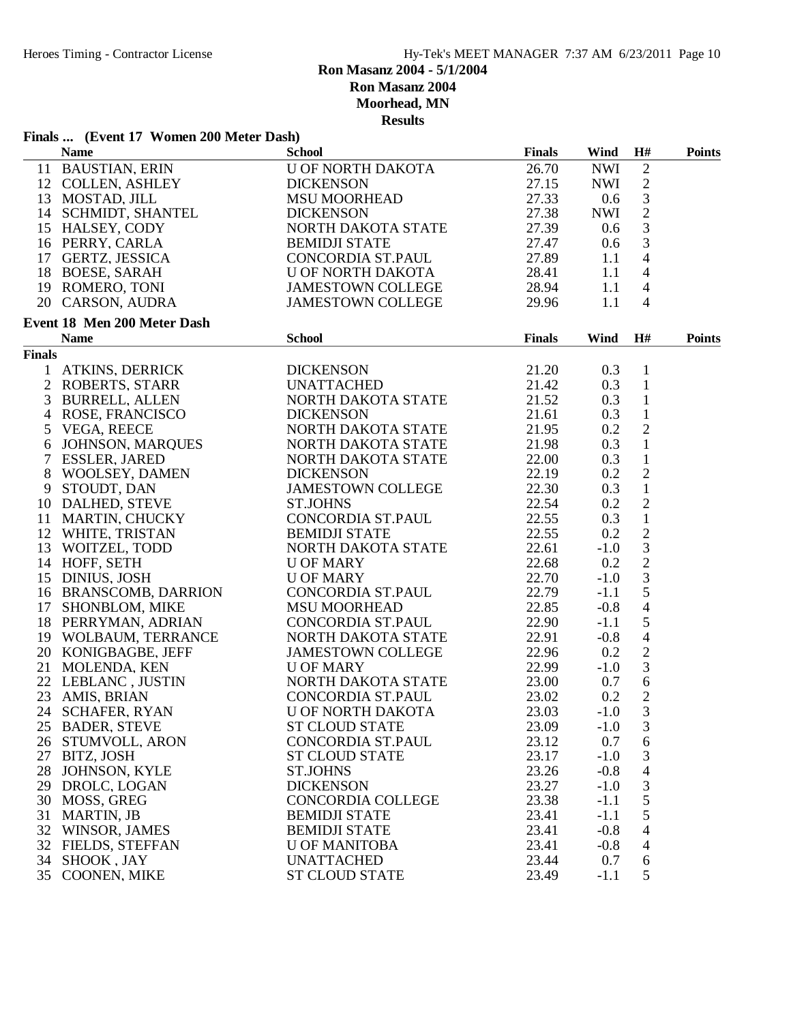#### **Ron Masanz 2004 - 5/1/2004 Ron Masanz 2004**

**Moorhead, MN**

|               | Finals  (Event 17 Women 200 Meter Dash)                                                                                                                                                                                     |                                                                                  |               |            |                                       |               |
|---------------|-----------------------------------------------------------------------------------------------------------------------------------------------------------------------------------------------------------------------------|----------------------------------------------------------------------------------|---------------|------------|---------------------------------------|---------------|
|               | <b>Name</b>                                                                                                                                                                                                                 | <b>School</b>                                                                    | <b>Finals</b> | Wind       | H#                                    | <b>Points</b> |
|               | 11 BAUSTIAN, ERIN                                                                                                                                                                                                           | <b>U OF NORTH DAKOTA</b>                                                         | 26.70         | <b>NWI</b> | $\sqrt{2}$                            |               |
|               | 12 COLLEN, ASHLEY<br>13 MOSTAD, JILL<br>14 SCHMIDT, SHANTEL                                                                                                                                                                 | <b>DICKENSON</b>                                                                 | 27.15         | NWI        | $\sqrt{2}$                            |               |
|               |                                                                                                                                                                                                                             | <b>MSU MOORHEAD</b>                                                              | 27.33         | 0.6        | $\mathfrak{Z}$                        |               |
|               |                                                                                                                                                                                                                             | DICKENSON<br>NORTH DAKOTA STATE                                                  | 27.38         | NWI        | $\overline{2}$                        |               |
|               | 15 HALSEY, CODY                                                                                                                                                                                                             |                                                                                  | 27.39         | 0.6        | $\mathfrak{Z}$                        |               |
|               | 16 PERRY, CARLA                                                                                                                                                                                                             |                                                                                  | 27.47         | 0.6        | $\overline{3}$                        |               |
|               | 17 GERTZ, JESSICA                                                                                                                                                                                                           | BEMIDJI STATE<br>CONCORDIA ST.PAUL                                               | 27.89         | 1.1        | $\overline{4}$                        |               |
|               |                                                                                                                                                                                                                             | U OF NORTH DAKOTA                                                                | 28.41         | 1.1        | $\overline{4}$                        |               |
|               | 18 BOESE, SARAH<br>19 ROMERO, TONI<br>20 CARSON, AUDRA                                                                                                                                                                      |                                                                                  | 28.94         | 1.1        | $\overline{4}$                        |               |
|               |                                                                                                                                                                                                                             | <b>JAMESTOWN COLLEGE</b><br><b>JAMESTOWN COLLEGE</b>                             |               | 1.1        | $\overline{4}$                        |               |
|               |                                                                                                                                                                                                                             |                                                                                  | 29.96         |            |                                       |               |
|               | Event 18 Men 200 Meter Dash                                                                                                                                                                                                 |                                                                                  |               |            |                                       |               |
|               | <b>Name</b>                                                                                                                                                                                                                 | <b>School</b>                                                                    | <b>Finals</b> | Wind       | H#                                    | <b>Points</b> |
| <b>Finals</b> |                                                                                                                                                                                                                             |                                                                                  |               |            |                                       |               |
|               | 1 ATKINS, DERRICK                                                                                                                                                                                                           |                                                                                  | 21.20         | 0.3        | $\mathbf{1}$                          |               |
|               | 2 ROBERTS, STARR                                                                                                                                                                                                            |                                                                                  | 21.42         | 0.3        | $\mathbf{1}$                          |               |
|               | 3 BURRELL, ALLEN                                                                                                                                                                                                            | DICKENSON<br>UNATTACHED<br>NORTH DAKOTA STATE<br>DICKENSON<br>NORTH DAKOTA STATE | 21.52         | 0.3        | $\mathbf{1}$                          |               |
|               |                                                                                                                                                                                                                             |                                                                                  | 21.61         | 0.3        | $\mathbf{1}$                          |               |
|               |                                                                                                                                                                                                                             |                                                                                  | 21.95         | 0.2        | $\sqrt{2}$                            |               |
|               |                                                                                                                                                                                                                             | NORTH DAKOTA STATE                                                               | 21.98         | 0.3        | $\mathbf{1}$                          |               |
|               |                                                                                                                                                                                                                             | NORTH DAKOTA STATE                                                               | 22.00         | 0.3        | $\mathbf{1}$                          |               |
|               | 3 BUKKELL, ALLEN<br>4 ROSE, FRANCISCO<br>5 VEGA, REECE<br>6 JOHNSON, MARQUES<br>7 ESSLER, JARED<br>8 WOOLSEY, DAMEN                                                                                                         | <b>DICKENSON</b>                                                                 | 22.19         | 0.2        |                                       |               |
|               |                                                                                                                                                                                                                             | JAMESTOWN COLLEGE                                                                | 22.30         | 0.3        | $\frac{2}{1}$                         |               |
|               |                                                                                                                                                                                                                             | <b>ST.JOHNS</b>                                                                  | 22.54         | 0.2        |                                       |               |
|               |                                                                                                                                                                                                                             | ST.JOHNS<br>CONCORDIA ST.PAUL<br>PEMIDU STATE                                    | 22.55         | 0.3        | $\begin{array}{c} 2 \\ 1 \end{array}$ |               |
|               | 8 WOOLSEY, DAMEN<br>9 STOUDT, DAN<br>10 DALHED, STEVE<br>11 MARTIN, CHUCKY<br>12 WHITE, TRISTAN<br>13 WOITZEL, TODD<br>14 HOFF, SETH<br>15 DINIUS, JOSH<br>16 BRANSCOMB, DARRION<br>17 SHONBLOM, MIKE<br>18 PERRYMAN ADRIAN |                                                                                  | 22.55         | 0.2        |                                       |               |
|               |                                                                                                                                                                                                                             | BEMIDJI STATE<br>NORTH DAKOTA STATE<br>U OF MARY<br>U OF MARY                    | 22.61         | $-1.0$     | $\frac{2}{3}$                         |               |
|               |                                                                                                                                                                                                                             |                                                                                  | 22.68         | 0.2        | $\overline{c}$                        |               |
|               |                                                                                                                                                                                                                             |                                                                                  | 22.70         |            | $\mathfrak{Z}$                        |               |
|               |                                                                                                                                                                                                                             | <b>U OF MARY</b>                                                                 |               | $-1.0$     | $\mathfrak s$                         |               |
|               |                                                                                                                                                                                                                             | CONCORDIA ST.PAUL                                                                | 22.79         | $-1.1$     |                                       |               |
|               |                                                                                                                                                                                                                             | <b>MSU MOORHEAD</b>                                                              | 22.85         | $-0.8$     | $\overline{4}$                        |               |
|               | 18 PERRYMAN, ADRIAN                                                                                                                                                                                                         | CONCORDIA ST.PAUL                                                                | 22.90         | $-1.1$     | $\sqrt{5}$                            |               |
|               | 19 WOLBAUM, TERRANCE<br>20 KONIGBAGBE, JEFF<br>21 MOURE LENG                                                                                                                                                                | NORTH DAKOTA STATE                                                               | 22.91         | $-0.8$     | $\overline{4}$                        |               |
|               |                                                                                                                                                                                                                             | JAMESTOWN COLLEGE                                                                | 22.96         | 0.2        | $\sqrt{2}$                            |               |
|               | 21 MOLENDA, KEN                                                                                                                                                                                                             | <b>U OF MARY</b>                                                                 | 22.99         | $-1.0$     | $\overline{3}$                        |               |
|               | 22 LEBLANC , JUSTIN<br>23 AMIS, BRIAN<br>24 SCUAEED BYAN                                                                                                                                                                    | NORTH DAKOTA STATE                                                               | 23.00         | 0.7        | $\sqrt{6}$                            |               |
|               |                                                                                                                                                                                                                             | CONCORDIA ST.PAUL                                                                | 23.02         | 0.2        | $\overline{2}$                        |               |
|               |                                                                                                                                                                                                                             | 24 SCHAFER, RYAN U OF NORTH DAKOTA                                               | 23.03         | $-1.0$     | 3                                     |               |
|               | 25 BADER, STEVE                                                                                                                                                                                                             | <b>ST CLOUD STATE</b>                                                            | 23.09         | $-1.0$     | $\mathfrak{Z}$                        |               |
|               | 26 STUMVOLL, ARON                                                                                                                                                                                                           | <b>CONCORDIA ST.PAUL</b>                                                         | 23.12         | 0.7        | 6                                     |               |
|               | 27 BITZ, JOSH                                                                                                                                                                                                               | <b>ST CLOUD STATE</b>                                                            | 23.17         | $-1.0$     | 3                                     |               |
|               | 28 JOHNSON, KYLE                                                                                                                                                                                                            | <b>ST.JOHNS</b>                                                                  | 23.26         | $-0.8$     | $\overline{4}$                        |               |
|               | 29 DROLC, LOGAN                                                                                                                                                                                                             | <b>DICKENSON</b>                                                                 | 23.27         | $-1.0$     | 3                                     |               |
|               | 30 MOSS, GREG                                                                                                                                                                                                               | <b>CONCORDIA COLLEGE</b>                                                         | 23.38         | $-1.1$     | $\mathfrak{S}$                        |               |
| 31            | MARTIN, JB                                                                                                                                                                                                                  | <b>BEMIDJI STATE</b>                                                             | 23.41         | $-1.1$     | $\mathfrak{S}$                        |               |
| 32            | WINSOR, JAMES                                                                                                                                                                                                               | <b>BEMIDJI STATE</b>                                                             | 23.41         | $-0.8$     | $\overline{4}$                        |               |
|               | 32 FIELDS, STEFFAN                                                                                                                                                                                                          | <b>U OF MANITOBA</b>                                                             | 23.41         | $-0.8$     | $\overline{4}$                        |               |
|               |                                                                                                                                                                                                                             |                                                                                  |               |            |                                       |               |
|               | 34 SHOOK, JAY                                                                                                                                                                                                               | <b>UNATTACHED</b>                                                                | 23.44         | 0.7        | 6                                     |               |
|               | 35 COONEN, MIKE                                                                                                                                                                                                             | <b>ST CLOUD STATE</b>                                                            | 23.49         | $-1.1$     | 5                                     |               |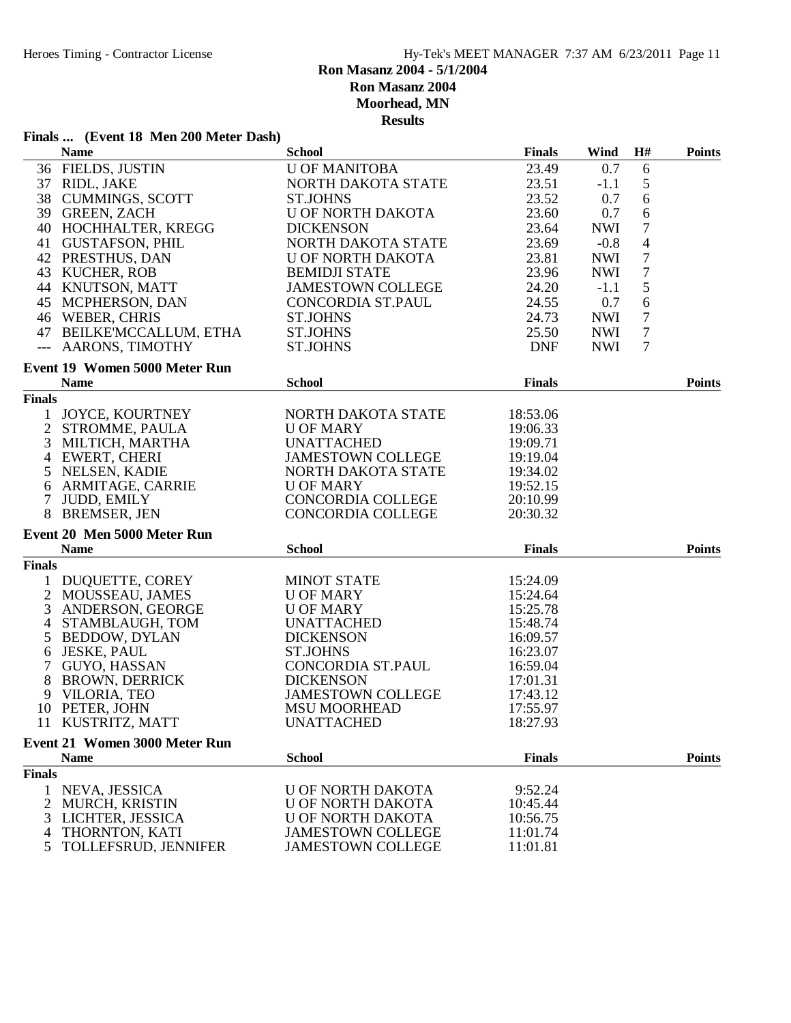# **Finals ... (Event 18 Men 200 Meter Dash)**

| <b>Name</b><br><b>School</b><br><b>Finals</b>                                                                                | Wind       | H#               | <b>Points</b> |
|------------------------------------------------------------------------------------------------------------------------------|------------|------------------|---------------|
| 36 FIELDS, JUSTIN<br>23.49<br><b>U OF MANITOBA</b>                                                                           | 0.7        | 6                |               |
| 37 RIDL, JAKE<br>NORTH DAKOTA STATE<br>23.51                                                                                 | $-1.1$     | $\mathfrak s$    |               |
| 38 CUMMINGS, SCOTT<br><b>ST.JOHNS</b><br>23.52                                                                               | 0.7        | $\sqrt{6}$       |               |
| 39 GREEN, ZACH<br><b>U OF NORTH DAKOTA</b><br>23.60                                                                          | 0.7        | $\sqrt{6}$       |               |
| 40 HOCHHALTER, KREGG<br><b>DICKENSON</b><br>23.64                                                                            | <b>NWI</b> | $\boldsymbol{7}$ |               |
| 41 GUSTAFSON, PHIL<br>NORTH DAKOTA STATE<br>23.69                                                                            | $-0.8$     | $\overline{4}$   |               |
| 42 PRESTHUS, DAN<br><b>U OF NORTH DAKOTA</b><br>23.81                                                                        | <b>NWI</b> | $\boldsymbol{7}$ |               |
| 43 KUCHER, ROB<br><b>BEMIDJI STATE</b><br>23.96                                                                              | <b>NWI</b> | $\boldsymbol{7}$ |               |
| 44 KNUTSON, MATT<br>24.20<br><b>JAMESTOWN COLLEGE</b>                                                                        | $-1.1$     | 5                |               |
| 45 MCPHERSON, DAN<br>24.55<br>CONCORDIA ST.PAUL                                                                              | 0.7        | $\sqrt{6}$       |               |
| 46 WEBER, CHRIS<br>24.73<br><b>ST.JOHNS</b>                                                                                  | <b>NWI</b> | $\boldsymbol{7}$ |               |
| 47 BEILKE'MCCALLUM, ETHA<br><b>ST.JOHNS</b><br>25.50                                                                         | <b>NWI</b> | $\boldsymbol{7}$ |               |
| --- AARONS, TIMOTHY<br><b>ST.JOHNS</b><br><b>DNF</b>                                                                         | <b>NWI</b> | $\overline{7}$   |               |
| <b>Event 19 Women 5000 Meter Run</b>                                                                                         |            |                  |               |
| <b>School</b><br><b>Finals</b><br><b>Name</b>                                                                                |            |                  | <b>Points</b> |
| <b>Finals</b>                                                                                                                |            |                  |               |
| 1 JOYCE, KOURTNEY<br>NORTH DAKOTA STATE<br>18:53.06                                                                          |            |                  |               |
| 2 STROMME, PAULA<br><b>U OF MARY</b><br>19:06.33                                                                             |            |                  |               |
| 3<br><b>UNATTACHED</b><br>MILTICH, MARTHA<br>19:09.71                                                                        |            |                  |               |
| EWERT, CHERI<br><b>JAMESTOWN COLLEGE</b><br>$\overline{4}$<br>19:19.04                                                       |            |                  |               |
| 5<br>NELSEN, KADIE<br>NORTH DAKOTA STATE<br>19:34.02                                                                         |            |                  |               |
| 6 ARMITAGE, CARRIE<br><b>U OF MARY</b><br>19:52.15                                                                           |            |                  |               |
| $\tau$<br><b>JUDD, EMILY</b><br>CONCORDIA COLLEGE<br>20:10.99                                                                |            |                  |               |
| 8 BREMSER, JEN<br><b>CONCORDIA COLLEGE</b><br>20:30.32                                                                       |            |                  |               |
| Event 20 Men 5000 Meter Run                                                                                                  |            |                  |               |
| <b>School</b><br><b>Name</b><br><b>Finals</b>                                                                                |            |                  | <b>Points</b> |
| <b>Finals</b>                                                                                                                |            |                  |               |
| DUQUETTE, COREY<br><b>MINOT STATE</b><br>15:24.09<br>1                                                                       |            |                  |               |
| 2 MOUSSEAU, JAMES<br>15:24.64<br><b>U OF MARY</b>                                                                            |            |                  |               |
| 3<br>ANDERSON, GEORGE<br><b>U OF MARY</b><br>15:25.78                                                                        |            |                  |               |
| STAMBLAUGH, TOM<br><b>UNATTACHED</b><br>$\overline{4}$<br>15:48.74                                                           |            |                  |               |
| 5<br><b>BEDDOW, DYLAN</b><br><b>DICKENSON</b><br>16:09.57                                                                    |            |                  |               |
| <b>JESKE, PAUL</b><br>6<br><b>ST.JOHNS</b><br>16:23.07                                                                       |            |                  |               |
| $\overline{7}$<br>GUYO, HASSAN<br>CONCORDIA ST.PAUL<br>16:59.04                                                              |            |                  |               |
| 8<br><b>DICKENSON</b><br><b>BROWN, DERRICK</b><br>17:01.31                                                                   |            |                  |               |
| 9 VILORIA, TEO<br><b>JAMESTOWN COLLEGE</b><br>17:43.12                                                                       |            |                  |               |
| 10 PETER, JOHN<br><b>MSU MOORHEAD</b><br>17:55.97                                                                            |            |                  |               |
| 11 KUSTRITZ, MATT<br><b>UNATTACHED</b><br>18:27.93                                                                           |            |                  |               |
| <b>Event 21 Women 3000 Meter Run</b>                                                                                         |            |                  |               |
| <b>School</b><br><b>Finals</b><br><b>Name</b>                                                                                |            |                  | <b>Points</b> |
| <b>Finals</b>                                                                                                                |            |                  |               |
| NEVA, JESSICA<br>U OF NORTH DAKOTA<br>9:52.24<br>1                                                                           |            |                  |               |
|                                                                                                                              |            |                  |               |
|                                                                                                                              |            |                  |               |
| 2<br>MURCH, KRISTIN<br><b>U OF NORTH DAKOTA</b><br>10:45.44                                                                  |            |                  |               |
| 3<br>LICHTER, JESSICA<br><b>U OF NORTH DAKOTA</b><br>10:56.75<br>THORNTON, KATI<br><b>JAMESTOWN COLLEGE</b><br>11:01.74<br>4 |            |                  |               |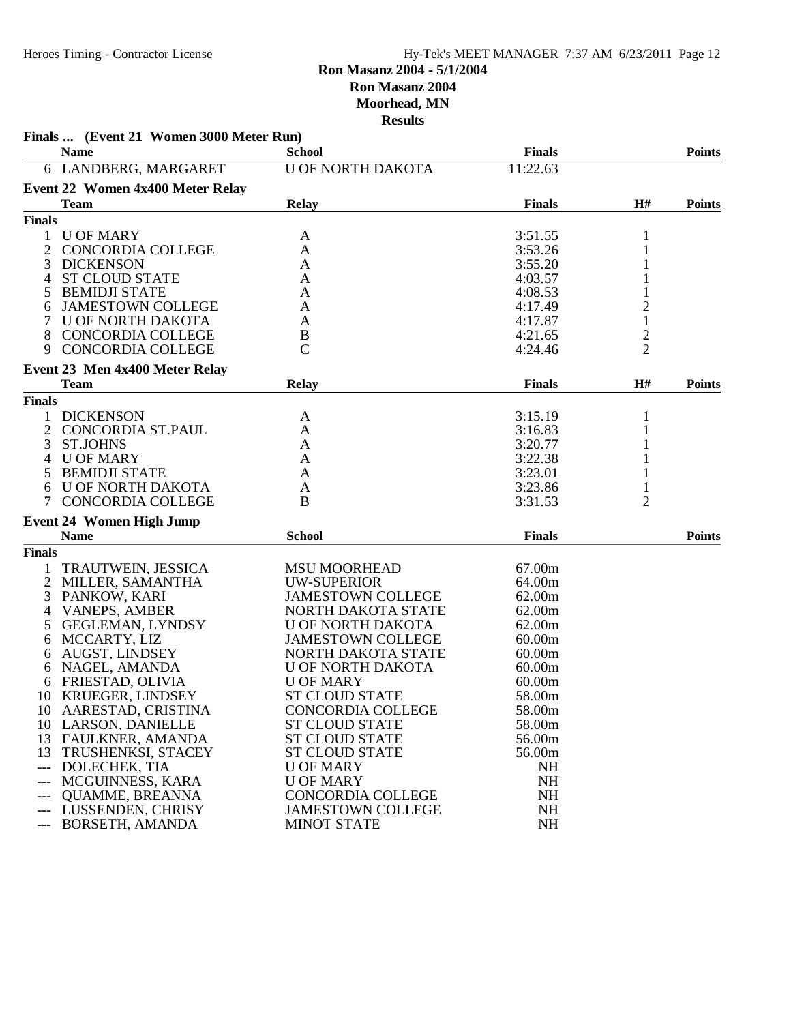|                | Finals  (Event 21 Women 3000 Meter Run) |                          |               |                         |               |
|----------------|-----------------------------------------|--------------------------|---------------|-------------------------|---------------|
|                | <b>Name</b>                             | <b>School</b>            | <b>Finals</b> |                         | <b>Points</b> |
|                | 6 LANDBERG, MARGARET                    | <b>U OF NORTH DAKOTA</b> | 11:22.63      |                         |               |
|                | Event 22 Women 4x400 Meter Relay        |                          |               |                         |               |
|                | <b>Team</b>                             | <b>Relay</b>             | <b>Finals</b> | H#                      | <b>Points</b> |
| <b>Finals</b>  |                                         |                          |               |                         |               |
| 1              | <b>U OF MARY</b>                        | A                        | 3:51.55       | 1                       |               |
| $\overline{2}$ | CONCORDIA COLLEGE                       | A                        | 3:53.26       | 1                       |               |
| 3              | <b>DICKENSON</b>                        | A                        | 3:55.20       |                         |               |
| 4              | <b>ST CLOUD STATE</b>                   | A                        | 4:03.57       |                         |               |
|                | <b>BEMIDJI STATE</b>                    | A                        | 4:08.53       |                         |               |
| 6              | <b>JAMESTOWN COLLEGE</b>                | A                        | 4:17.49       | $\overline{c}$          |               |
|                | U OF NORTH DAKOTA                       | A                        | 4:17.87       | $\mathbf 1$             |               |
| 8              | CONCORDIA COLLEGE                       | B                        | 4:21.65       | $\overline{\mathbf{c}}$ |               |
| 9              | <b>CONCORDIA COLLEGE</b>                | $\mathcal{C}$            | 4:24.46       | $\overline{2}$          |               |
|                | Event 23 Men 4x400 Meter Relay          |                          |               |                         |               |
|                | <b>Team</b>                             | <b>Relay</b>             | <b>Finals</b> | H#                      | <b>Points</b> |
| <b>Finals</b>  |                                         |                          |               |                         |               |
|                | <b>DICKENSON</b>                        | A                        | 3:15.19       | 1                       |               |
| 2              | CONCORDIA ST.PAUL                       | A                        | 3:16.83       | 1                       |               |
| 3              | <b>ST.JOHNS</b>                         | A                        | 3:20.77       |                         |               |
| 4              | <b>U OF MARY</b>                        | A                        | 3:22.38       |                         |               |
| 5              | <b>BEMIDJI STATE</b>                    | A                        | 3:23.01       |                         |               |
| 6              | U OF NORTH DAKOTA                       | A                        | 3:23.86       |                         |               |
| 7              | <b>CONCORDIA COLLEGE</b>                | B                        | 3:31.53       | 2                       |               |
|                | <b>Event 24 Women High Jump</b>         |                          |               |                         |               |
|                | <b>Name</b>                             | <b>School</b>            | <b>Finals</b> |                         | <b>Points</b> |
| <b>Finals</b>  |                                         |                          |               |                         |               |
| 1              | TRAUTWEIN, JESSICA                      | <b>MSU MOORHEAD</b>      | 67.00m        |                         |               |
|                | 2 MILLER, SAMANTHA                      | <b>UW-SUPERIOR</b>       | 64.00m        |                         |               |
| 3              | PANKOW, KARI                            | <b>JAMESTOWN COLLEGE</b> | 62.00m        |                         |               |
| 4              | <b>VANEPS, AMBER</b>                    | NORTH DAKOTA STATE       | 62.00m        |                         |               |
| 5              | GEGLEMAN, LYNDSY                        | U OF NORTH DAKOTA        | 62.00m        |                         |               |
| 6              | MCCARTY, LIZ                            | <b>JAMESTOWN COLLEGE</b> | 60.00m        |                         |               |
| 6              | AUGST, LINDSEY                          | NORTH DAKOTA STATE       | 60.00m        |                         |               |
| 6              | NAGEL, AMANDA                           | U OF NORTH DAKOTA        | 60.00m        |                         |               |
| 6              | FRIESTAD, OLIVIA                        | <b>U OF MARY</b>         | 60.00m        |                         |               |
| 10             | <b>KRUEGER, LINDSEY</b>                 | <b>ST CLOUD STATE</b>    | 58.00m        |                         |               |
|                | 10 AARESTAD, CRISTINA                   | CONCORDIA COLLEGE        | 58.00m        |                         |               |
|                | 10 LARSON, DANIELLE                     | <b>ST CLOUD STATE</b>    | 58.00m        |                         |               |
|                | 13 FAULKNER, AMANDA                     | <b>ST CLOUD STATE</b>    | 56.00m        |                         |               |
|                | 13 TRUSHENKSI, STACEY                   | <b>ST CLOUD STATE</b>    | 56.00m        |                         |               |
| $---$          | DOLECHEK, TIA                           | <b>U OF MARY</b>         | <b>NH</b>     |                         |               |
| ---            | MCGUINNESS, KARA                        | <b>U OF MARY</b>         | <b>NH</b>     |                         |               |
|                | <b>QUAMME, BREANNA</b>                  | <b>CONCORDIA COLLEGE</b> | <b>NH</b>     |                         |               |
| $---$          | LUSSENDEN, CHRISY                       | <b>JAMESTOWN COLLEGE</b> | <b>NH</b>     |                         |               |
| $---$          | BORSETH, AMANDA                         | <b>MINOT STATE</b>       | <b>NH</b>     |                         |               |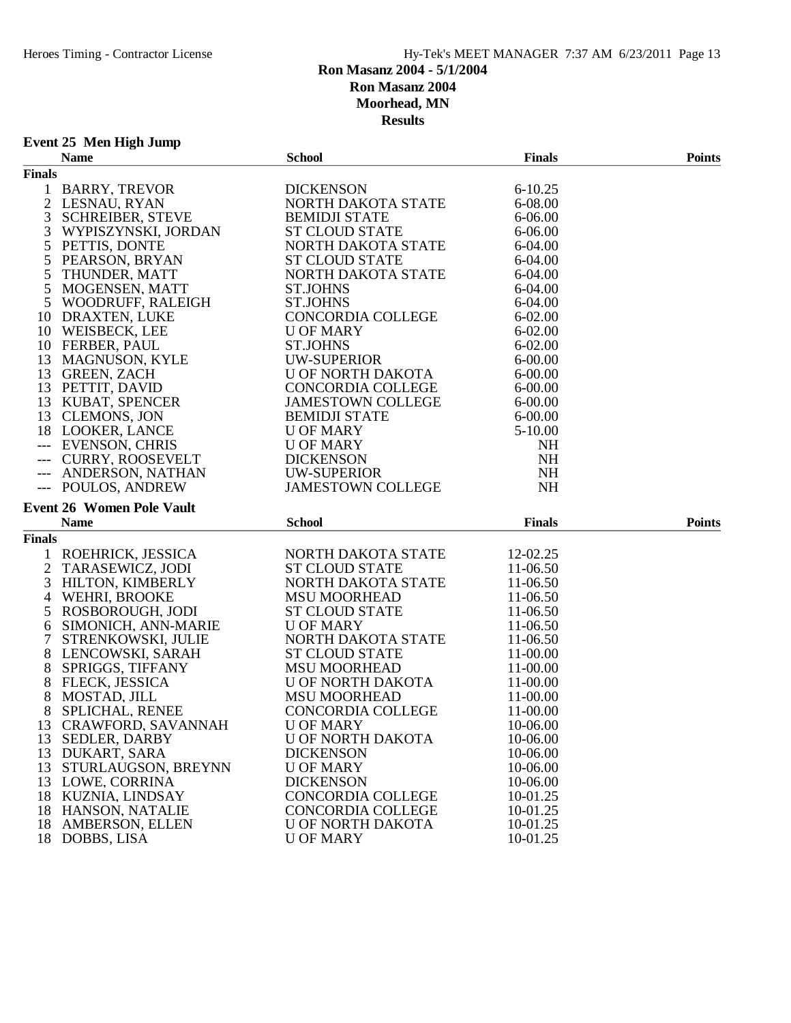# **Event 25 Men High Jump**

|               | <b>Name</b>                              | <b>School</b>                                | <b>Finals</b>        | <b>Points</b> |
|---------------|------------------------------------------|----------------------------------------------|----------------------|---------------|
| <b>Finals</b> |                                          |                                              |                      |               |
|               | 1 BARRY, TREVOR                          | <b>DICKENSON</b>                             | $6 - 10.25$          |               |
|               | 2 LESNAU, RYAN                           | NORTH DAKOTA STATE                           | 6-08.00              |               |
| 3             | <b>SCHREIBER, STEVE</b>                  | <b>BEMIDJI STATE</b>                         | 6-06.00              |               |
| 3             | WYPISZYNSKI, JORDAN                      | <b>ST CLOUD STATE</b>                        | 6-06.00              |               |
| 5             | PETTIS, DONTE                            | NORTH DAKOTA STATE                           | 6-04.00              |               |
| 5             | PEARSON, BRYAN                           | <b>ST CLOUD STATE</b>                        | 6-04.00              |               |
| 5             | THUNDER, MATT                            | NORTH DAKOTA STATE                           | 6-04.00              |               |
| 5             | MOGENSEN, MATT                           | <b>ST.JOHNS</b>                              | 6-04.00              |               |
| 5             | WOODRUFF, RALEIGH                        | <b>ST.JOHNS</b>                              | 6-04.00              |               |
|               | 10 DRAXTEN, LUKE                         | CONCORDIA COLLEGE                            | $6 - 02.00$          |               |
|               | 10 WEISBECK, LEE                         | <b>U OF MARY</b>                             | $6 - 02.00$          |               |
|               | 10 FERBER, PAUL                          | <b>ST.JOHNS</b>                              | $6 - 02.00$          |               |
|               | 13 MAGNUSON, KYLE                        | <b>UW-SUPERIOR</b>                           | 6-00.00              |               |
|               | 13 GREEN, ZACH                           | U OF NORTH DAKOTA                            | $6 - 00.00$          |               |
|               | 13 PETTIT, DAVID                         | CONCORDIA COLLEGE                            | $6 - 00.00$          |               |
|               | 13 KUBAT, SPENCER                        | <b>JAMESTOWN COLLEGE</b>                     | $6 - 00.00$          |               |
|               | 13 CLEMONS, JON                          | <b>BEMIDJI STATE</b>                         | $6 - 00.00$          |               |
|               | 18 LOOKER, LANCE                         | <b>U OF MARY</b>                             | $5 - 10.00$          |               |
|               | --- EVENSON, CHRIS                       | <b>U OF MARY</b>                             | NH                   |               |
|               | --- CURRY, ROOSEVELT                     | <b>DICKENSON</b>                             | <b>NH</b>            |               |
| $---$         | ANDERSON, NATHAN                         | UW-SUPERIOR                                  | NH                   |               |
|               | --- POULOS, ANDREW                       | <b>JAMESTOWN COLLEGE</b>                     | <b>NH</b>            |               |
|               |                                          |                                              |                      |               |
|               | <b>Event 26 Women Pole Vault</b>         |                                              |                      |               |
|               | <b>Name</b>                              | <b>School</b>                                | <b>Finals</b>        | <b>Points</b> |
|               |                                          |                                              |                      |               |
| <b>Finals</b> |                                          | NORTH DAKOTA STATE                           | 12-02.25             |               |
| 1             | ROEHRICK, JESSICA                        |                                              |                      |               |
| 2             | TARASEWICZ, JODI                         | <b>ST CLOUD STATE</b>                        | 11-06.50             |               |
| 3             | <b>HILTON, KIMBERLY</b>                  | NORTH DAKOTA STATE                           | 11-06.50             |               |
| 4             | WEHRI, BROOKE                            | <b>MSU MOORHEAD</b>                          | 11-06.50             |               |
| 5             | ROSBOROUGH, JODI                         | <b>ST CLOUD STATE</b>                        | 11-06.50             |               |
| 6             | SIMONICH, ANN-MARIE                      | <b>U OF MARY</b>                             | 11-06.50             |               |
| 7             | STRENKOWSKI, JULIE                       | NORTH DAKOTA STATE                           | 11-06.50             |               |
| 8             | LENCOWSKI, SARAH                         | <b>ST CLOUD STATE</b>                        | 11-00.00             |               |
| 8             | SPRIGGS, TIFFANY                         | <b>MSU MOORHEAD</b>                          | 11-00.00             |               |
| 8             | FLECK, JESSICA                           | U OF NORTH DAKOTA                            | 11-00.00             |               |
| 8             | MOSTAD, JILL                             | <b>MSU MOORHEAD</b>                          | 11-00.00             |               |
| 8             | <b>SPLICHAL, RENEE</b>                   | CONCORDIA COLLEGE                            | 11-00.00             |               |
| 13            | <b>CRAWFORD, SAVANNAH</b>                | <b>U OF MARY</b>                             | 10-06.00             |               |
|               | 13 SEDLER, DARBY                         | <b>U OF NORTH DAKOTA</b>                     | 10-06.00             |               |
|               | 13 DUKART, SARA                          | <b>DICKENSON</b>                             | 10-06.00             |               |
| 13            | STURLAUGSON, BREYNN                      | <b>U OF MARY</b>                             | 10-06.00             |               |
| 13            | LOWE, CORRINA                            | <b>DICKENSON</b>                             | 10-06.00             |               |
| 18            | KUZNIA, LINDSAY                          | CONCORDIA COLLEGE                            | 10-01.25             |               |
| 18            | HANSON, NATALIE                          | <b>CONCORDIA COLLEGE</b>                     | 10-01.25             |               |
| 18            | <b>AMBERSON, ELLEN</b><br>18 DOBBS, LISA | <b>U OF NORTH DAKOTA</b><br><b>U OF MARY</b> | 10-01.25<br>10-01.25 |               |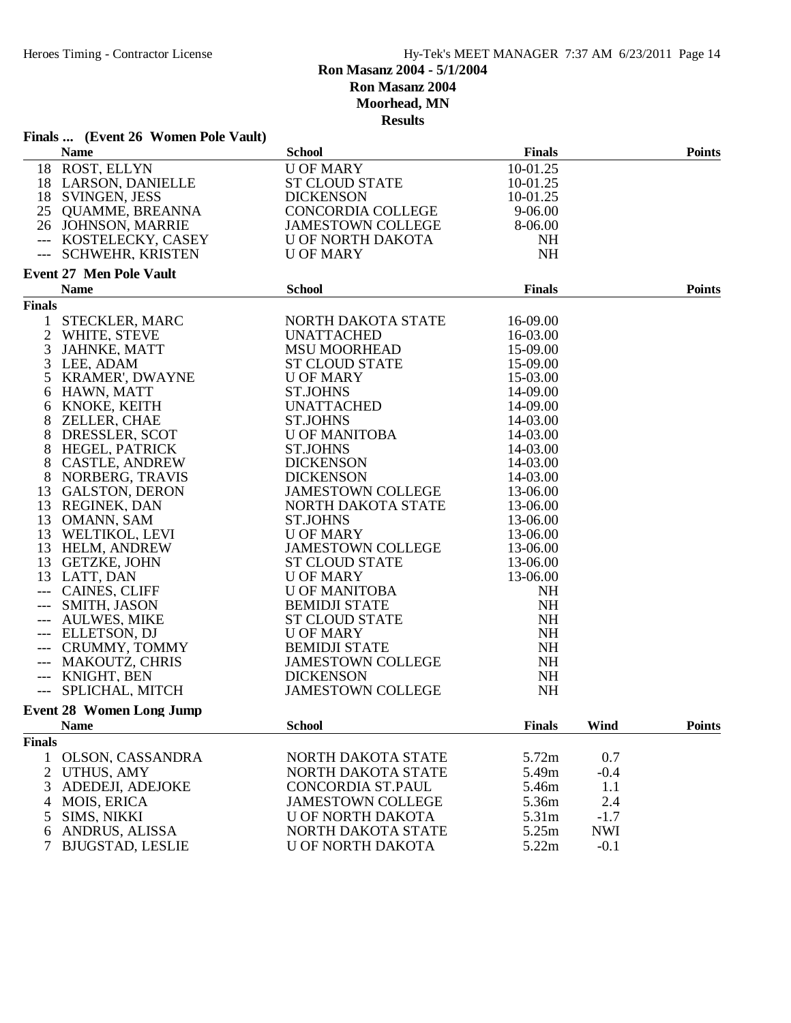| Finals  (Event 26 Women Pole Vault)   |                          |               |            |               |
|---------------------------------------|--------------------------|---------------|------------|---------------|
| <b>Name</b>                           | <b>School</b>            | <b>Finals</b> |            | <b>Points</b> |
| 18 ROST, ELLYN                        | <b>U OF MARY</b>         | 10-01.25      |            |               |
| 18 LARSON, DANIELLE                   | <b>ST CLOUD STATE</b>    | 10-01.25      |            |               |
| 18 SVINGEN, JESS                      | <b>DICKENSON</b>         | 10-01.25      |            |               |
| 25 QUAMME, BREANNA                    | CONCORDIA COLLEGE        | 9-06.00       |            |               |
| 26 JOHNSON, MARRIE                    | <b>JAMESTOWN COLLEGE</b> | 8-06.00       |            |               |
| --- KOSTELECKY, CASEY                 | U OF NORTH DAKOTA        | <b>NH</b>     |            |               |
| --- SCHWEHR, KRISTEN                  | <b>U OF MARY</b>         | NH            |            |               |
|                                       |                          |               |            |               |
| <b>Event 27 Men Pole Vault</b>        | <b>School</b>            | <b>Finals</b> |            |               |
| <b>Name</b>                           |                          |               |            | <b>Points</b> |
| <b>Finals</b>                         |                          |               |            |               |
| $\mathbf{1}$<br><b>STECKLER, MARC</b> | NORTH DAKOTA STATE       | 16-09.00      |            |               |
| $\overline{2}$<br>WHITE, STEVE        | UNATTACHED               | 16-03.00      |            |               |
| 3<br>JAHNKE, MATT                     | <b>MSU MOORHEAD</b>      | 15-09.00      |            |               |
| 3 LEE, ADAM                           | <b>ST CLOUD STATE</b>    | 15-09.00      |            |               |
| 5 KRAMER', DWAYNE                     | <b>U OF MARY</b>         | 15-03.00      |            |               |
| 6 HAWN, MATT                          | <b>ST.JOHNS</b>          | 14-09.00      |            |               |
| 6 KNOKE, KEITH                        | <b>UNATTACHED</b>        | 14-09.00      |            |               |
| 8<br>ZELLER, CHAE                     | <b>ST.JOHNS</b>          | 14-03.00      |            |               |
| 8<br>DRESSLER, SCOT                   | <b>U OF MANITOBA</b>     | 14-03.00      |            |               |
| 8 HEGEL, PATRICK                      | <b>ST.JOHNS</b>          | 14-03.00      |            |               |
| 8<br><b>CASTLE, ANDREW</b>            | <b>DICKENSON</b>         | 14-03.00      |            |               |
| NORBERG, TRAVIS<br>8                  | <b>DICKENSON</b>         | 14-03.00      |            |               |
| 13 GALSTON, DERON                     | <b>JAMESTOWN COLLEGE</b> | 13-06.00      |            |               |
| 13 REGINEK, DAN                       | NORTH DAKOTA STATE       | 13-06.00      |            |               |
| 13 OMANN, SAM                         | <b>ST.JOHNS</b>          | 13-06.00      |            |               |
|                                       | <b>U OF MARY</b>         | 13-06.00      |            |               |
| 13 WELTIKOL, LEVI                     |                          |               |            |               |
| 13 HELM, ANDREW                       | <b>JAMESTOWN COLLEGE</b> | 13-06.00      |            |               |
| 13 GETZKE, JOHN                       | <b>ST CLOUD STATE</b>    | 13-06.00      |            |               |
| 13 LATT, DAN                          | <b>U OF MARY</b>         | 13-06.00      |            |               |
| --- CAINES, CLIFF                     | <b>U OF MANITOBA</b>     | <b>NH</b>     |            |               |
| SMITH, JASON<br>$---$                 | <b>BEMIDJI STATE</b>     | <b>NH</b>     |            |               |
| --- AULWES, MIKE                      | <b>ST CLOUD STATE</b>    | <b>NH</b>     |            |               |
| --- ELLETSON, DJ                      | <b>U OF MARY</b>         | <b>NH</b>     |            |               |
| --- CRUMMY, TOMMY                     | <b>BEMIDJI STATE</b>     | <b>NH</b>     |            |               |
| --- MAKOUTZ, CHRIS                    | <b>JAMESTOWN COLLEGE</b> | <b>NH</b>     |            |               |
| --- KNIGHT, BEN                       | <b>DICKENSON</b>         | NH            |            |               |
| SPLICHAL, MITCH                       | <b>JAMESTOWN COLLEGE</b> | <b>NH</b>     |            |               |
| <b>Event 28 Women Long Jump</b>       |                          |               |            |               |
| <b>Name</b>                           | <b>School</b>            | <b>Finals</b> | Wind       | <b>Points</b> |
| <b>Finals</b>                         |                          |               |            |               |
| OLSON, CASSANDRA<br>$\mathbf{1}$      | NORTH DAKOTA STATE       | 5.72m         | 0.7        |               |
| 2<br><b>UTHUS, AMY</b>                | NORTH DAKOTA STATE       | 5.49m         | $-0.4$     |               |
|                                       |                          |               |            |               |
| ADEDEJI, ADEJOKE<br>3                 | CONCORDIA ST.PAUL        | 5.46m         | 1.1        |               |
| <b>MOIS, ERICA</b><br>4               | <b>JAMESTOWN COLLEGE</b> | 5.36m         | 2.4        |               |
| SIMS, NIKKI<br>5                      | U OF NORTH DAKOTA        | 5.31m         | $-1.7$     |               |
| ANDRUS, ALISSA<br>6                   | NORTH DAKOTA STATE       | 5.25m         | <b>NWI</b> |               |
| $\tau$<br><b>BJUGSTAD, LESLIE</b>     | <b>U OF NORTH DAKOTA</b> | 5.22m         | $-0.1$     |               |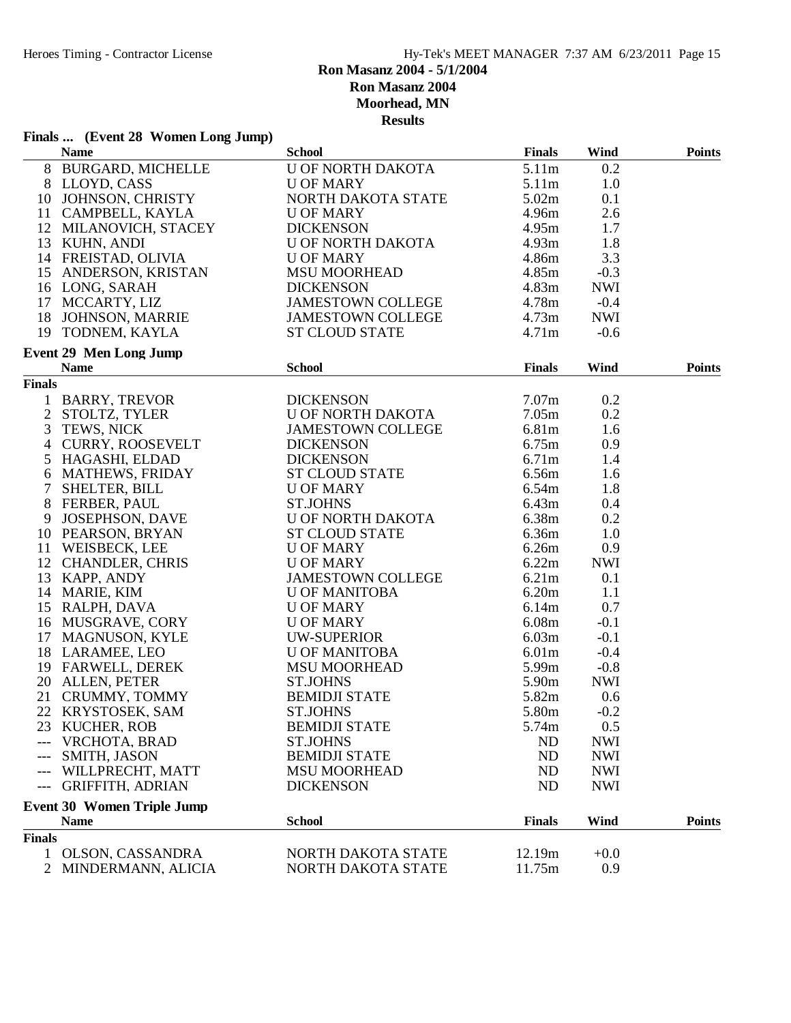# **Finals ... (Event 28 Women Long Jump)**

|                | <b>Name</b>                                                                                                                                                                                                        | <b>School</b>                                                                                                                                                                       | <b>Finals</b>     | Wind       | <b>Points</b> |
|----------------|--------------------------------------------------------------------------------------------------------------------------------------------------------------------------------------------------------------------|-------------------------------------------------------------------------------------------------------------------------------------------------------------------------------------|-------------------|------------|---------------|
|                | 8 BURGARD, MICHELLE<br>8 LLOYD, CASS<br>10 JOHNSON, CHRISTY<br>11 CAMPBELL, KAYLA                                                                                                                                  | U OF NORTH DAKOTA<br>U OF MARY<br>NORTH DAKOTA STATE<br>U OF MARY<br>DICKENSON<br>U OF NORTH DAKOTA<br>U OF MARY                                                                    | 5.11m             | 0.2        |               |
|                |                                                                                                                                                                                                                    |                                                                                                                                                                                     | 5.11m             | 1.0        |               |
|                |                                                                                                                                                                                                                    |                                                                                                                                                                                     | 5.02m             | 0.1        |               |
|                |                                                                                                                                                                                                                    |                                                                                                                                                                                     | 4.96m             | 2.6        |               |
|                |                                                                                                                                                                                                                    |                                                                                                                                                                                     | 4.95m             | 1.7        |               |
|                |                                                                                                                                                                                                                    |                                                                                                                                                                                     | 4.93m             | 1.8        |               |
|                | 12 MILANOVICH, STACEY<br>13 KUHN, ANDI<br>14 FREISTAD, OLIVIA                                                                                                                                                      |                                                                                                                                                                                     | 4.86m             | 3.3        |               |
|                |                                                                                                                                                                                                                    | U OF MARY<br>MSU MOORHEAD                                                                                                                                                           | 4.85m             | $-0.3$     |               |
|                | 15 ANDERSON, KRISTAN<br>16 LONG, SARAH                                                                                                                                                                             |                                                                                                                                                                                     | 4.83m             | <b>NWI</b> |               |
|                |                                                                                                                                                                                                                    | DICKENSON<br>JAMESTOWN COLLEGE                                                                                                                                                      | 4.78 <sub>m</sub> | $-0.4$     |               |
|                | 17 MCCARTY, LIZ<br>18 JOHNSON, MARRIE                                                                                                                                                                              | JAMESTOWN COLLEGE                                                                                                                                                                   | 4.73m             | <b>NWI</b> |               |
|                | 19 TODNEM, KAYLA                                                                                                                                                                                                   | <b>ST CLOUD STATE</b>                                                                                                                                                               | 4.71m             | $-0.6$     |               |
|                | <b>Event 29 Men Long Jump</b>                                                                                                                                                                                      |                                                                                                                                                                                     |                   |            |               |
|                | <b>Name</b>                                                                                                                                                                                                        | <b>School</b>                                                                                                                                                                       | <b>Finals</b>     | Wind       | <b>Points</b> |
| <b>Finals</b>  |                                                                                                                                                                                                                    |                                                                                                                                                                                     |                   |            |               |
|                | 1 BARRY, TREVOR<br>2 STOLTZ, TYLER<br>3 TEWS, NICK<br>4 CURRY, ROOSEVELT<br>5 HAGASHI, ELDAD                                                                                                                       | <b>DICKENSON</b>                                                                                                                                                                    | 7.07 <sub>m</sub> | 0.2        |               |
|                |                                                                                                                                                                                                                    | U OF NORTH DAKOTA                                                                                                                                                                   | 7.05m             | 0.2        |               |
|                |                                                                                                                                                                                                                    |                                                                                                                                                                                     | 6.81m             | 1.6        |               |
|                |                                                                                                                                                                                                                    |                                                                                                                                                                                     | 6.75m             | 0.9        |               |
|                |                                                                                                                                                                                                                    |                                                                                                                                                                                     | 6.71m             | 1.4        |               |
|                | 6 MATHEWS, FRIDAY                                                                                                                                                                                                  | JAMESTOWN COLLEGE<br>DICKENSON<br>DICKENSON<br>ST CLOUD STATE<br>MONADY                                                                                                             | 6.56m             | 1.6        |               |
| $\tau$         | SHELTER, BILL                                                                                                                                                                                                      |                                                                                                                                                                                     | 6.54m             | 1.8        |               |
|                |                                                                                                                                                                                                                    |                                                                                                                                                                                     | 6.43m             | 0.4        |               |
|                | 7 SHELTER, BILL<br>8 FERBER, PAUL<br>9 JOSEPHSON, DAVE<br>10 PEARSON, BRYAN<br>11 WEISBECK, LEE<br>12 CHANDLER, CHRIS<br>13 KAPP, ANDY<br>14 MARIE, KIM<br>15 RALPH, DAVA<br>16 MUSGRAVE, CORY<br>17 MAGNISON KYLE | U OF MARY<br>ST.JOHNS<br>U OF NORTH DAKOTA                                                                                                                                          | 6.38m             | 0.2        |               |
|                |                                                                                                                                                                                                                    | ST CLOUD STATE<br>U OF MARY<br>V OF MARY                                                                                                                                            | 6.36m             | 1.0        |               |
|                |                                                                                                                                                                                                                    |                                                                                                                                                                                     | 6.26m             | 0.9        |               |
|                |                                                                                                                                                                                                                    | <b>U OF MARY</b>                                                                                                                                                                    | 6.22m             | <b>NWI</b> |               |
|                |                                                                                                                                                                                                                    |                                                                                                                                                                                     | 6.21m             | 0.1        |               |
|                |                                                                                                                                                                                                                    |                                                                                                                                                                                     | 6.20m             | 1.1        |               |
|                |                                                                                                                                                                                                                    |                                                                                                                                                                                     | 6.14m             | 0.7        |               |
|                |                                                                                                                                                                                                                    |                                                                                                                                                                                     | 6.08m             | $-0.1$     |               |
|                |                                                                                                                                                                                                                    |                                                                                                                                                                                     | 6.03m             | $-0.1$     |               |
|                | 17 MAGNUSON, KYLE<br>18 LARAMEE, LEO<br>19 FARWELL, DEREK                                                                                                                                                          |                                                                                                                                                                                     | 6.01 <sub>m</sub> | $-0.4$     |               |
|                |                                                                                                                                                                                                                    |                                                                                                                                                                                     | 5.99m             | $-0.8$     |               |
|                | 20 ALLEN, PETER                                                                                                                                                                                                    | U OF MARY<br>JAMESTOWN COLLEGE<br>U OF MANITOBA<br>U OF MARY<br>U OF MARY<br>UW-SUPERIOR<br>U OF MANITOBA<br>MSU MOORHEAD<br>ST.JOHNS<br>BEMIDJI STATE<br>ST.JOHNS<br>BEMIDJI STATE | 5.90 <sub>m</sub> | <b>NWI</b> |               |
|                | 21 CRUMMY, TOMMY                                                                                                                                                                                                   |                                                                                                                                                                                     | 5.82m             | 0.6        |               |
|                | 22 KRYSTOSEK, SAM                                                                                                                                                                                                  |                                                                                                                                                                                     | 5.80 <sub>m</sub> | $-0.2$     |               |
|                | 23 KUCHER, ROB                                                                                                                                                                                                     | <b>BEMIDJI STATE</b>                                                                                                                                                                | 5.74m             | 0.5        |               |
| $---$          | VRCHOTA, BRAD                                                                                                                                                                                                      | <b>ST.JOHNS</b>                                                                                                                                                                     | ND                | <b>NWI</b> |               |
| ---            | SMITH, JASON                                                                                                                                                                                                       | <b>BEMIDJI STATE</b>                                                                                                                                                                | <b>ND</b>         | <b>NWI</b> |               |
| ---            | WILLPRECHT, MATT                                                                                                                                                                                                   | <b>MSU MOORHEAD</b>                                                                                                                                                                 | <b>ND</b>         | <b>NWI</b> |               |
| $---$          | <b>GRIFFITH, ADRIAN</b>                                                                                                                                                                                            | <b>DICKENSON</b>                                                                                                                                                                    | <b>ND</b>         | <b>NWI</b> |               |
|                |                                                                                                                                                                                                                    |                                                                                                                                                                                     |                   |            |               |
|                | <b>Event 30 Women Triple Jump</b><br><b>Name</b>                                                                                                                                                                   | <b>School</b>                                                                                                                                                                       | <b>Finals</b>     | Wind       | <b>Points</b> |
| <b>Finals</b>  |                                                                                                                                                                                                                    |                                                                                                                                                                                     |                   |            |               |
| 1              | <b>OLSON, CASSANDRA</b>                                                                                                                                                                                            | NORTH DAKOTA STATE                                                                                                                                                                  | 12.19m            | $+0.0$     |               |
| $\overline{2}$ | MINDERMANN, ALICIA                                                                                                                                                                                                 | NORTH DAKOTA STATE                                                                                                                                                                  | 11.75m            | 0.9        |               |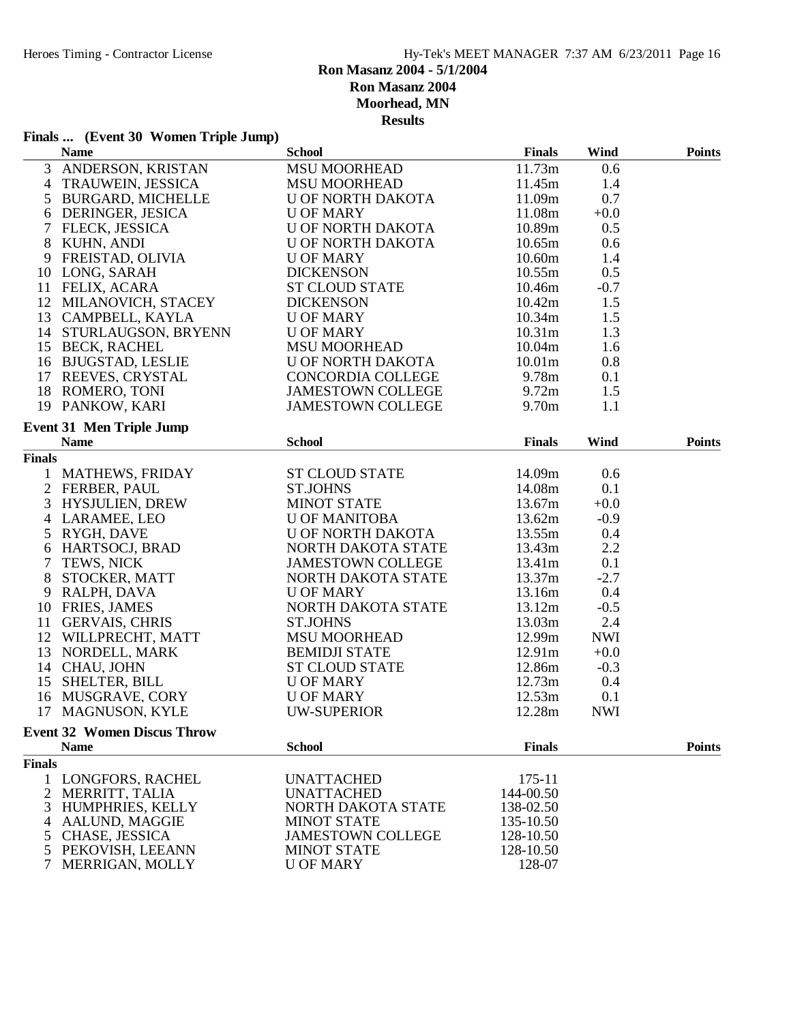# **Finals ... (Event 30 Women Triple Jump)**

| $\overline{3}$<br><b>MSU MOORHEAD</b><br>11.73m<br>ANDERSON, KRISTAN<br>0.6<br>1.4<br>TRAUWEIN, JESSICA<br><b>MSU MOORHEAD</b><br>11.45m<br>4<br>0.7<br>BURGARD, MICHELLE<br>U OF NORTH DAKOTA<br>11.09m<br>5<br>DERINGER, JESICA<br><b>U OF MARY</b><br>11.08m<br>$+0.0$<br>6<br>$\tau$<br>FLECK, JESSICA<br>U OF NORTH DAKOTA<br>10.89m<br>0.5<br>8 KUHN, ANDI<br>U OF NORTH DAKOTA<br>10.65m<br>0.6<br>FREISTAD, OLIVIA<br><b>U OF MARY</b><br>10.60m<br>1.4<br>9<br>10 LONG, SARAH<br><b>DICKENSON</b><br>10.55m<br>0.5<br>11 FELIX, ACARA<br><b>ST CLOUD STATE</b><br>10.46m<br>$-0.7$<br>12 MILANOVICH, STACEY<br><b>DICKENSON</b><br>10.42m<br>1.5<br>13 CAMPBELL, KAYLA<br>10.34m<br>1.5<br>U OF MARY<br>14 STURLAUGSON, BRYENN<br><b>U OF MARY</b><br>10.31 <sub>m</sub><br>1.3<br>15 BECK, RACHEL<br><b>MSU MOORHEAD</b><br>10.04m<br>1.6<br>16 BJUGSTAD, LESLIE<br>U OF NORTH DAKOTA<br>10.01 <sub>m</sub><br>0.8<br>9.78 <sub>m</sub><br>17 REEVES, CRYSTAL<br>CONCORDIA COLLEGE<br>0.1<br>1.5<br>18 ROMERO, TONI<br>JAMESTOWN COLLEGE<br>9.72m<br>19 PANKOW, KARI<br><b>JAMESTOWN COLLEGE</b><br>9.70 <sub>m</sub><br>1.1<br><b>Event 31 Men Triple Jump</b><br><b>School</b><br><b>Finals</b><br>Wind<br><b>Points</b><br><b>Name</b><br><b>Finals</b><br><b>ST CLOUD STATE</b><br>1 MATHEWS, FRIDAY<br>14.09m<br>0.6<br>2 FERBER, PAUL<br><b>ST.JOHNS</b><br>14.08m<br>0.1<br>3<br>HYSJULIEN, DREW<br><b>MINOT STATE</b><br>13.67m<br>$+0.0$<br>4 LARAMEE, LEO<br><b>U OF MANITOBA</b><br>13.62m<br>$-0.9$<br>U OF NORTH DAKOTA<br>13.55m<br>0.4<br>5<br>LARAMEL, L.<br>RYGH, DAVE<br>HARTSOCJ, BRAD<br>TTWG NICK<br>NORTH DAKOTA STATE<br>13.43m<br>2.2<br>6<br><b>JAMESTOWN COLLEGE</b><br>13.41m<br>0.1<br>$\tau$<br>8<br>NORTH DAKOTA STATE<br>13.37m<br>$-2.7$<br>13.16m<br>0.4<br>9 RALPH, DAVA<br><b>U OF MARY</b><br>10 FRIES, JAMES<br>13.12m<br>NORTH DAKOTA STATE<br>$-0.5$<br>2.4<br>11 GERVAIS, CHRIS<br><b>ST.JOHNS</b><br>13.03m<br>11 GERVALD, CIRCO<br>12 WILLPRECHT, MATT<br>12 NORDELL MARK<br>12.99m<br><b>NWI</b><br><b>MSU MOORHEAD</b><br><b>BEMIDJI STATE</b><br>12.91m<br>$+0.0$<br>14 CHAU, JOHN<br><b>ST CLOUD STATE</b><br>12.86m<br>$-0.3$<br>15 SHELTER, BILL<br><b>U OF MARY</b><br>12.73m<br>0.4<br>12.53m<br>0.1<br>16 MUSGRAVE, CORY<br><b>U OF MARY</b><br>17 MAGNUSON, KYLE<br>12.28m<br><b>NWI</b><br>UW-SUPERIOR<br><b>Event 32 Women Discus Throw</b><br><b>School</b><br><b>Finals</b><br><b>Name</b><br><b>Points</b><br><b>Finals</b><br>$175 - 11$<br>LONGFORS, RACHEL<br><b>UNATTACHED</b><br>1<br>$\overline{c}$<br>MERRITT, TALIA<br><b>UNATTACHED</b><br>144-00.50<br>HUMPHRIES, KELLY<br>3<br>NORTH DAKOTA STATE<br>138-02.50<br>AALUND, MAGGIE<br><b>MINOT STATE</b><br>135-10.50<br>4<br>CHASE, JESSICA<br><b>JAMESTOWN COLLEGE</b><br>128-10.50<br>5<br>PEKOVISH, LEEANN<br><b>MINOT STATE</b><br>128-10.50<br>5<br>128-07<br>MERRIGAN, MOLLY<br><b>U OF MARY</b> | <b>Name</b> | <b>School</b> | Finals | Wind | <b>Points</b> |
|-------------------------------------------------------------------------------------------------------------------------------------------------------------------------------------------------------------------------------------------------------------------------------------------------------------------------------------------------------------------------------------------------------------------------------------------------------------------------------------------------------------------------------------------------------------------------------------------------------------------------------------------------------------------------------------------------------------------------------------------------------------------------------------------------------------------------------------------------------------------------------------------------------------------------------------------------------------------------------------------------------------------------------------------------------------------------------------------------------------------------------------------------------------------------------------------------------------------------------------------------------------------------------------------------------------------------------------------------------------------------------------------------------------------------------------------------------------------------------------------------------------------------------------------------------------------------------------------------------------------------------------------------------------------------------------------------------------------------------------------------------------------------------------------------------------------------------------------------------------------------------------------------------------------------------------------------------------------------------------------------------------------------------------------------------------------------------------------------------------------------------------------------------------------------------------------------------------------------------------------------------------------------------------------------------------------------------------------------------------------------------------------------------------------------------------------------------------------------------------------------------------------------------------------------------------------------------------------------------------------------------------------------------------------------------------------------------------------------------------------------------------------------------------------------------------------------------------------------------------------------------------------------------------------------------------|-------------|---------------|--------|------|---------------|
|                                                                                                                                                                                                                                                                                                                                                                                                                                                                                                                                                                                                                                                                                                                                                                                                                                                                                                                                                                                                                                                                                                                                                                                                                                                                                                                                                                                                                                                                                                                                                                                                                                                                                                                                                                                                                                                                                                                                                                                                                                                                                                                                                                                                                                                                                                                                                                                                                                                                                                                                                                                                                                                                                                                                                                                                                                                                                                                                     |             |               |        |      |               |
|                                                                                                                                                                                                                                                                                                                                                                                                                                                                                                                                                                                                                                                                                                                                                                                                                                                                                                                                                                                                                                                                                                                                                                                                                                                                                                                                                                                                                                                                                                                                                                                                                                                                                                                                                                                                                                                                                                                                                                                                                                                                                                                                                                                                                                                                                                                                                                                                                                                                                                                                                                                                                                                                                                                                                                                                                                                                                                                                     |             |               |        |      |               |
|                                                                                                                                                                                                                                                                                                                                                                                                                                                                                                                                                                                                                                                                                                                                                                                                                                                                                                                                                                                                                                                                                                                                                                                                                                                                                                                                                                                                                                                                                                                                                                                                                                                                                                                                                                                                                                                                                                                                                                                                                                                                                                                                                                                                                                                                                                                                                                                                                                                                                                                                                                                                                                                                                                                                                                                                                                                                                                                                     |             |               |        |      |               |
|                                                                                                                                                                                                                                                                                                                                                                                                                                                                                                                                                                                                                                                                                                                                                                                                                                                                                                                                                                                                                                                                                                                                                                                                                                                                                                                                                                                                                                                                                                                                                                                                                                                                                                                                                                                                                                                                                                                                                                                                                                                                                                                                                                                                                                                                                                                                                                                                                                                                                                                                                                                                                                                                                                                                                                                                                                                                                                                                     |             |               |        |      |               |
|                                                                                                                                                                                                                                                                                                                                                                                                                                                                                                                                                                                                                                                                                                                                                                                                                                                                                                                                                                                                                                                                                                                                                                                                                                                                                                                                                                                                                                                                                                                                                                                                                                                                                                                                                                                                                                                                                                                                                                                                                                                                                                                                                                                                                                                                                                                                                                                                                                                                                                                                                                                                                                                                                                                                                                                                                                                                                                                                     |             |               |        |      |               |
|                                                                                                                                                                                                                                                                                                                                                                                                                                                                                                                                                                                                                                                                                                                                                                                                                                                                                                                                                                                                                                                                                                                                                                                                                                                                                                                                                                                                                                                                                                                                                                                                                                                                                                                                                                                                                                                                                                                                                                                                                                                                                                                                                                                                                                                                                                                                                                                                                                                                                                                                                                                                                                                                                                                                                                                                                                                                                                                                     |             |               |        |      |               |
|                                                                                                                                                                                                                                                                                                                                                                                                                                                                                                                                                                                                                                                                                                                                                                                                                                                                                                                                                                                                                                                                                                                                                                                                                                                                                                                                                                                                                                                                                                                                                                                                                                                                                                                                                                                                                                                                                                                                                                                                                                                                                                                                                                                                                                                                                                                                                                                                                                                                                                                                                                                                                                                                                                                                                                                                                                                                                                                                     |             |               |        |      |               |
|                                                                                                                                                                                                                                                                                                                                                                                                                                                                                                                                                                                                                                                                                                                                                                                                                                                                                                                                                                                                                                                                                                                                                                                                                                                                                                                                                                                                                                                                                                                                                                                                                                                                                                                                                                                                                                                                                                                                                                                                                                                                                                                                                                                                                                                                                                                                                                                                                                                                                                                                                                                                                                                                                                                                                                                                                                                                                                                                     |             |               |        |      |               |
|                                                                                                                                                                                                                                                                                                                                                                                                                                                                                                                                                                                                                                                                                                                                                                                                                                                                                                                                                                                                                                                                                                                                                                                                                                                                                                                                                                                                                                                                                                                                                                                                                                                                                                                                                                                                                                                                                                                                                                                                                                                                                                                                                                                                                                                                                                                                                                                                                                                                                                                                                                                                                                                                                                                                                                                                                                                                                                                                     |             |               |        |      |               |
|                                                                                                                                                                                                                                                                                                                                                                                                                                                                                                                                                                                                                                                                                                                                                                                                                                                                                                                                                                                                                                                                                                                                                                                                                                                                                                                                                                                                                                                                                                                                                                                                                                                                                                                                                                                                                                                                                                                                                                                                                                                                                                                                                                                                                                                                                                                                                                                                                                                                                                                                                                                                                                                                                                                                                                                                                                                                                                                                     |             |               |        |      |               |
|                                                                                                                                                                                                                                                                                                                                                                                                                                                                                                                                                                                                                                                                                                                                                                                                                                                                                                                                                                                                                                                                                                                                                                                                                                                                                                                                                                                                                                                                                                                                                                                                                                                                                                                                                                                                                                                                                                                                                                                                                                                                                                                                                                                                                                                                                                                                                                                                                                                                                                                                                                                                                                                                                                                                                                                                                                                                                                                                     |             |               |        |      |               |
|                                                                                                                                                                                                                                                                                                                                                                                                                                                                                                                                                                                                                                                                                                                                                                                                                                                                                                                                                                                                                                                                                                                                                                                                                                                                                                                                                                                                                                                                                                                                                                                                                                                                                                                                                                                                                                                                                                                                                                                                                                                                                                                                                                                                                                                                                                                                                                                                                                                                                                                                                                                                                                                                                                                                                                                                                                                                                                                                     |             |               |        |      |               |
|                                                                                                                                                                                                                                                                                                                                                                                                                                                                                                                                                                                                                                                                                                                                                                                                                                                                                                                                                                                                                                                                                                                                                                                                                                                                                                                                                                                                                                                                                                                                                                                                                                                                                                                                                                                                                                                                                                                                                                                                                                                                                                                                                                                                                                                                                                                                                                                                                                                                                                                                                                                                                                                                                                                                                                                                                                                                                                                                     |             |               |        |      |               |
|                                                                                                                                                                                                                                                                                                                                                                                                                                                                                                                                                                                                                                                                                                                                                                                                                                                                                                                                                                                                                                                                                                                                                                                                                                                                                                                                                                                                                                                                                                                                                                                                                                                                                                                                                                                                                                                                                                                                                                                                                                                                                                                                                                                                                                                                                                                                                                                                                                                                                                                                                                                                                                                                                                                                                                                                                                                                                                                                     |             |               |        |      |               |
|                                                                                                                                                                                                                                                                                                                                                                                                                                                                                                                                                                                                                                                                                                                                                                                                                                                                                                                                                                                                                                                                                                                                                                                                                                                                                                                                                                                                                                                                                                                                                                                                                                                                                                                                                                                                                                                                                                                                                                                                                                                                                                                                                                                                                                                                                                                                                                                                                                                                                                                                                                                                                                                                                                                                                                                                                                                                                                                                     |             |               |        |      |               |
|                                                                                                                                                                                                                                                                                                                                                                                                                                                                                                                                                                                                                                                                                                                                                                                                                                                                                                                                                                                                                                                                                                                                                                                                                                                                                                                                                                                                                                                                                                                                                                                                                                                                                                                                                                                                                                                                                                                                                                                                                                                                                                                                                                                                                                                                                                                                                                                                                                                                                                                                                                                                                                                                                                                                                                                                                                                                                                                                     |             |               |        |      |               |
|                                                                                                                                                                                                                                                                                                                                                                                                                                                                                                                                                                                                                                                                                                                                                                                                                                                                                                                                                                                                                                                                                                                                                                                                                                                                                                                                                                                                                                                                                                                                                                                                                                                                                                                                                                                                                                                                                                                                                                                                                                                                                                                                                                                                                                                                                                                                                                                                                                                                                                                                                                                                                                                                                                                                                                                                                                                                                                                                     |             |               |        |      |               |
|                                                                                                                                                                                                                                                                                                                                                                                                                                                                                                                                                                                                                                                                                                                                                                                                                                                                                                                                                                                                                                                                                                                                                                                                                                                                                                                                                                                                                                                                                                                                                                                                                                                                                                                                                                                                                                                                                                                                                                                                                                                                                                                                                                                                                                                                                                                                                                                                                                                                                                                                                                                                                                                                                                                                                                                                                                                                                                                                     |             |               |        |      |               |
|                                                                                                                                                                                                                                                                                                                                                                                                                                                                                                                                                                                                                                                                                                                                                                                                                                                                                                                                                                                                                                                                                                                                                                                                                                                                                                                                                                                                                                                                                                                                                                                                                                                                                                                                                                                                                                                                                                                                                                                                                                                                                                                                                                                                                                                                                                                                                                                                                                                                                                                                                                                                                                                                                                                                                                                                                                                                                                                                     |             |               |        |      |               |
|                                                                                                                                                                                                                                                                                                                                                                                                                                                                                                                                                                                                                                                                                                                                                                                                                                                                                                                                                                                                                                                                                                                                                                                                                                                                                                                                                                                                                                                                                                                                                                                                                                                                                                                                                                                                                                                                                                                                                                                                                                                                                                                                                                                                                                                                                                                                                                                                                                                                                                                                                                                                                                                                                                                                                                                                                                                                                                                                     |             |               |        |      |               |
|                                                                                                                                                                                                                                                                                                                                                                                                                                                                                                                                                                                                                                                                                                                                                                                                                                                                                                                                                                                                                                                                                                                                                                                                                                                                                                                                                                                                                                                                                                                                                                                                                                                                                                                                                                                                                                                                                                                                                                                                                                                                                                                                                                                                                                                                                                                                                                                                                                                                                                                                                                                                                                                                                                                                                                                                                                                                                                                                     |             |               |        |      |               |
|                                                                                                                                                                                                                                                                                                                                                                                                                                                                                                                                                                                                                                                                                                                                                                                                                                                                                                                                                                                                                                                                                                                                                                                                                                                                                                                                                                                                                                                                                                                                                                                                                                                                                                                                                                                                                                                                                                                                                                                                                                                                                                                                                                                                                                                                                                                                                                                                                                                                                                                                                                                                                                                                                                                                                                                                                                                                                                                                     |             |               |        |      |               |
|                                                                                                                                                                                                                                                                                                                                                                                                                                                                                                                                                                                                                                                                                                                                                                                                                                                                                                                                                                                                                                                                                                                                                                                                                                                                                                                                                                                                                                                                                                                                                                                                                                                                                                                                                                                                                                                                                                                                                                                                                                                                                                                                                                                                                                                                                                                                                                                                                                                                                                                                                                                                                                                                                                                                                                                                                                                                                                                                     |             |               |        |      |               |
|                                                                                                                                                                                                                                                                                                                                                                                                                                                                                                                                                                                                                                                                                                                                                                                                                                                                                                                                                                                                                                                                                                                                                                                                                                                                                                                                                                                                                                                                                                                                                                                                                                                                                                                                                                                                                                                                                                                                                                                                                                                                                                                                                                                                                                                                                                                                                                                                                                                                                                                                                                                                                                                                                                                                                                                                                                                                                                                                     |             |               |        |      |               |
|                                                                                                                                                                                                                                                                                                                                                                                                                                                                                                                                                                                                                                                                                                                                                                                                                                                                                                                                                                                                                                                                                                                                                                                                                                                                                                                                                                                                                                                                                                                                                                                                                                                                                                                                                                                                                                                                                                                                                                                                                                                                                                                                                                                                                                                                                                                                                                                                                                                                                                                                                                                                                                                                                                                                                                                                                                                                                                                                     |             |               |        |      |               |
|                                                                                                                                                                                                                                                                                                                                                                                                                                                                                                                                                                                                                                                                                                                                                                                                                                                                                                                                                                                                                                                                                                                                                                                                                                                                                                                                                                                                                                                                                                                                                                                                                                                                                                                                                                                                                                                                                                                                                                                                                                                                                                                                                                                                                                                                                                                                                                                                                                                                                                                                                                                                                                                                                                                                                                                                                                                                                                                                     |             |               |        |      |               |
|                                                                                                                                                                                                                                                                                                                                                                                                                                                                                                                                                                                                                                                                                                                                                                                                                                                                                                                                                                                                                                                                                                                                                                                                                                                                                                                                                                                                                                                                                                                                                                                                                                                                                                                                                                                                                                                                                                                                                                                                                                                                                                                                                                                                                                                                                                                                                                                                                                                                                                                                                                                                                                                                                                                                                                                                                                                                                                                                     |             |               |        |      |               |
|                                                                                                                                                                                                                                                                                                                                                                                                                                                                                                                                                                                                                                                                                                                                                                                                                                                                                                                                                                                                                                                                                                                                                                                                                                                                                                                                                                                                                                                                                                                                                                                                                                                                                                                                                                                                                                                                                                                                                                                                                                                                                                                                                                                                                                                                                                                                                                                                                                                                                                                                                                                                                                                                                                                                                                                                                                                                                                                                     |             |               |        |      |               |
|                                                                                                                                                                                                                                                                                                                                                                                                                                                                                                                                                                                                                                                                                                                                                                                                                                                                                                                                                                                                                                                                                                                                                                                                                                                                                                                                                                                                                                                                                                                                                                                                                                                                                                                                                                                                                                                                                                                                                                                                                                                                                                                                                                                                                                                                                                                                                                                                                                                                                                                                                                                                                                                                                                                                                                                                                                                                                                                                     |             |               |        |      |               |
|                                                                                                                                                                                                                                                                                                                                                                                                                                                                                                                                                                                                                                                                                                                                                                                                                                                                                                                                                                                                                                                                                                                                                                                                                                                                                                                                                                                                                                                                                                                                                                                                                                                                                                                                                                                                                                                                                                                                                                                                                                                                                                                                                                                                                                                                                                                                                                                                                                                                                                                                                                                                                                                                                                                                                                                                                                                                                                                                     |             |               |        |      |               |
|                                                                                                                                                                                                                                                                                                                                                                                                                                                                                                                                                                                                                                                                                                                                                                                                                                                                                                                                                                                                                                                                                                                                                                                                                                                                                                                                                                                                                                                                                                                                                                                                                                                                                                                                                                                                                                                                                                                                                                                                                                                                                                                                                                                                                                                                                                                                                                                                                                                                                                                                                                                                                                                                                                                                                                                                                                                                                                                                     |             |               |        |      |               |
|                                                                                                                                                                                                                                                                                                                                                                                                                                                                                                                                                                                                                                                                                                                                                                                                                                                                                                                                                                                                                                                                                                                                                                                                                                                                                                                                                                                                                                                                                                                                                                                                                                                                                                                                                                                                                                                                                                                                                                                                                                                                                                                                                                                                                                                                                                                                                                                                                                                                                                                                                                                                                                                                                                                                                                                                                                                                                                                                     |             |               |        |      |               |
|                                                                                                                                                                                                                                                                                                                                                                                                                                                                                                                                                                                                                                                                                                                                                                                                                                                                                                                                                                                                                                                                                                                                                                                                                                                                                                                                                                                                                                                                                                                                                                                                                                                                                                                                                                                                                                                                                                                                                                                                                                                                                                                                                                                                                                                                                                                                                                                                                                                                                                                                                                                                                                                                                                                                                                                                                                                                                                                                     |             |               |        |      |               |
|                                                                                                                                                                                                                                                                                                                                                                                                                                                                                                                                                                                                                                                                                                                                                                                                                                                                                                                                                                                                                                                                                                                                                                                                                                                                                                                                                                                                                                                                                                                                                                                                                                                                                                                                                                                                                                                                                                                                                                                                                                                                                                                                                                                                                                                                                                                                                                                                                                                                                                                                                                                                                                                                                                                                                                                                                                                                                                                                     |             |               |        |      |               |
|                                                                                                                                                                                                                                                                                                                                                                                                                                                                                                                                                                                                                                                                                                                                                                                                                                                                                                                                                                                                                                                                                                                                                                                                                                                                                                                                                                                                                                                                                                                                                                                                                                                                                                                                                                                                                                                                                                                                                                                                                                                                                                                                                                                                                                                                                                                                                                                                                                                                                                                                                                                                                                                                                                                                                                                                                                                                                                                                     |             |               |        |      |               |
|                                                                                                                                                                                                                                                                                                                                                                                                                                                                                                                                                                                                                                                                                                                                                                                                                                                                                                                                                                                                                                                                                                                                                                                                                                                                                                                                                                                                                                                                                                                                                                                                                                                                                                                                                                                                                                                                                                                                                                                                                                                                                                                                                                                                                                                                                                                                                                                                                                                                                                                                                                                                                                                                                                                                                                                                                                                                                                                                     |             |               |        |      |               |
|                                                                                                                                                                                                                                                                                                                                                                                                                                                                                                                                                                                                                                                                                                                                                                                                                                                                                                                                                                                                                                                                                                                                                                                                                                                                                                                                                                                                                                                                                                                                                                                                                                                                                                                                                                                                                                                                                                                                                                                                                                                                                                                                                                                                                                                                                                                                                                                                                                                                                                                                                                                                                                                                                                                                                                                                                                                                                                                                     |             |               |        |      |               |
|                                                                                                                                                                                                                                                                                                                                                                                                                                                                                                                                                                                                                                                                                                                                                                                                                                                                                                                                                                                                                                                                                                                                                                                                                                                                                                                                                                                                                                                                                                                                                                                                                                                                                                                                                                                                                                                                                                                                                                                                                                                                                                                                                                                                                                                                                                                                                                                                                                                                                                                                                                                                                                                                                                                                                                                                                                                                                                                                     |             |               |        |      |               |
|                                                                                                                                                                                                                                                                                                                                                                                                                                                                                                                                                                                                                                                                                                                                                                                                                                                                                                                                                                                                                                                                                                                                                                                                                                                                                                                                                                                                                                                                                                                                                                                                                                                                                                                                                                                                                                                                                                                                                                                                                                                                                                                                                                                                                                                                                                                                                                                                                                                                                                                                                                                                                                                                                                                                                                                                                                                                                                                                     |             |               |        |      |               |
|                                                                                                                                                                                                                                                                                                                                                                                                                                                                                                                                                                                                                                                                                                                                                                                                                                                                                                                                                                                                                                                                                                                                                                                                                                                                                                                                                                                                                                                                                                                                                                                                                                                                                                                                                                                                                                                                                                                                                                                                                                                                                                                                                                                                                                                                                                                                                                                                                                                                                                                                                                                                                                                                                                                                                                                                                                                                                                                                     |             |               |        |      |               |
|                                                                                                                                                                                                                                                                                                                                                                                                                                                                                                                                                                                                                                                                                                                                                                                                                                                                                                                                                                                                                                                                                                                                                                                                                                                                                                                                                                                                                                                                                                                                                                                                                                                                                                                                                                                                                                                                                                                                                                                                                                                                                                                                                                                                                                                                                                                                                                                                                                                                                                                                                                                                                                                                                                                                                                                                                                                                                                                                     |             |               |        |      |               |
|                                                                                                                                                                                                                                                                                                                                                                                                                                                                                                                                                                                                                                                                                                                                                                                                                                                                                                                                                                                                                                                                                                                                                                                                                                                                                                                                                                                                                                                                                                                                                                                                                                                                                                                                                                                                                                                                                                                                                                                                                                                                                                                                                                                                                                                                                                                                                                                                                                                                                                                                                                                                                                                                                                                                                                                                                                                                                                                                     |             |               |        |      |               |
|                                                                                                                                                                                                                                                                                                                                                                                                                                                                                                                                                                                                                                                                                                                                                                                                                                                                                                                                                                                                                                                                                                                                                                                                                                                                                                                                                                                                                                                                                                                                                                                                                                                                                                                                                                                                                                                                                                                                                                                                                                                                                                                                                                                                                                                                                                                                                                                                                                                                                                                                                                                                                                                                                                                                                                                                                                                                                                                                     |             |               |        |      |               |
|                                                                                                                                                                                                                                                                                                                                                                                                                                                                                                                                                                                                                                                                                                                                                                                                                                                                                                                                                                                                                                                                                                                                                                                                                                                                                                                                                                                                                                                                                                                                                                                                                                                                                                                                                                                                                                                                                                                                                                                                                                                                                                                                                                                                                                                                                                                                                                                                                                                                                                                                                                                                                                                                                                                                                                                                                                                                                                                                     |             |               |        |      |               |
|                                                                                                                                                                                                                                                                                                                                                                                                                                                                                                                                                                                                                                                                                                                                                                                                                                                                                                                                                                                                                                                                                                                                                                                                                                                                                                                                                                                                                                                                                                                                                                                                                                                                                                                                                                                                                                                                                                                                                                                                                                                                                                                                                                                                                                                                                                                                                                                                                                                                                                                                                                                                                                                                                                                                                                                                                                                                                                                                     |             |               |        |      |               |
|                                                                                                                                                                                                                                                                                                                                                                                                                                                                                                                                                                                                                                                                                                                                                                                                                                                                                                                                                                                                                                                                                                                                                                                                                                                                                                                                                                                                                                                                                                                                                                                                                                                                                                                                                                                                                                                                                                                                                                                                                                                                                                                                                                                                                                                                                                                                                                                                                                                                                                                                                                                                                                                                                                                                                                                                                                                                                                                                     |             |               |        |      |               |
|                                                                                                                                                                                                                                                                                                                                                                                                                                                                                                                                                                                                                                                                                                                                                                                                                                                                                                                                                                                                                                                                                                                                                                                                                                                                                                                                                                                                                                                                                                                                                                                                                                                                                                                                                                                                                                                                                                                                                                                                                                                                                                                                                                                                                                                                                                                                                                                                                                                                                                                                                                                                                                                                                                                                                                                                                                                                                                                                     |             |               |        |      |               |
|                                                                                                                                                                                                                                                                                                                                                                                                                                                                                                                                                                                                                                                                                                                                                                                                                                                                                                                                                                                                                                                                                                                                                                                                                                                                                                                                                                                                                                                                                                                                                                                                                                                                                                                                                                                                                                                                                                                                                                                                                                                                                                                                                                                                                                                                                                                                                                                                                                                                                                                                                                                                                                                                                                                                                                                                                                                                                                                                     |             |               |        |      |               |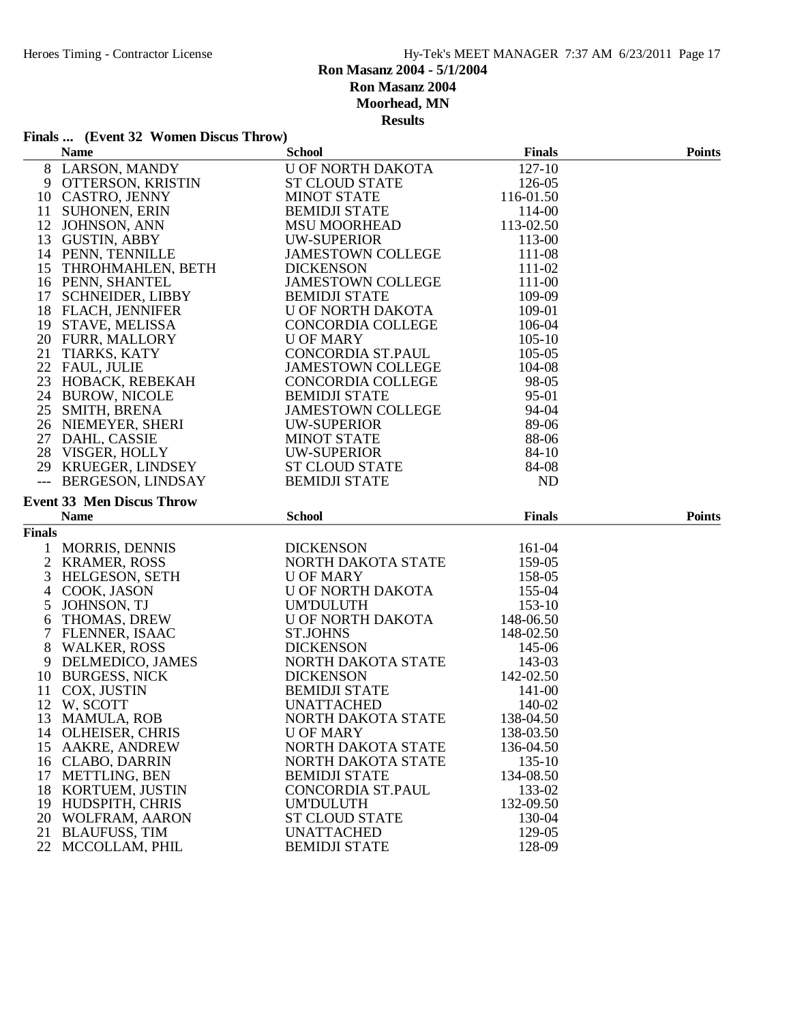# **Finals ... (Event 32 Women Discus Throw)**

|               | <b>Name</b>                            | <b>School</b>                             | <b>Finals</b>    | <b>Points</b> |
|---------------|----------------------------------------|-------------------------------------------|------------------|---------------|
|               | 8 LARSON, MANDY                        | <b>U OF NORTH DAKOTA</b>                  | 127-10           |               |
|               | 9 OTTERSON, KRISTIN                    | <b>ST CLOUD STATE</b>                     | 126-05           |               |
|               | 10 CASTRO, JENNY                       | <b>MINOT STATE</b>                        | 116-01.50        |               |
| 11            | <b>SUHONEN, ERIN</b>                   | <b>BEMIDJI STATE</b>                      | 114-00           |               |
| 12            | JOHNSON, ANN                           | <b>MSU MOORHEAD</b>                       | 113-02.50        |               |
|               | 13 GUSTIN, ABBY                        | UW-SUPERIOR                               | 113-00           |               |
|               | 14 PENN, TENNILLE                      | <b>JAMESTOWN COLLEGE</b>                  | 111-08           |               |
|               | 15 THROHMAHLEN, BETH                   | <b>DICKENSON</b>                          | 111-02           |               |
|               | 16 PENN, SHANTEL                       | <b>JAMESTOWN COLLEGE</b>                  | 111-00           |               |
|               | 17 SCHNEIDER, LIBBY                    | <b>BEMIDJI STATE</b>                      | 109-09           |               |
|               | 18 FLACH, JENNIFER                     | U OF NORTH DAKOTA                         | 109-01           |               |
|               | 19 STAVE, MELISSA                      | CONCORDIA COLLEGE                         | 106-04           |               |
|               | 20 FURR, MALLORY                       | <b>U OF MARY</b>                          | $105 - 10$       |               |
|               | 21 TIARKS, KATY                        | CONCORDIA ST.PAUL                         | 105-05           |               |
|               | 22 FAUL, JULIE                         | <b>JAMESTOWN COLLEGE</b>                  | 104-08           |               |
|               | 23 HOBACK, REBEKAH                     | CONCORDIA COLLEGE                         | 98-05            |               |
|               | 24 BUROW, NICOLE                       | <b>BEMIDJI STATE</b>                      | 95-01            |               |
|               | 25 SMITH, BRENA                        | <b>JAMESTOWN COLLEGE</b>                  | 94-04            |               |
|               | 26 NIEMEYER, SHERI                     | <b>UW-SUPERIOR</b>                        | 89-06            |               |
|               | 27 DAHL, CASSIE                        | <b>MINOT STATE</b>                        | 88-06            |               |
|               | 28 VISGER, HOLLY                       | <b>UW-SUPERIOR</b>                        | 84-10            |               |
|               | 29 KRUEGER, LINDSEY                    | ST CLOUD STATE                            | 84-08            |               |
| $---$         | BERGESON, LINDSAY                      | <b>BEMIDJI STATE</b>                      | <b>ND</b>        |               |
|               | <b>Event 33 Men Discus Throw</b>       |                                           |                  |               |
|               |                                        |                                           |                  |               |
|               |                                        |                                           |                  |               |
|               | <b>Name</b>                            | <b>School</b>                             | <b>Finals</b>    | <b>Points</b> |
| <b>Finals</b> |                                        |                                           |                  |               |
| 1             | MORRIS, DENNIS                         | <b>DICKENSON</b>                          | 161-04           |               |
|               | 2 KRAMER, ROSS                         | NORTH DAKOTA STATE                        | 159-05           |               |
| 3             | HELGESON, SETH                         | <b>U OF MARY</b>                          | 158-05           |               |
| 4             | COOK, JASON                            | U OF NORTH DAKOTA                         | 155-04           |               |
| 5             | JOHNSON, TJ                            | <b>UM'DULUTH</b>                          | $153-10$         |               |
| 6             | THOMAS, DREW                           | U OF NORTH DAKOTA                         | 148-06.50        |               |
| 7             | FLENNER, ISAAC                         | <b>ST.JOHNS</b>                           | 148-02.50        |               |
| 8             | <b>WALKER, ROSS</b>                    | <b>DICKENSON</b>                          | 145-06           |               |
|               | 9 DELMEDICO, JAMES                     | NORTH DAKOTA STATE                        | 143-03           |               |
|               | 10 BURGESS, NICK                       | <b>DICKENSON</b>                          | 142-02.50        |               |
|               | 11 COX, JUSTIN                         | <b>BEMIDJI STATE</b>                      | 141-00           |               |
|               | 12 W, SCOTT                            | <b>UNATTACHED</b>                         | 140-02           |               |
| 13            | <b>MAMULA, ROB</b>                     | NORTH DAKOTA STATE                        | 138-04.50        |               |
|               | 14 OLHEISER, CHRIS                     | <b>U OF MARY</b>                          | 138-03.50        |               |
| 15            | <b>AAKRE, ANDREW</b>                   | NORTH DAKOTA STATE                        | 136-04.50        |               |
| 16            | <b>CLABO, DARRIN</b>                   | NORTH DAKOTA STATE                        | 135-10           |               |
| 17            | METTLING, BEN                          | <b>BEMIDJI STATE</b>                      | 134-08.50        |               |
| 18            | KORTUEM, JUSTIN                        | CONCORDIA ST.PAUL                         | 133-02           |               |
| 19            | HUDSPITH, CHRIS                        | <b>UM'DULUTH</b>                          | 132-09.50        |               |
| 20            | WOLFRAM, AARON                         | <b>ST CLOUD STATE</b>                     | 130-04           |               |
| 21<br>22      | <b>BLAUFUSS, TIM</b><br>MCCOLLAM, PHIL | <b>UNATTACHED</b><br><b>BEMIDJI STATE</b> | 129-05<br>128-09 |               |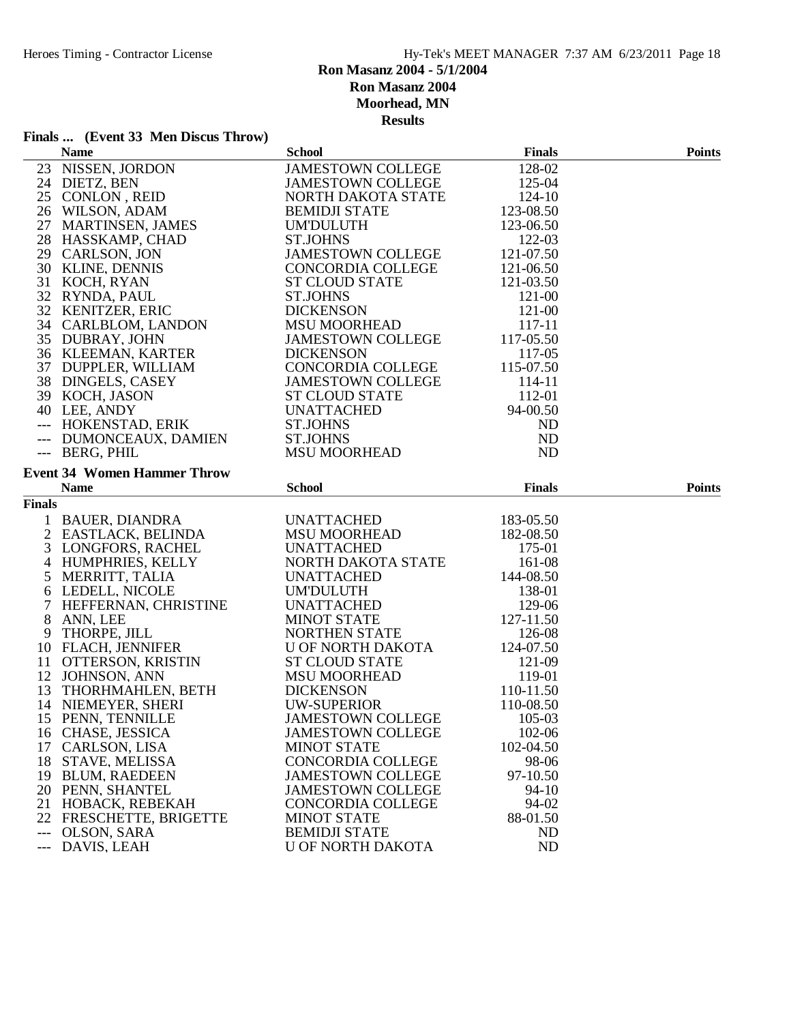# **Finals ... (Event 33 Men Discus Throw)**

|                | <b>Name</b>                        | <b>School</b>                             | <b>Finals</b> | <b>Points</b> |
|----------------|------------------------------------|-------------------------------------------|---------------|---------------|
|                | 23 NISSEN, JORDON                  | <b>JAMESTOWN COLLEGE</b>                  | 128-02        |               |
|                | 24 DIETZ, BEN                      | <b>JAMESTOWN COLLEGE</b>                  | 125-04        |               |
|                | 25 CONLON, REID                    | NORTH DAKOTA STATE                        | 124-10        |               |
|                | 26 WILSON, ADAM                    | <b>BEMIDJI STATE</b>                      | 123-08.50     |               |
|                | 27 MARTINSEN, JAMES                | <b>UM'DULUTH</b>                          | 123-06.50     |               |
|                | 28 HASSKAMP, CHAD                  | <b>ST.JOHNS</b>                           | 122-03        |               |
|                | 29 CARLSON, JON                    | JAMESTOWN COLLEGE                         | 121-07.50     |               |
|                | 30 KLINE, DENNIS                   | CONCORDIA COLLEGE                         | 121-06.50     |               |
|                | 31 KOCH, RYAN                      | <b>ST CLOUD STATE</b>                     | 121-03.50     |               |
|                | 32 RYNDA, PAUL                     | <b>ST.JOHNS</b>                           | 121-00        |               |
|                | 32 KENITZER, ERIC                  | <b>DICKENSON</b>                          | 121-00        |               |
|                | 34 CARLBLOM, LANDON                | <b>MSU MOORHEAD</b>                       | 117-11        |               |
|                | 35 DUBRAY, JOHN                    | <b>JAMESTOWN COLLEGE</b>                  | 117-05.50     |               |
|                | 36 KLEEMAN, KARTER                 | <b>DICKENSON</b>                          | 117-05        |               |
|                | 37 DUPPLER, WILLIAM                | CONCORDIA COLLEGE                         | 115-07.50     |               |
|                | 38 DINGELS, CASEY                  | <b>JAMESTOWN COLLEGE</b>                  | 114-11        |               |
|                | 39 KOCH, JASON                     | <b>ST CLOUD STATE</b>                     | 112-01        |               |
|                | 40 LEE, ANDY                       | <b>UNATTACHED</b>                         | 94-00.50      |               |
|                | --- HOKENSTAD, ERIK                | <b>ST.JOHNS</b>                           | ND            |               |
|                | --- DUMONCEAUX, DAMIEN             | <b>ST.JOHNS</b>                           | ND            |               |
|                | --- BERG, PHIL                     | <b>MSU MOORHEAD</b>                       | ND            |               |
|                | <b>Event 34 Women Hammer Throw</b> |                                           |               |               |
|                | <b>Name</b>                        | <b>School</b>                             | <b>Finals</b> | <b>Points</b> |
| <b>Finals</b>  |                                    |                                           |               |               |
|                | BAUER, DIANDRA                     | <b>UNATTACHED</b>                         | 183-05.50     |               |
|                | 2 EASTLACK, BELINDA                | <b>MSU MOORHEAD</b>                       | 182-08.50     |               |
|                | 3 LONGFORS, RACHEL                 | <b>UNATTACHED</b>                         | 175-01        |               |
|                | 4 HUMPHRIES, KELLY                 | NORTH DAKOTA STATE                        | 161-08        |               |
|                | 5 MERRITT, TALIA                   | <b>UNATTACHED</b>                         | 144-08.50     |               |
|                | 6 LEDELL, NICOLE                   | <b>UM'DULUTH</b>                          | 138-01        |               |
| 7              | HEFFERNAN, CHRISTINE               | <b>UNATTACHED</b>                         | 129-06        |               |
| 8              | ANN, LEE                           | <b>MINOT STATE</b>                        | 127-11.50     |               |
|                | 9 THORPE, JILL                     | NORTHEN STATE                             | 126-08        |               |
|                | 10 FLACH, JENNIFER                 | <b>U OF NORTH DAKOTA</b>                  | 124-07.50     |               |
|                | 11 OTTERSON, KRISTIN               | <b>ST CLOUD STATE</b>                     | 121-09        |               |
|                | 12 JOHNSON, ANN                    | <b>MSU MOORHEAD</b>                       | 119-01        |               |
|                | 13 THORHMAHLEN, BETH               | <b>DICKENSON</b>                          | 110-11.50     |               |
|                | 14 NIEMEYER, SHERI                 | UW-SUPERIOR                               | 110-08.50     |               |
|                | 15 PENN, TENNILLE                  | <b>JAMESTOWN COLLEGE</b>                  | 105-03        |               |
|                | 16 CHASE, JESSICA                  | <b>JAMESTOWN COLLEGE</b>                  | 102-06        |               |
| 17             | CARLSON, LISA                      | <b>MINOT STATE</b>                        | 102-04.50     |               |
| 18             | <b>STAVE, MELISSA</b>              | <b>CONCORDIA COLLEGE</b>                  | 98-06         |               |
| 19             |                                    |                                           |               |               |
|                |                                    |                                           |               |               |
|                | <b>BLUM, RAEDEEN</b>               | <b>JAMESTOWN COLLEGE</b>                  | 97-10.50      |               |
|                | 20 PENN, SHANTEL                   | <b>JAMESTOWN COLLEGE</b>                  | $94-10$       |               |
| 21             | HOBACK, REBEKAH                    | <b>CONCORDIA COLLEGE</b>                  | 94-02         |               |
|                | 22 FRESCHETTE, BRIGETTE            | <b>MINOT STATE</b>                        | 88-01.50      |               |
| $---$<br>$---$ | OLSON, SARA<br>DAVIS, LEAH         | <b>BEMIDJI STATE</b><br>U OF NORTH DAKOTA | ND<br>ND      |               |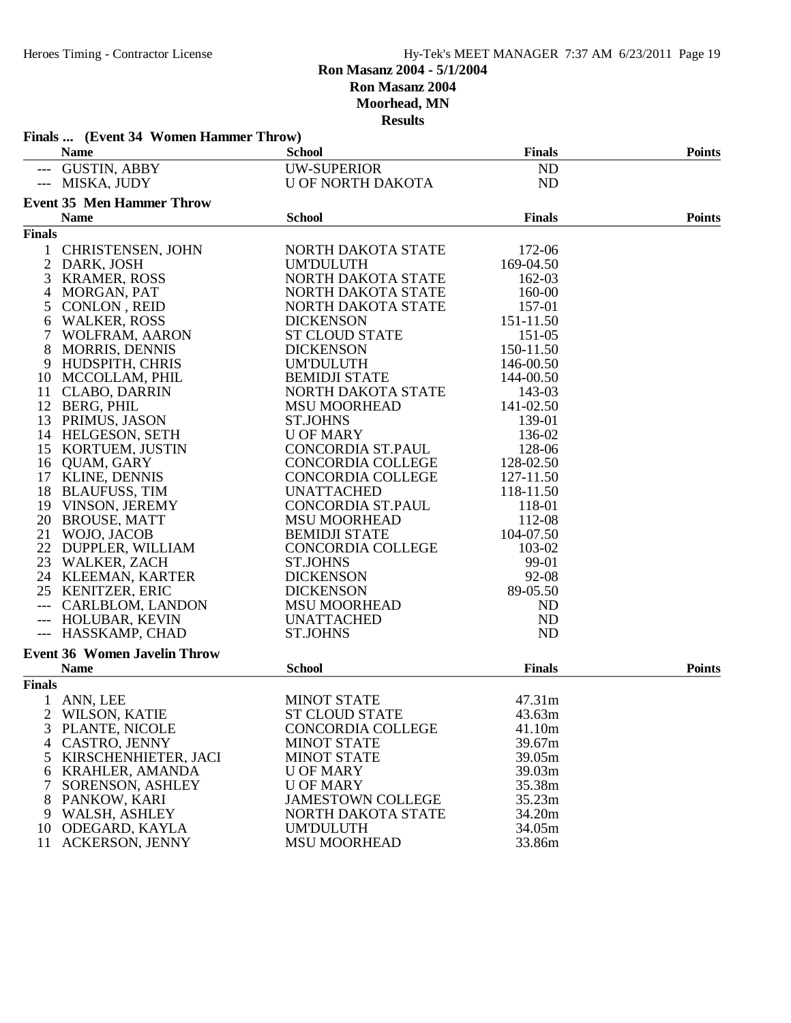|                | Finals  (Event 34 Women Hammer Throw)<br><b>Name</b> | <b>School</b>            | <b>Finals</b>  | <b>Points</b> |
|----------------|------------------------------------------------------|--------------------------|----------------|---------------|
|                | --- GUSTIN, ABBY                                     | <b>UW-SUPERIOR</b>       | ND             |               |
|                | --- MISKA, JUDY                                      | <b>U OF NORTH DAKOTA</b> | <b>ND</b>      |               |
|                | <b>Event 35 Men Hammer Throw</b>                     |                          |                |               |
|                | <b>Name</b>                                          | <b>School</b>            | <b>Finals</b>  | <b>Points</b> |
| <b>Finals</b>  |                                                      |                          |                |               |
|                | 1 CHRISTENSEN, JOHN                                  | NORTH DAKOTA STATE       | 172-06         |               |
| $\overline{c}$ | DARK, JOSH                                           | <b>UM'DULUTH</b>         | 169-04.50      |               |
| 3              | <b>KRAMER, ROSS</b>                                  | NORTH DAKOTA STATE       | 162-03         |               |
| $\overline{4}$ | MORGAN, PAT                                          | NORTH DAKOTA STATE       | 160-00         |               |
| 5              | CONLON, REID                                         | NORTH DAKOTA STATE       | 157-01         |               |
| 6              | <b>WALKER, ROSS</b>                                  | <b>DICKENSON</b>         | 151-11.50      |               |
| 7              | WOLFRAM, AARON                                       | <b>ST CLOUD STATE</b>    | 151-05         |               |
| 8              | <b>MORRIS, DENNIS</b>                                | <b>DICKENSON</b>         | 150-11.50      |               |
|                | 9 HUDSPITH, CHRIS                                    | <b>UM'DULUTH</b>         | 146-00.50      |               |
|                | 10 MCCOLLAM, PHIL                                    | <b>BEMIDJI STATE</b>     | 144-00.50      |               |
|                |                                                      | NORTH DAKOTA STATE       | 143-03         |               |
|                | 11 CLABO, DARRIN<br>12 BERG, PHIL                    | <b>MSU MOORHEAD</b>      |                |               |
|                |                                                      |                          | 141-02.50      |               |
| 13             | PRIMUS, JASON                                        | <b>ST.JOHNS</b>          | 139-01         |               |
|                | 14 HELGESON, SETH                                    | <b>U OF MARY</b>         | 136-02         |               |
|                | 15 KORTUEM, JUSTIN                                   | CONCORDIA ST.PAUL        | 128-06         |               |
|                | 16 OUAM, GARY                                        | CONCORDIA COLLEGE        | 128-02.50      |               |
|                | 17 KLINE, DENNIS                                     | <b>CONCORDIA COLLEGE</b> | 127-11.50      |               |
|                | 18 BLAUFUSS, TIM                                     | <b>UNATTACHED</b>        | 118-11.50      |               |
|                | 19 VINSON, JEREMY                                    | CONCORDIA ST.PAUL        | 118-01         |               |
|                | 20 BROUSE, MATT                                      | <b>MSU MOORHEAD</b>      | 112-08         |               |
|                | 21 WOJO, JACOB                                       | <b>BEMIDJI STATE</b>     | 104-07.50      |               |
|                | 22 DUPPLER, WILLIAM                                  | <b>CONCORDIA COLLEGE</b> | 103-02         |               |
|                | 23 WALKER, ZACH                                      | <b>ST.JOHNS</b>          | 99-01          |               |
|                | 24 KLEEMAN, KARTER                                   | <b>DICKENSON</b>         | 92-08          |               |
|                | 25 KENITZER, ERIC                                    | <b>DICKENSON</b>         | 89-05.50       |               |
| $---$          | CARLBLOM, LANDON                                     | <b>MSU MOORHEAD</b>      | N <sub>D</sub> |               |
|                | --- HOLUBAR, KEVIN                                   | <b>UNATTACHED</b>        | <b>ND</b>      |               |
|                | --- HASSKAMP, CHAD                                   | <b>ST.JOHNS</b>          | ND             |               |
|                | <b>Event 36 Women Javelin Throw</b>                  |                          |                |               |
|                | <b>Name</b>                                          | <b>School</b>            | <b>Finals</b>  | <b>Points</b> |
| <b>Finals</b>  |                                                      |                          |                |               |
|                | 1 ANN, LEE                                           | <b>MINOT STATE</b>       | 47.31m         |               |
| 2              | WILSON, KATIE                                        | ST CLOUD STATE           | 43.63m         |               |
| 3              | PLANTE, NICOLE                                       | <b>CONCORDIA COLLEGE</b> | 41.10m         |               |
| $\overline{4}$ | <b>CASTRO, JENNY</b>                                 | <b>MINOT STATE</b>       | 39.67m         |               |
| 5              | KIRSCHENHIETER, JACI                                 | <b>MINOT STATE</b>       | 39.05m         |               |
|                | 6 KRAHLER, AMANDA                                    | <b>U OF MARY</b>         | 39.03m         |               |
|                | SORENSON, ASHLEY                                     | <b>U OF MARY</b>         | 35.38m         |               |
| 8              | PANKOW, KARI                                         | <b>JAMESTOWN COLLEGE</b> | 35.23m         |               |
|                | 9 WALSH, ASHLEY                                      | NORTH DAKOTA STATE       | 34.20m         |               |
| 10             | ODEGARD, KAYLA                                       | <b>UM'DULUTH</b>         | 34.05m         |               |
|                | 11 ACKERSON, JENNY                                   | <b>MSU MOORHEAD</b>      | 33.86m         |               |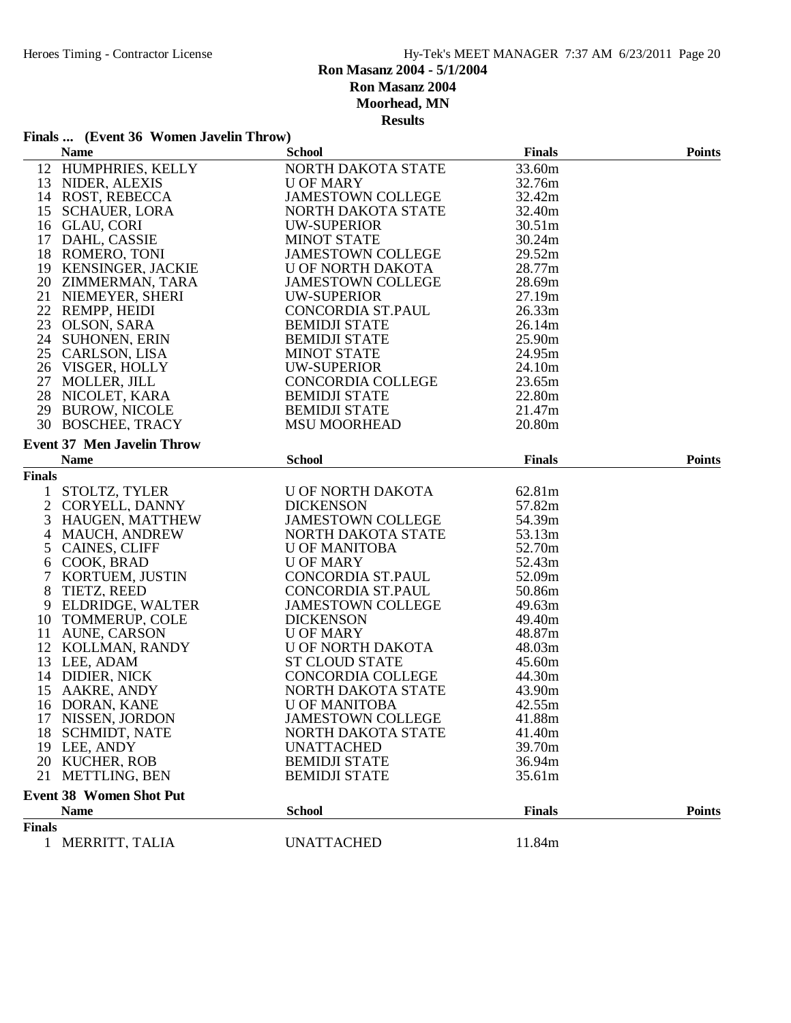### **Finals ... (Event 36 Women Javelin Throw)**

|               | <b>Name</b>                                                    | <b>School</b>                                                    | <b>Finals</b> | <b>Points</b> |
|---------------|----------------------------------------------------------------|------------------------------------------------------------------|---------------|---------------|
|               | 12 HUMPHRIES, KELLY                                            | NORTH DAKOTA STATE                                               | 33.60m        |               |
|               | 13 NIDER, ALEXIS                                               | <b>U OF MARY</b>                                                 | 32.76m        |               |
|               | 14 ROST, REBECCA                                               | JAMESTOWN COLLEGE                                                | 32.42m        |               |
|               | 15 SCHAUER, LORA                                               | NORTH DAKOTA STATE                                               | 32.40m        |               |
|               | 16 GLAU, CORI                                                  | UW-SUPERIOR                                                      | 30.51m        |               |
|               | 17 DAHL, CASSIE                                                | <b>MINOT STATE</b>                                               | 30.24m        |               |
|               | 18 ROMERO, TONI                                                | <b>JAMESTOWN COLLEGE</b>                                         | 29.52m        |               |
|               | 19 KENSINGER, JACKIE                                           | U OF NORTH DAKOTA                                                | 28.77m        |               |
|               |                                                                | U OF NORTH DAKOTA<br>JAMESTOWN COLLEGE                           | 28.69m        |               |
|               | 20 ZIMMERMAN, TARA<br>21 NIEMEYER, SHERI<br>21 NIEMEYER, SHERI | UW-SUPERIOR                                                      | 27.19m        |               |
|               | 22 REMPP, HEIDI                                                | CONCORDIA ST.PAUL                                                | 26.33m        |               |
|               | 23 OLSON, SARA                                                 | <b>BEMIDJI STATE</b>                                             | 26.14m        |               |
|               | 24 SUHONEN, ERIN                                               | <b>BEMIDJI STATE</b>                                             | 25.90m        |               |
|               | 25 CARLSON, LISA                                               |                                                                  | 24.95m        |               |
|               | 26 VISGER, HOLLY                                               | MINOT STATE<br>UW-SUPERIOR<br>CONCORDIA COLLEGE<br>BEMIDJI STATE | 24.10m        |               |
|               | 20 VISUEK, HULLY<br>27 MOLLER, JILL<br>28 NICOLET, KARA        |                                                                  | 23.65m        |               |
|               |                                                                |                                                                  | 22.80m        |               |
|               | 29 BUROW, NICOLE                                               | <b>BEMIDJI STATE</b>                                             | 21.47m        |               |
|               | 30 BOSCHEE, TRACY                                              | <b>MSU MOORHEAD</b>                                              | 20.80m        |               |
|               |                                                                |                                                                  |               |               |
|               | <b>Event 37 Men Javelin Throw</b>                              |                                                                  |               |               |
|               | <b>Name</b>                                                    | <b>School</b>                                                    | <b>Finals</b> | <b>Points</b> |
| <b>Finals</b> |                                                                |                                                                  |               |               |
|               | 1 STOLTZ, TYLER                                                | U OF NORTH DAKOTA                                                | 62.81m        |               |
|               | 2 CORYELL, DANNY                                               | <b>DICKENSON</b>                                                 | 57.82m        |               |
|               | 3 HAUGEN, MATTHEW                                              | <b>JAMESTOWN COLLEGE</b>                                         | 54.39m        |               |
|               | 4 MAUCH, ANDREW                                                | NORTH DAKOTA STATE                                               | 53.13m        |               |
| 5             | <b>CAINES, CLIFF</b>                                           | <b>U OF MANITOBA</b>                                             | 52.70m        |               |
|               | 6 COOK, BRAD                                                   | <b>U OF MARY</b>                                                 | 52.43m        |               |
|               | 7 KORTUEM, JUSTIN                                              |                                                                  | 52.09m        |               |
| 8             | TIETZ, REED                                                    | CONCORDIA ST.PAUL<br>CONCORDIA ST.PAUL                           | 50.86m        |               |
| 9             | ELDRIDGE, WALTER                                               | <b>JAMESTOWN COLLEGE</b>                                         | 49.63m        |               |
|               | 10 TOMMERUP, COLE                                              | <b>DICKENSON</b>                                                 | 49.40m        |               |
|               | 11 AUNE, CARSON                                                | <b>U OF MARY</b>                                                 | 48.87m        |               |
|               | 12 KOLLMAN, RANDY                                              | U OF NORTH DAKOTA                                                | 48.03m        |               |
|               | 13 LEE, ADAM                                                   | <b>ST CLOUD STATE</b>                                            | 45.60m        |               |
|               | 14 DIDIER, NICK                                                | CONCORDIA COLLEGE                                                | 44.30m        |               |
|               | 15 AAKRE, ANDY                                                 | NORTH DAKOTA STATE                                               | 43.90m        |               |
|               | 16 DORAN, KANE                                                 | <b>U OF MANITOBA</b>                                             | 42.55m        |               |
|               | 17 NISSEN, JORDON                                              | <b>JAMESTOWN COLLEGE</b>                                         | 41.88m        |               |
|               | 18 SCHMIDT, NATE                                               | NORTH DAKOTA STATE                                               | 41.40m        |               |
| 19            | LEE, ANDY                                                      | <b>UNATTACHED</b>                                                | 39.70m        |               |
|               | 20 KUCHER, ROB                                                 | <b>BEMIDJI STATE</b>                                             | 36.94m        |               |
| 21            | <b>METTLING, BEN</b>                                           | <b>BEMIDJI STATE</b>                                             | 35.61m        |               |
|               |                                                                |                                                                  |               |               |
|               | <b>Event 38 Women Shot Put</b>                                 |                                                                  |               |               |
|               | <b>Name</b>                                                    | <b>School</b>                                                    | <b>Finals</b> | <b>Points</b> |
| <b>Finals</b> |                                                                |                                                                  |               |               |
|               | 1 MERRITT, TALIA                                               | <b>UNATTACHED</b>                                                | 11.84m        |               |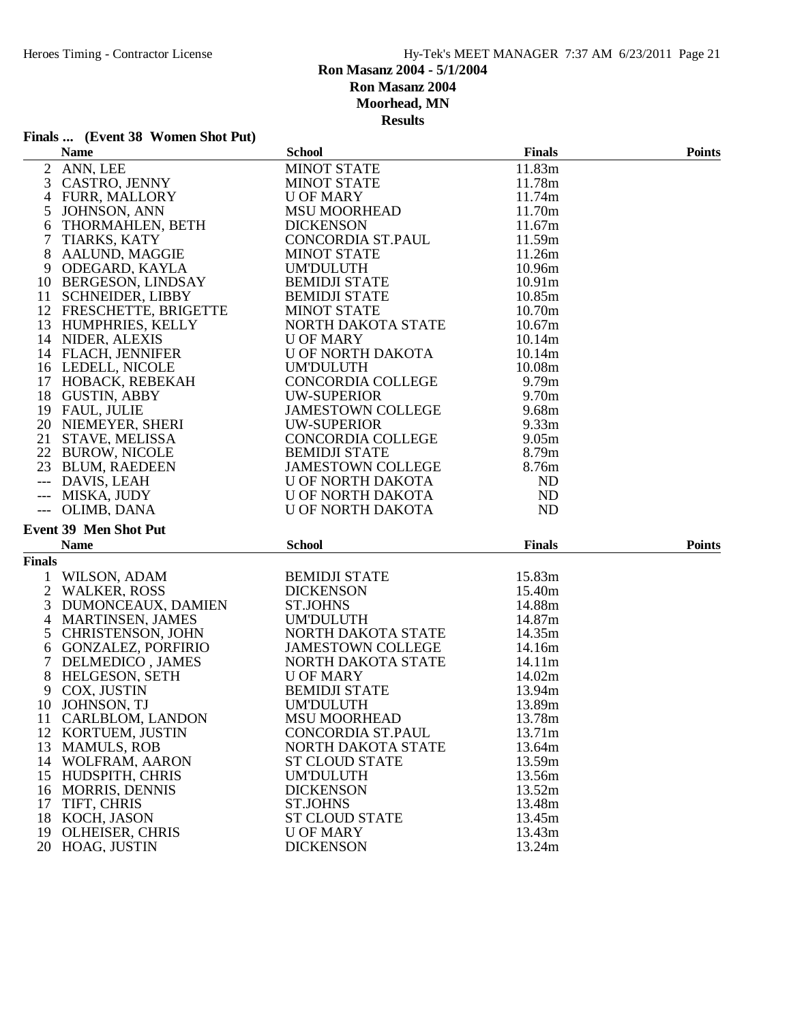# **Finals ... (Event 38 Women Shot Put)**

|                | <b>Name</b>                                 | <b>School</b>                        | <b>Finals</b>      | <b>Points</b> |
|----------------|---------------------------------------------|--------------------------------------|--------------------|---------------|
|                | 2 ANN, LEE                                  | <b>MINOT STATE</b>                   | 11.83m             |               |
|                | 3 CASTRO, JENNY                             | <b>MINOT STATE</b>                   | 11.78m             |               |
|                | 4 FURR, MALLORY                             | <b>U OF MARY</b>                     | 11.74m             |               |
| 5              | JOHNSON, ANN                                | <b>MSU MOORHEAD</b>                  | 11.70m             |               |
| 6              | THORMAHLEN, BETH                            | <b>DICKENSON</b>                     | 11.67m             |               |
| 7              | TIARKS, KATY                                | CONCORDIA ST.PAUL                    | 11.59m             |               |
| 8              | AALUND, MAGGIE                              | <b>MINOT STATE</b>                   | 11.26m             |               |
|                | 9 ODEGARD, KAYLA                            | <b>UM'DULUTH</b>                     | 10.96m             |               |
|                | 10 BERGESON, LINDSAY                        | <b>BEMIDJI STATE</b>                 | 10.91 <sub>m</sub> |               |
| 11             | <b>SCHNEIDER, LIBBY</b>                     | <b>BEMIDJI STATE</b>                 | 10.85m             |               |
|                | 12 FRESCHETTE, BRIGETTE                     | <b>MINOT STATE</b>                   | 10.70m             |               |
|                | 13 HUMPHRIES, KELLY                         | NORTH DAKOTA STATE                   | 10.67m             |               |
|                | 14 NIDER, ALEXIS                            | <b>U OF MARY</b>                     | 10.14m             |               |
|                |                                             |                                      |                    |               |
|                | 14 FLACH, JENNIFER                          | U OF NORTH DAKOTA                    | 10.14m             |               |
|                | 16 LEDELL, NICOLE                           | <b>UM'DULUTH</b>                     | 10.08m             |               |
|                | 17 HOBACK, REBEKAH                          | CONCORDIA COLLEGE                    | 9.79 <sub>m</sub>  |               |
|                | 18 GUSTIN, ABBY                             | <b>UW-SUPERIOR</b>                   | 9.70m              |               |
|                | 19 FAUL, JULIE                              | <b>JAMESTOWN COLLEGE</b>             | 9.68m              |               |
|                | 20 NIEMEYER, SHERI                          | UW-SUPERIOR                          | 9.33m              |               |
|                | 21 STAVE, MELISSA                           | <b>CONCORDIA COLLEGE</b>             | 9.05m              |               |
|                | 22 BUROW, NICOLE                            | <b>BEMIDJI STATE</b>                 | 8.79m              |               |
|                | 23 BLUM, RAEDEEN                            | <b>JAMESTOWN COLLEGE</b>             | 8.76m              |               |
|                | --- DAVIS, LEAH                             | U OF NORTH DAKOTA                    | ND                 |               |
|                | --- MISKA, JUDY                             | <b>U OF NORTH DAKOTA</b>             | ND                 |               |
|                |                                             |                                      |                    |               |
|                | --- OLIMB, DANA                             | U OF NORTH DAKOTA                    | <b>ND</b>          |               |
|                |                                             |                                      |                    |               |
|                | <b>Event 39 Men Shot Put</b><br><b>Name</b> | <b>School</b>                        | <b>Finals</b>      | <b>Points</b> |
|                |                                             |                                      |                    |               |
| <b>Finals</b>  |                                             |                                      |                    |               |
| $\mathbf{1}$   | WILSON, ADAM                                | <b>BEMIDJI STATE</b>                 | 15.83m             |               |
| $\overline{2}$ | <b>WALKER, ROSS</b>                         | <b>DICKENSON</b>                     | 15.40m             |               |
| 3              | DUMONCEAUX, DAMIEN                          | <b>ST.JOHNS</b>                      | 14.88m             |               |
| $\overline{4}$ | MARTINSEN, JAMES                            | <b>UM'DULUTH</b>                     | 14.87m             |               |
| 5 <sup>5</sup> | <b>CHRISTENSON, JOHN</b>                    | NORTH DAKOTA STATE                   | 14.35m             |               |
|                | 6 GONZALEZ, PORFIRIO                        | <b>JAMESTOWN COLLEGE</b>             | 14.16m             |               |
|                | 7 DELMEDICO, JAMES                          | NORTH DAKOTA STATE                   | 14.11m             |               |
| 8              | HELGESON, SETH                              | U OF MARY                            | 14.02m             |               |
|                | 9 COX, JUSTIN                               | <b>BEMIDJI STATE</b>                 | 13.94m             |               |
|                | 10 JOHNSON, TJ                              | <b>UM'DULUTH</b>                     | 13.89m             |               |
| 11             | CARLBLOM, LANDON                            | <b>MSU MOORHEAD</b>                  | 13.78m             |               |
|                | 12 KORTUEM, JUSTIN                          | <b>CONCORDIA ST.PAUL</b>             | 13.71m             |               |
| 13             | <b>MAMULS, ROB</b>                          | NORTH DAKOTA STATE                   | 13.64m             |               |
| 14             | WOLFRAM, AARON                              | <b>ST CLOUD STATE</b>                | 13.59m             |               |
|                | 15 HUDSPITH, CHRIS                          | <b>UM'DULUTH</b>                     | 13.56m             |               |
|                | 16 MORRIS, DENNIS                           | <b>DICKENSON</b>                     | 13.52m             |               |
| 17             | TIFT, CHRIS                                 | <b>ST.JOHNS</b>                      | 13.48m             |               |
| 18             | KOCH, JASON                                 | <b>ST CLOUD STATE</b>                | 13.45m             |               |
| 19             | <b>OLHEISER, CHRIS</b><br>20 HOAG, JUSTIN   | <b>U OF MARY</b><br><b>DICKENSON</b> | 13.43m<br>13.24m   |               |